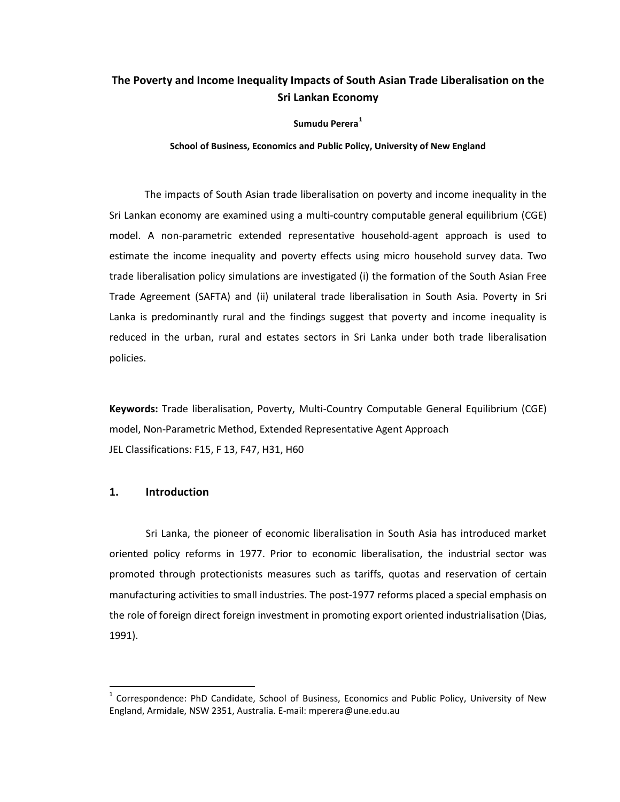# **The Poverty and Income Inequality Impacts of South Asian Trade Liberalisation on the Sri Lankan Economy**

**Sumudu Perera[1](#page-0-0)**

**School of Business, Economics and Public Policy, University of New England**

The impacts of South Asian trade liberalisation on poverty and income inequality in the Sri Lankan economy are examined using a multi-country computable general equilibrium (CGE) model. A non-parametric extended representative household-agent approach is used to estimate the income inequality and poverty effects using micro household survey data. Two trade liberalisation policy simulations are investigated (i) the formation of the South Asian Free Trade Agreement (SAFTA) and (ii) unilateral trade liberalisation in South Asia. Poverty in Sri Lanka is predominantly rural and the findings suggest that poverty and income inequality is reduced in the urban, rural and estates sectors in Sri Lanka under both trade liberalisation policies.

**Keywords:** Trade liberalisation, Poverty, Multi-Country Computable General Equilibrium (CGE) model, Non-Parametric Method, Extended Representative Agent Approach JEL Classifications: F15, F 13, F47, H31, H60

### **1. Introduction**

Sri Lanka, the pioneer of economic liberalisation in South Asia has introduced market oriented policy reforms in 1977. Prior to economic liberalisation, the industrial sector was promoted through protectionists measures such as tariffs, quotas and reservation of certain manufacturing activities to small industries. The post-1977 reforms placed a special emphasis on the role of foreign direct foreign investment in promoting export oriented industrialisation (Dias, 1991).

<span id="page-0-0"></span> $1$  Correspondence: PhD Candidate, School of Business, Economics and Public Policy, University of New England, Armidale, NSW 2351, Australia. E-mail: mperera@une.edu.au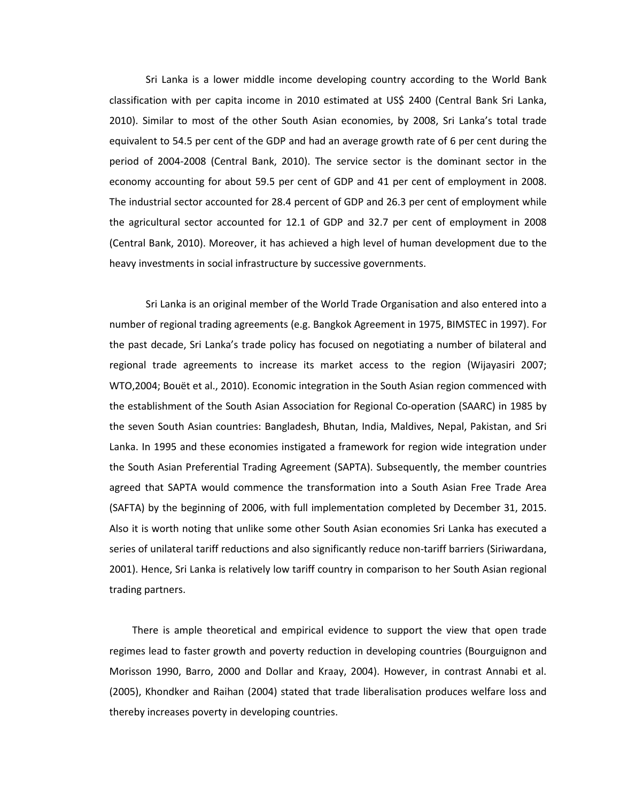Sri Lanka is a lower middle income developing country according to the World Bank classification with per capita income in 2010 estimated at US\$ 2400 (Central Bank Sri Lanka, 2010). Similar to most of the other South Asian economies, by 2008, Sri Lanka's total trade equivalent to 54.5 per cent of the GDP and had an average growth rate of 6 per cent during the period of 2004-2008 (Central Bank, 2010). The service sector is the dominant sector in the economy accounting for about 59.5 per cent of GDP and 41 per cent of employment in 2008. The industrial sector accounted for 28.4 percent of GDP and 26.3 per cent of employment while the agricultural sector accounted for 12.1 of GDP and 32.7 per cent of employment in 2008 (Central Bank, 2010). Moreover, it has achieved a high level of human development due to the heavy investments in social infrastructure by successive governments.

Sri Lanka is an original member of the World Trade Organisation and also entered into a number of regional trading agreements (e.g. Bangkok Agreement in 1975, BIMSTEC in 1997). For the past decade, Sri Lanka's trade policy has focused on negotiating a number of bilateral and regional trade agreements to increase its market access to the region (Wijayasiri 2007; WTO,2004; Bouët et al., 2010). Economic integration in the South Asian region commenced with the establishment of the South Asian Association for Regional Co-operation (SAARC) in 1985 by the seven South Asian countries: Bangladesh, Bhutan, India, Maldives, Nepal, Pakistan, and Sri Lanka. In 1995 and these economies instigated a framework for region wide integration under the South Asian Preferential Trading Agreement (SAPTA). Subsequently, the member countries agreed that SAPTA would commence the transformation into a South Asian Free Trade Area (SAFTA) by the beginning of 2006, with full implementation completed by December 31, 2015. Also it is worth noting that unlike some other South Asian economies Sri Lanka has executed a series of unilateral tariff reductions and also significantly reduce non-tariff barriers (Siriwardana, 2001). Hence, Sri Lanka is relatively low tariff country in comparison to her South Asian regional trading partners.

There is ample theoretical and empirical evidence to support the view that open trade regimes lead to faster growth and poverty reduction in developing countries (Bourguignon and Morisson 1990, Barro, 2000 and Dollar and Kraay, 2004). However, in contrast Annabi et al. (2005), Khondker and Raihan (2004) stated that trade liberalisation produces welfare loss and thereby increases poverty in developing countries.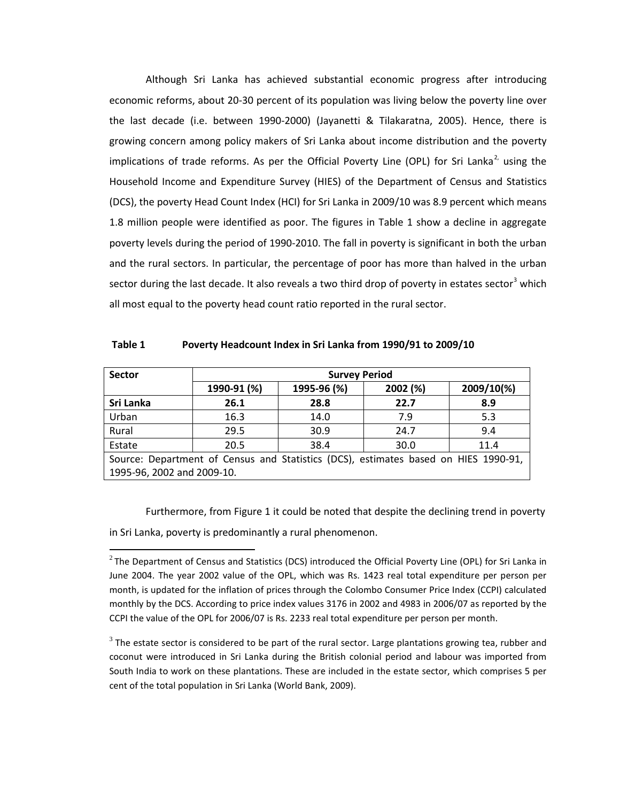Although Sri Lanka has achieved substantial economic progress after introducing economic reforms, about 20-30 percent of its population was living below the poverty line over the last decade (i.e. between 1990-2000) (Jayanetti & Tilakaratna, 2005). Hence, there is growing concern among policy makers of Sri Lanka about income distribution and the poverty implications of trade reforms. As per the Official Poverty Line (OPL) for Sri Lanka<sup>[2](#page-2-0),</sup> using the Household Income and Expenditure Survey (HIES) of the Department of Census and Statistics (DCS), the poverty Head Count Index (HCI) for Sri Lanka in 2009/10 was 8.9 percent which means 1.8 million people were identified as poor. The figures in Table 1 show a decline in aggregate poverty levels during the period of 1990-2010. The fall in poverty is significant in both the urban and the rural sectors. In particular, the percentage of poor has more than halved in the urban sector during the last decade. It also reveals a two third drop of poverty in estates sector<sup>[3](#page-2-1)</sup> which all most equal to the poverty head count ratio reported in the rural sector.

| <b>Sector</b>              |             | <b>Survey Period</b> |                                                                                     |            |
|----------------------------|-------------|----------------------|-------------------------------------------------------------------------------------|------------|
|                            | 1990-91 (%) | 1995-96 (%)          | 2002 (%)                                                                            | 2009/10(%) |
| Sri Lanka                  | 26.1        | 28.8                 | 22.7                                                                                | 8.9        |
| Urban                      | 16.3        | 14.0                 | 7.9                                                                                 | 5.3        |
| Rural                      | 29.5        | 30.9                 | 24.7                                                                                | 9.4        |
| Estate                     | 20.5        | 38.4                 | 30.0                                                                                | 11.4       |
|                            |             |                      | Source: Department of Census and Statistics (DCS), estimates based on HIES 1990-91, |            |
| 1995-96, 2002 and 2009-10. |             |                      |                                                                                     |            |

**Table 1 Poverty Headcount Index in Sri Lanka from 1990/91 to 2009/10**

Furthermore, from Figure 1 it could be noted that despite the declining trend in poverty in Sri Lanka, poverty is predominantly a rural phenomenon.

 $\overline{\phantom{0}}$ 

<span id="page-2-1"></span> $3$  The estate sector is considered to be part of the rural sector. Large plantations growing tea, rubber and coconut were introduced in Sri Lanka during the British colonial period and labour was imported from South India to work on these plantations. These are included in the estate sector, which comprises 5 per cent of the total population in Sri Lanka (World Bank, 2009).

<span id="page-2-0"></span> $^{2}$ The Department of Census and Statistics (DCS) introduced the Official Poverty Line (OPL) for Sri Lanka in June 2004. The year 2002 value of the OPL, which was Rs. 1423 real total expenditure per person per month, is updated for the inflation of prices through the Colombo Consumer Price Index (CCPI) calculated monthly by the DCS. According to price index values 3176 in 2002 and 4983 in 2006/07 as reported by the CCPI the value of the OPL for 2006/07 is Rs. 2233 real total expenditure per person per month.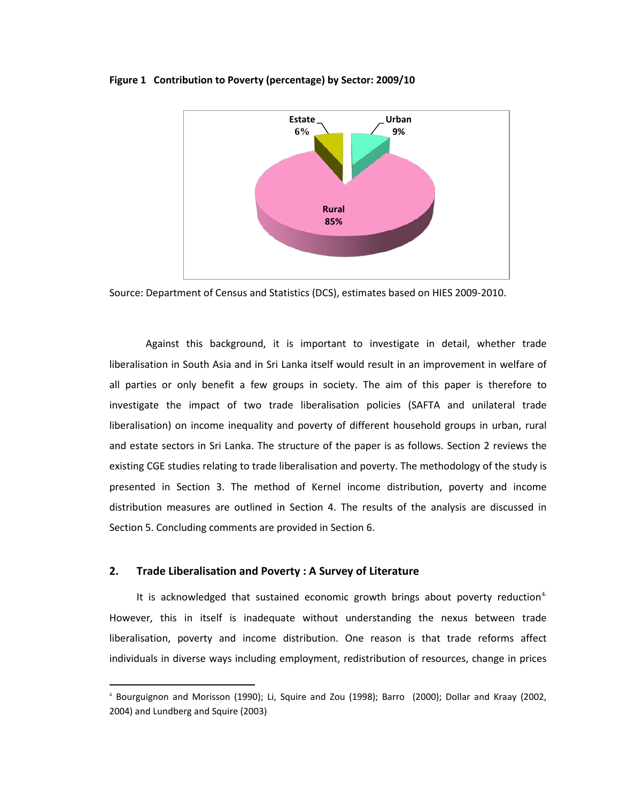#### **Figure 1 Contribution to Poverty (percentage) by Sector: 2009/10**



Source: Department of Census and Statistics (DCS), estimates based on HIES 2009-2010.

Against this background, it is important to investigate in detail, whether trade liberalisation in South Asia and in Sri Lanka itself would result in an improvement in welfare of all parties or only benefit a few groups in society. The aim of this paper is therefore to investigate the impact of two trade liberalisation policies (SAFTA and unilateral trade liberalisation) on income inequality and poverty of different household groups in urban, rural and estate sectors in Sri Lanka. The structure of the paper is as follows. Section 2 reviews the existing CGE studies relating to trade liberalisation and poverty. The methodology of the study is presented in Section 3. The method of Kernel income distribution, poverty and income distribution measures are outlined in Section 4. The results of the analysis are discussed in Section 5. Concluding comments are provided in Section 6.

### **2. Trade Liberalisation and Poverty : A Survey of Literature**

ı

It is acknowledged that sustained economic growth brings about poverty reduction<sup>[4](#page-3-0)</sup> However, this in itself is inadequate without understanding the nexus between trade liberalisation, poverty and income distribution. One reason is that trade reforms affect individuals in diverse ways including employment, redistribution of resources, change in prices

<span id="page-3-0"></span><sup>4</sup> Bourguignon and Morisson (1990); Li, Squire and Zou (1998); Barro (2000); Dollar and Kraay (2002, 2004) and Lundberg and Squire (2003)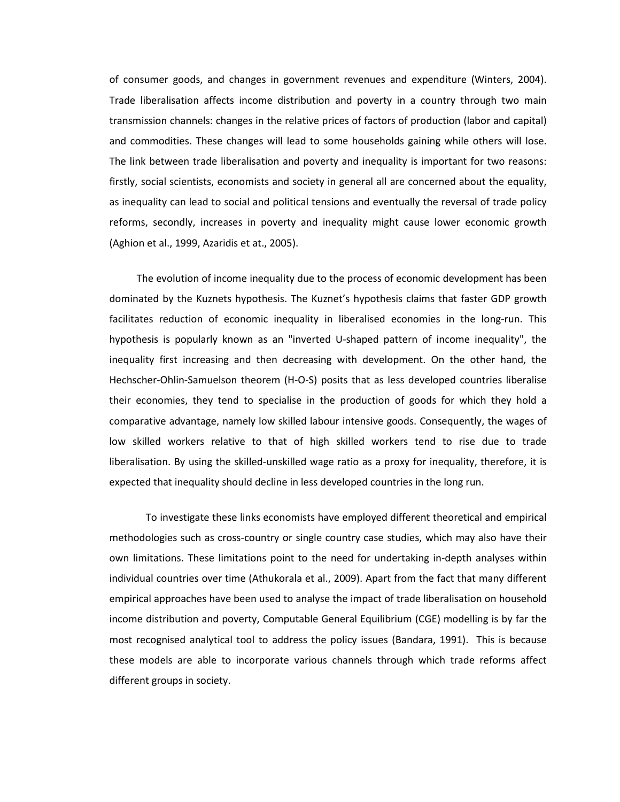of consumer goods, and changes in government revenues and expenditure (Winters, 2004). Trade liberalisation affects income distribution and poverty in a country through two main transmission channels: changes in the relative prices of factors of production (labor and capital) and commodities. These changes will lead to some households gaining while others will lose. The link between trade liberalisation and poverty and inequality is important for two reasons: firstly, social scientists, economists and society in general all are concerned about the equality, as inequality can lead to social and political tensions and eventually the reversal of trade policy reforms, secondly, increases in poverty and inequality might cause lower economic growth (Aghion et al., 1999, Azaridis et at., 2005).

The evolution of income inequality due to the process of economic development has been dominated by the Kuznets hypothesis. The Kuznet's hypothesis claims that faster GDP growth facilitates reduction of economic inequality in liberalised economies in the long-run. This hypothesis is popularly known as an "inverted U-shaped pattern of income inequality", the inequality first increasing and then decreasing with development. On the other hand, the Hechscher-Ohlin-Samuelson theorem (H-O-S) posits that as less developed countries liberalise their economies, they tend to specialise in the production of goods for which they hold a comparative advantage, namely low skilled labour intensive goods. Consequently, the wages of low skilled workers relative to that of high skilled workers tend to rise due to trade liberalisation. By using the skilled-unskilled wage ratio as a proxy for inequality, therefore, it is expected that inequality should decline in less developed countries in the long run.

To investigate these links economists have employed different theoretical and empirical methodologies such as cross-country or single country case studies, which may also have their own limitations. These limitations point to the need for undertaking in-depth analyses within individual countries over time (Athukorala et al., 2009). Apart from the fact that many different empirical approaches have been used to analyse the impact of trade liberalisation on household income distribution and poverty, Computable General Equilibrium (CGE) modelling is by far the most recognised analytical tool to address the policy issues (Bandara, 1991). This is because these models are able to incorporate various channels through which trade reforms affect different groups in society.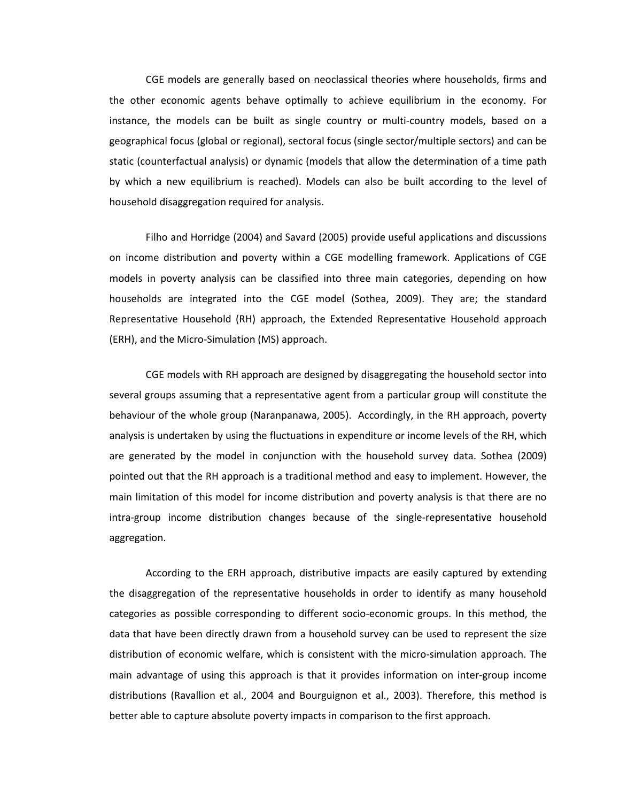CGE models are generally based on neoclassical theories where households, firms and the other economic agents behave optimally to achieve equilibrium in the economy. For instance, the models can be built as single country or multi-country models, based on a geographical focus (global or regional), sectoral focus (single sector/multiple sectors) and can be static (counterfactual analysis) or dynamic (models that allow the determination of a time path by which a new equilibrium is reached). Models can also be built according to the level of household disaggregation required for analysis.

Filho and Horridge (2004) and Savard (2005) provide useful applications and discussions on income distribution and poverty within a CGE modelling framework. Applications of CGE models in poverty analysis can be classified into three main categories, depending on how households are integrated into the CGE model (Sothea, 2009). They are; the standard Representative Household (RH) approach, the Extended Representative Household approach (ERH), and the Micro-Simulation (MS) approach.

CGE models with RH approach are designed by disaggregating the household sector into several groups assuming that a representative agent from a particular group will constitute the behaviour of the whole group (Naranpanawa, 2005). Accordingly, in the RH approach, poverty analysis is undertaken by using the fluctuations in expenditure or income levels of the RH, which are generated by the model in conjunction with the household survey data. Sothea (2009) pointed out that the RH approach is a traditional method and easy to implement. However, the main limitation of this model for income distribution and poverty analysis is that there are no intra-group income distribution changes because of the single-representative household aggregation.

According to the ERH approach, distributive impacts are easily captured by extending the disaggregation of the representative households in order to identify as many household categories as possible corresponding to different socio-economic groups. In this method, the data that have been directly drawn from a household survey can be used to represent the size distribution of economic welfare, which is consistent with the micro-simulation approach. The main advantage of using this approach is that it provides information on inter-group income distributions (Ravallion et al., 2004 and Bourguignon et al., 2003). Therefore, this method is better able to capture absolute poverty impacts in comparison to the first approach.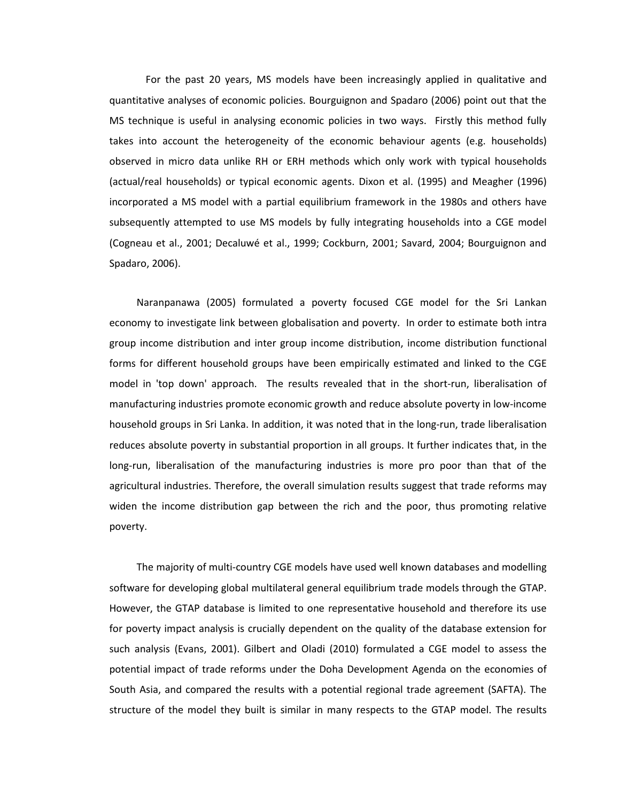For the past 20 years, MS models have been increasingly applied in qualitative and quantitative analyses of economic policies. Bourguignon and Spadaro (2006) point out that the MS technique is useful in analysing economic policies in two ways. Firstly this method fully takes into account the heterogeneity of the economic behaviour agents (e.g. households) observed in micro data unlike RH or ERH methods which only work with typical households (actual/real households) or typical economic agents. Dixon et al. (1995) and Meagher (1996) incorporated a MS model with a partial equilibrium framework in the 1980s and others have subsequently attempted to use MS models by fully integrating households into a CGE model (Cogneau et al., 2001; Decaluwé et al., 1999; Cockburn, 2001; Savard, 2004; Bourguignon and Spadaro, 2006).

Naranpanawa (2005) formulated a poverty focused CGE model for the Sri Lankan economy to investigate link between globalisation and poverty. In order to estimate both intra group income distribution and inter group income distribution, income distribution functional forms for different household groups have been empirically estimated and linked to the CGE model in 'top down' approach. The results revealed that in the short-run, liberalisation of manufacturing industries promote economic growth and reduce absolute poverty in low-income household groups in Sri Lanka. In addition, it was noted that in the long-run, trade liberalisation reduces absolute poverty in substantial proportion in all groups. It further indicates that, in the long-run, liberalisation of the manufacturing industries is more pro poor than that of the agricultural industries. Therefore, the overall simulation results suggest that trade reforms may widen the income distribution gap between the rich and the poor, thus promoting relative poverty.

The majority of multi-country CGE models have used well known databases and modelling software for developing global multilateral general equilibrium trade models through the GTAP. However, the GTAP database is limited to one representative household and therefore its use for poverty impact analysis is crucially dependent on the quality of the database extension for such analysis (Evans, 2001). Gilbert and Oladi (2010) formulated a CGE model to assess the potential impact of trade reforms under the Doha Development Agenda on the economies of South Asia, and compared the results with a potential regional trade agreement (SAFTA). The structure of the model they built is similar in many respects to the GTAP model. The results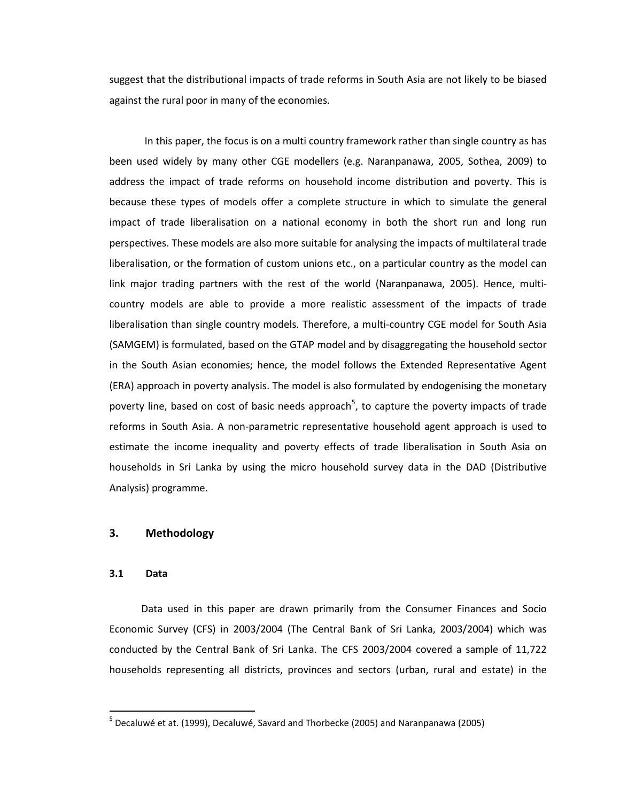suggest that the distributional impacts of trade reforms in South Asia are not likely to be biased against the rural poor in many of the economies.

In this paper, the focus is on a multi country framework rather than single country as has been used widely by many other CGE modellers (e.g. Naranpanawa, 2005, Sothea, 2009) to address the impact of trade reforms on household income distribution and poverty. This is because these types of models offer a complete structure in which to simulate the general impact of trade liberalisation on a national economy in both the short run and long run perspectives. These models are also more suitable for analysing the impacts of multilateral trade liberalisation, or the formation of custom unions etc., on a particular country as the model can link major trading partners with the rest of the world (Naranpanawa, 2005). Hence, multicountry models are able to provide a more realistic assessment of the impacts of trade liberalisation than single country models. Therefore, a multi-country CGE model for South Asia (SAMGEM) is formulated, based on the GTAP model and by disaggregating the household sector in the South Asian economies; hence, the model follows the Extended Representative Agent (ERA) approach in poverty analysis. The model is also formulated by endogenising the monetary poverty line, based on cost of basic needs approach<sup>[5](#page-7-0)</sup>, to capture the poverty impacts of trade reforms in South Asia. A non-parametric representative household agent approach is used to estimate the income inequality and poverty effects of trade liberalisation in South Asia on households in Sri Lanka by using the micro household survey data in the DAD (Distributive Analysis) programme.

### **3. Methodology**

#### **3.1 Data**

Data used in this paper are drawn primarily from the Consumer Finances and Socio Economic Survey (CFS) in 2003/2004 (The Central Bank of Sri Lanka, 2003/2004) which was conducted by the Central Bank of Sri Lanka. The CFS 2003/2004 covered a sample of 11,722 households representing all districts, provinces and sectors (urban, rural and estate) in the

<span id="page-7-0"></span><sup>&</sup>lt;sup>5</sup> Decaluwé et at. (1999), Decaluwé, Savard and Thorbecke (2005) and Naranpanawa (2005)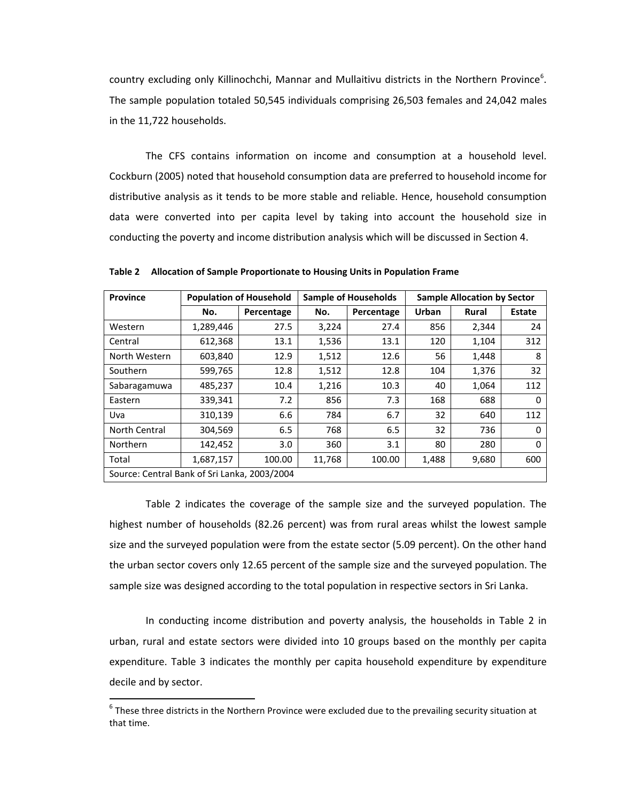country excluding only Killinochchi, Mannar and Mullaitivu districts in the Northern Province<sup>[6](#page-8-0)</sup>. The sample population totaled 50,545 individuals comprising 26,503 females and 24,042 males in the 11,722 households.

The CFS contains information on income and consumption at a household level. Cockburn (2005) noted that household consumption data are preferred to household income for distributive analysis as it tends to be more stable and reliable. Hence, household consumption data were converted into per capita level by taking into account the household size in conducting the poverty and income distribution analysis which will be discussed in Section 4.

| <b>Province</b>                              |           | <b>Population of Household</b> |        | <b>Sample of Households</b> | <b>Sample Allocation by Sector</b> |              |               |  |  |
|----------------------------------------------|-----------|--------------------------------|--------|-----------------------------|------------------------------------|--------------|---------------|--|--|
|                                              | No.       | Percentage                     | No.    | Percentage                  | Urban                              | <b>Rural</b> | <b>Estate</b> |  |  |
| Western                                      | 1,289,446 | 27.5                           | 3,224  | 27.4                        | 856                                | 2,344        | 24            |  |  |
| Central                                      | 612,368   | 13.1                           | 1,536  | 13.1                        | 120                                | 1,104        | 312           |  |  |
| North Western                                | 603,840   | 12.9                           | 1,512  | 12.6                        | 56                                 | 1,448        | 8             |  |  |
| Southern                                     | 599,765   | 12.8                           | 1,512  | 12.8                        | 104                                | 1,376        | 32            |  |  |
| Sabaragamuwa                                 | 485,237   | 10.4                           | 1,216  | 10.3                        | 40                                 | 1,064        | 112           |  |  |
| Eastern                                      | 339,341   | 7.2                            | 856    | 7.3                         | 168                                | 688          | 0             |  |  |
| Uva                                          | 310,139   | 6.6                            | 784    | 6.7                         | 32                                 | 640          | 112           |  |  |
| North Central                                | 304,569   | 6.5                            | 768    | 6.5                         | 32                                 | 736          | $\Omega$      |  |  |
| <b>Northern</b>                              | 142,452   | 3.0                            | 360    | 3.1                         | 80                                 | 280          | $\Omega$      |  |  |
| Total                                        | 1,687,157 | 100.00                         | 11,768 | 100.00                      | 1,488                              | 9,680        | 600           |  |  |
| Source: Central Bank of Sri Lanka, 2003/2004 |           |                                |        |                             |                                    |              |               |  |  |

**Table 2 Allocation of Sample Proportionate to Housing Units in Population Frame**

Table 2 indicates the coverage of the sample size and the surveyed population. The highest number of households (82.26 percent) was from rural areas whilst the lowest sample size and the surveyed population were from the estate sector (5.09 percent). On the other hand the urban sector covers only 12.65 percent of the sample size and the surveyed population. The sample size was designed according to the total population in respective sectors in Sri Lanka.

In conducting income distribution and poverty analysis, the households in Table 2 in urban, rural and estate sectors were divided into 10 groups based on the monthly per capita expenditure. Table 3 indicates the monthly per capita household expenditure by expenditure decile and by sector.

<span id="page-8-0"></span> $6$  These three districts in the Northern Province were excluded due to the prevailing security situation at that time.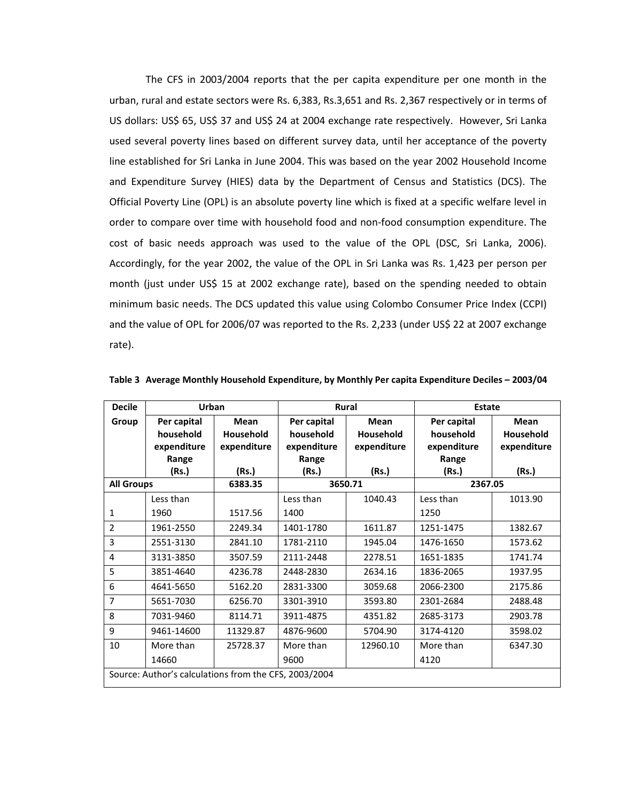The CFS in 2003/2004 reports that the per capita expenditure per one month in the urban, rural and estate sectors were Rs. 6,383, Rs.3,651 and Rs. 2,367 respectively or in terms of US dollars: US\$ 65, US\$ 37 and US\$ 24 at 2004 exchange rate respectively. However, Sri Lanka used several poverty lines based on different survey data, until her acceptance of the poverty line established for Sri Lanka in June 2004. This was based on the year 2002 Household Income and Expenditure Survey (HIES) data by the Department of Census and Statistics (DCS). The Official Poverty Line (OPL) is an absolute poverty line which is fixed at a specific welfare level in order to compare over time with household food and non-food consumption expenditure. The cost of basic needs approach was used to the value of the OPL (DSC, Sri Lanka, 2006). Accordingly, for the year 2002, the value of the OPL in Sri Lanka was Rs. 1,423 per person per month (just under US\$ 15 at 2002 exchange rate), based on the spending needed to obtain minimum basic needs. The DCS updated this value using Colombo Consumer Price Index (CCPI) and the value of OPL for 2006/07 was reported to the Rs. 2,233 (under US\$ 22 at 2007 exchange rate).

| <b>Decile</b>     | Urban                                                 |                                                |                                         | <b>Rural</b>                                   | <b>Estate</b>                           |                                         |
|-------------------|-------------------------------------------------------|------------------------------------------------|-----------------------------------------|------------------------------------------------|-----------------------------------------|-----------------------------------------|
| Group             | Per capital<br>household<br>expenditure               | <b>Mean</b><br><b>Household</b><br>expenditure | Per capital<br>household<br>expenditure | <b>Mean</b><br><b>Household</b><br>expenditure | Per capital<br>household<br>expenditure | Mean<br><b>Household</b><br>expenditure |
|                   | Range                                                 |                                                | Range                                   |                                                | Range                                   |                                         |
|                   | (Rs.)                                                 | (Rs.)                                          | (Rs.)                                   | (Rs.)                                          | (Rs.)                                   | (Rs.)                                   |
| <b>All Groups</b> |                                                       | 6383.35                                        |                                         | 3650.71                                        | 2367.05                                 |                                         |
|                   | Less than                                             |                                                | Less than                               | 1040.43                                        | Less than                               | 1013.90                                 |
| 1                 | 1960                                                  | 1517.56                                        | 1400                                    |                                                | 1250                                    |                                         |
| $\overline{2}$    | 1961-2550                                             | 2249.34                                        | 1401-1780                               | 1611.87                                        | 1251-1475                               | 1382.67                                 |
| 3                 | 2551-3130                                             | 2841.10                                        | 1781-2110                               | 1945.04                                        | 1476-1650                               | 1573.62                                 |
| 4                 | 3131-3850                                             | 3507.59                                        | 2111-2448                               | 2278.51                                        | 1651-1835                               | 1741.74                                 |
| 5                 | 3851-4640                                             | 4236.78                                        | 2448-2830                               | 2634.16                                        | 1836-2065                               | 1937.95                                 |
| 6                 | 4641-5650                                             | 5162.20                                        | 2831-3300                               | 3059.68                                        | 2066-2300                               | 2175.86                                 |
| 7                 | 5651-7030                                             | 6256.70                                        | 3301-3910                               | 3593.80                                        | 2301-2684                               | 2488.48                                 |
| 8                 | 7031-9460                                             | 8114.71                                        | 3911-4875                               | 4351.82                                        | 2685-3173                               | 2903.78                                 |
| 9                 | 9461-14600                                            | 11329.87                                       | 4876-9600                               | 5704.90                                        | 3174-4120                               | 3598.02                                 |
| 10                | More than                                             | 25728.37                                       | More than                               | 12960.10                                       | More than                               | 6347.30                                 |
|                   | 14660                                                 |                                                | 9600                                    |                                                | 4120                                    |                                         |
|                   | Source: Author's calculations from the CFS, 2003/2004 |                                                |                                         |                                                |                                         |                                         |

**Table 3 Average Monthly Household Expenditure, by Monthly Per capita Expenditure Deciles – 2003/04**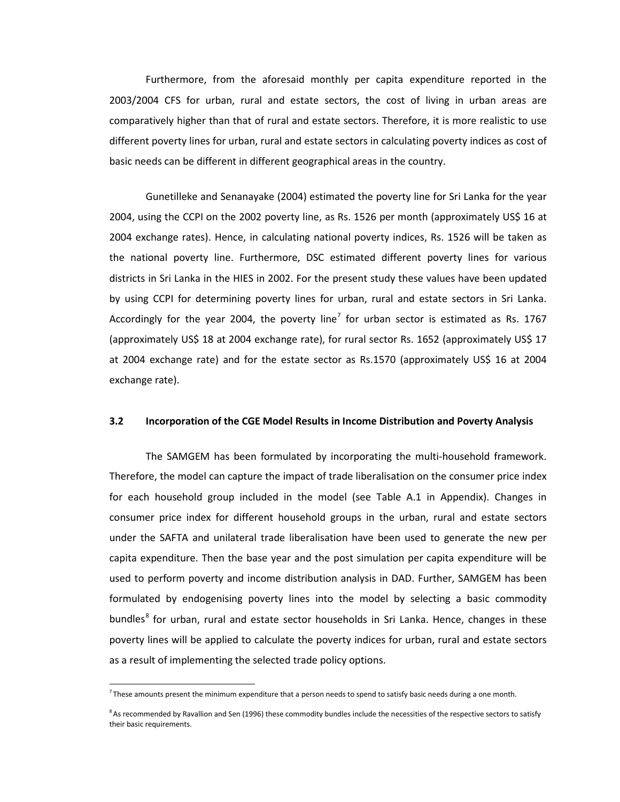Furthermore, from the aforesaid monthly per capita expenditure reported in the 2003/2004 CFS for urban, rural and estate sectors, the cost of living in urban areas are comparatively higher than that of rural and estate sectors. Therefore, it is more realistic to use different poverty lines for urban, rural and estate sectors in calculating poverty indices as cost of basic needs can be different in different geographical areas in the country.

Gunetilleke and Senanayake (2004) estimated the poverty line for Sri Lanka for the year 2004, using the CCPI on the 2002 poverty line, as Rs. 1526 per month (approximately US\$ 16 at 2004 exchange rates). Hence, in calculating national poverty indices, Rs. 1526 will be taken as the national poverty line. Furthermore, DSC estimated different poverty lines for various districts in Sri Lanka in the HIES in 2002. For the present study these values have been updated by using CCPI for determining poverty lines for urban, rural and estate sectors in Sri Lanka. Accordingly for the year 2004, the poverty line<sup>[7](#page-10-0)</sup> for urban sector is estimated as Rs. 1767 (approximately US\$ 18 at 2004 exchange rate), for rural sector Rs. 1652 (approximately US\$ 17 at 2004 exchange rate) and for the estate sector as Rs.1570 (approximately US\$ 16 at 2004 exchange rate).

#### **3.2 Incorporation of the CGE Model Results in Income Distribution and Poverty Analysis**

The SAMGEM has been formulated by incorporating the multi-household framework. Therefore, the model can capture the impact of trade liberalisation on the consumer price index for each household group included in the model (see Table A.1 in Appendix). Changes in consumer price index for different household groups in the urban, rural and estate sectors under the SAFTA and unilateral trade liberalisation have been used to generate the new per capita expenditure. Then the base year and the post simulation per capita expenditure will be used to perform poverty and income distribution analysis in DAD. Further, SAMGEM has been formulated by endogenising poverty lines into the model by selecting a basic commodity bundles<sup>[8](#page-10-1)</sup> for urban, rural and estate sector households in Sri Lanka. Hence, changes in these poverty lines will be applied to calculate the poverty indices for urban, rural and estate sectors as a result of implementing the selected trade policy options.

<span id="page-10-0"></span> $\frac{1}{7}$  $^7$  These amounts present the minimum expenditure that a person needs to spend to satisfy basic needs during a one month.

<span id="page-10-1"></span><sup>&</sup>lt;sup>8</sup> As recommended by Ravallion and Sen (1996) these commodity bundles include the necessities of the respective sectors to satisfy their basic requirements.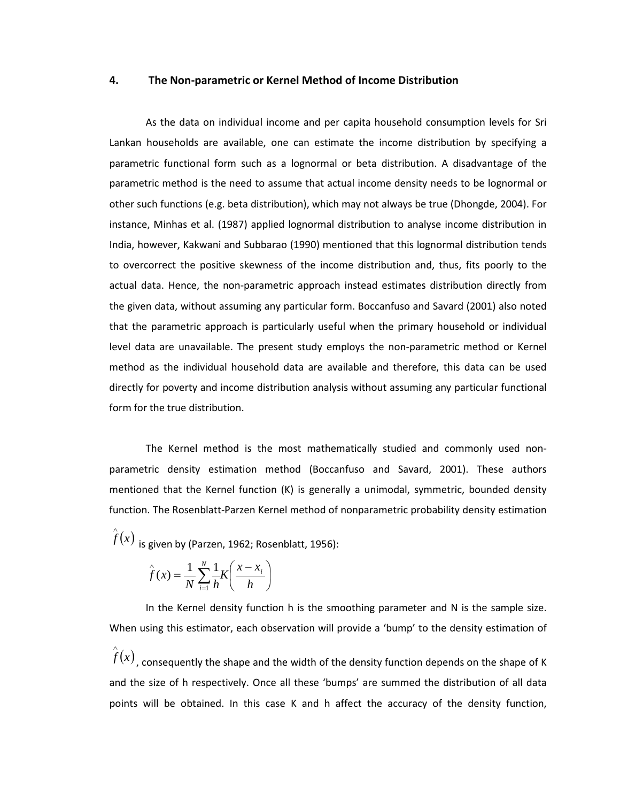#### **4. The Non-parametric or Kernel Method of Income Distribution**

As the data on individual income and per capita household consumption levels for Sri Lankan households are available, one can estimate the income distribution by specifying a parametric functional form such as a lognormal or beta distribution. A disadvantage of the parametric method is the need to assume that actual income density needs to be lognormal or other such functions (e.g. beta distribution), which may not always be true (Dhongde, 2004). For instance, Minhas et al. (1987) applied lognormal distribution to analyse income distribution in India, however, Kakwani and Subbarao (1990) mentioned that this lognormal distribution tends to overcorrect the positive skewness of the income distribution and, thus, fits poorly to the actual data. Hence, the non-parametric approach instead estimates distribution directly from the given data, without assuming any particular form. Boccanfuso and Savard (2001) also noted that the parametric approach is particularly useful when the primary household or individual level data are unavailable. The present study employs the non-parametric method or Kernel method as the individual household data are available and therefore, this data can be used directly for poverty and income distribution analysis without assuming any particular functional form for the true distribution.

The Kernel method is the most mathematically studied and commonly used nonparametric density estimation method (Boccanfuso and Savard, 2001). These authors mentioned that the Kernel function (K) is generally a unimodal, symmetric, bounded density function. The Rosenblatt-Parzen Kernel method of nonparametric probability density estimation

 $\hat{f}(x)$  <sub>is </sub>iven by (Parzen, 1962; Rosenblatt, 1956):

$$
\hat{f}(x) = \frac{1}{N} \sum_{i=1}^{N} \frac{1}{h} K\left(\frac{x - x_i}{h}\right)
$$

In the Kernel density function h is the smoothing parameter and N is the sample size. When using this estimator, each observation will provide a 'bump' to the density estimation of

 $\hat{f}(x)$ , consequently the shape and the width of the density function depends on the shape of K and the size of h respectively. Once all these 'bumps' are summed the distribution of all data points will be obtained. In this case K and h affect the accuracy of the density function,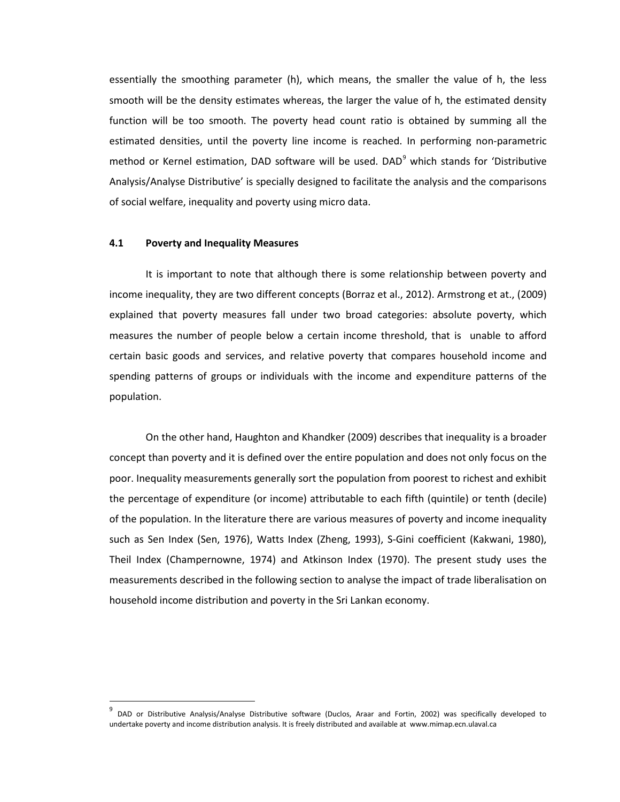essentially the smoothing parameter (h), which means, the smaller the value of h, the less smooth will be the density estimates whereas, the larger the value of h, the estimated density function will be too smooth. The poverty head count ratio is obtained by summing all the estimated densities, until the poverty line income is reached. In performing non-parametric method or Kernel estimation, DAD software will be used. DAD<sup>[9](#page-12-0)</sup> which stands for 'Distributive Analysis/Analyse Distributive' is specially designed to facilitate the analysis and the comparisons of social welfare, inequality and poverty using micro data.

#### **4.1 Poverty and Inequality Measures**

It is important to note that although there is some relationship between poverty and income inequality, they are two different concepts (Borraz et al., 2012). Armstrong et at., (2009) explained that poverty measures fall under two broad categories: absolute poverty, which measures the number of people below a certain income threshold, that is unable to afford certain basic goods and services, and relative poverty that compares household income and spending patterns of groups or individuals with the income and expenditure patterns of the population.

On the other hand, Haughton and Khandker (2009) describes that inequality is a broader concept than poverty and it is defined over the entire population and does not only focus on the poor. Inequality measurements generally sort the population from poorest to richest and exhibit the percentage of expenditure (or income) attributable to each fifth (quintile) or tenth (decile) of the population. In the literature there are various measures of poverty and income inequality such as Sen Index (Sen, 1976), Watts Index (Zheng, 1993), S-Gini coefficient (Kakwani, 1980), Theil Index (Champernowne, 1974) and Atkinson Index (1970). The present study uses the measurements described in the following section to analyse the impact of trade liberalisation on household income distribution and poverty in the Sri Lankan economy.

<span id="page-12-0"></span><sup>&</sup>lt;sup>9</sup> DAD or Distributive Analysis/Analyse Distributive software (Duclos, Araar and Fortin, 2002) was specifically developed to undertake poverty and income distribution analysis. It is freely distributed and available at www.mimap.ecn.ulaval.ca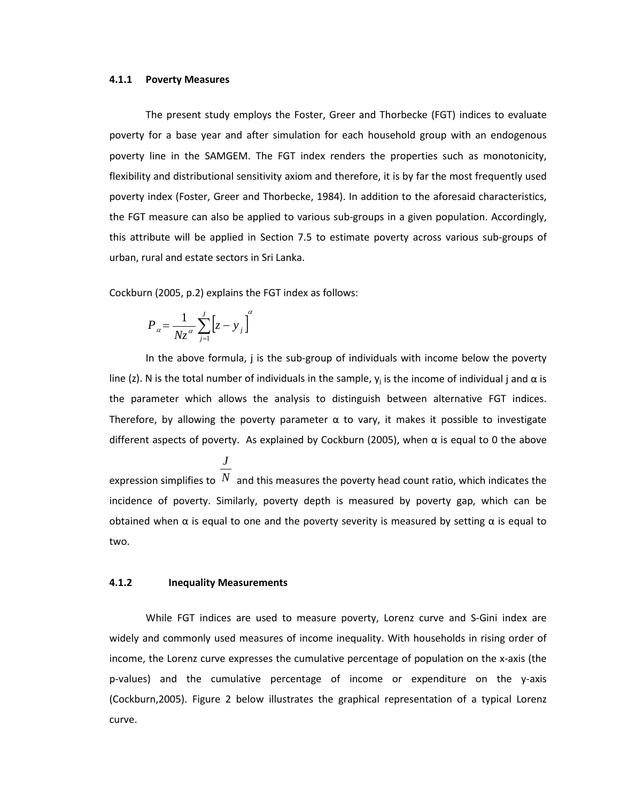#### **4.1.1 Poverty Measures**

The present study employs the Foster, Greer and Thorbecke (FGT) indices to evaluate poverty for a base year and after simulation for each household group with an endogenous poverty line in the SAMGEM. The FGT index renders the properties such as monotonicity, flexibility and distributional sensitivity axiom and therefore, it is by far the most frequently used poverty index (Foster, Greer and Thorbecke, 1984). In addition to the aforesaid characteristics, the FGT measure can also be applied to various sub-groups in a given population. Accordingly, this attribute will be applied in Section 7.5 to estimate poverty across various sub-groups of urban, rural and estate sectors in Sri Lanka.

Cockburn (2005, p.2) explains the FGT index as follows:

$$
P_{\alpha} = \frac{1}{Nz^{\alpha}} \sum_{j=1}^{J} \left[ z - y_{j} \right]^{\alpha}
$$

In the above formula, j is the sub-group of individuals with income below the poverty line (z). N is the total number of individuals in the sample,  $y_i$  is the income of individual j and  $\alpha$  is the parameter which allows the analysis to distinguish between alternative FGT indices. Therefore, by allowing the poverty parameter  $\alpha$  to vary, it makes it possible to investigate different aspects of poverty. As explained by Cockburn (2005), when  $\alpha$  is equal to 0 the above

expression simplifies to  $N$  and this measures the poverty head count ratio, which indicates the *J* incidence of poverty. Similarly, poverty depth is measured by poverty gap, which can be obtained when  $\alpha$  is equal to one and the poverty severity is measured by setting  $\alpha$  is equal to two.

#### **4.1.2 Inequality Measurements**

While FGT indices are used to measure poverty, Lorenz curve and S-Gini index are widely and commonly used measures of income inequality. With households in rising order of income, the Lorenz curve expresses the cumulative percentage of population on the x-axis (the p-values) and the cumulative percentage of income or expenditure on the y-axis (Cockburn,2005). Figure 2 below illustrates the graphical representation of a typical Lorenz curve.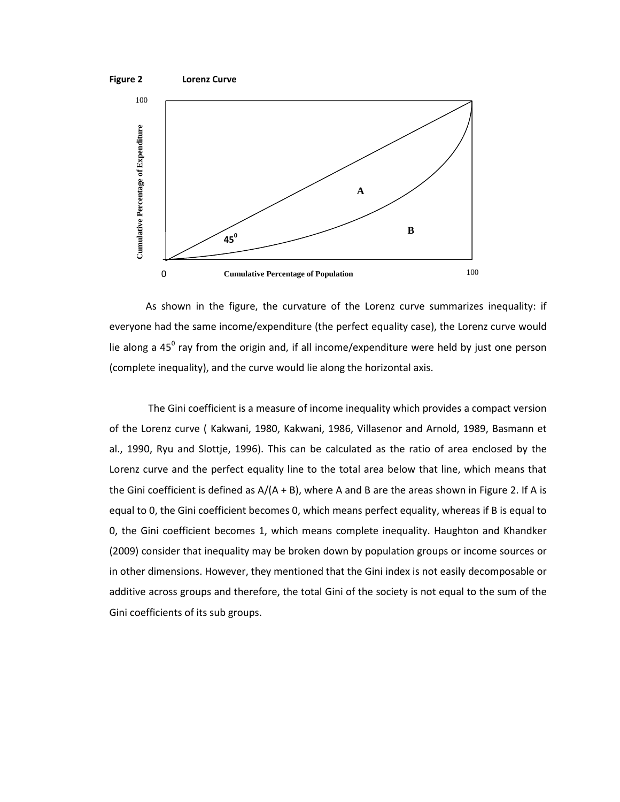



As shown in the figure, the curvature of the Lorenz curve summarizes inequality: if everyone had the same income/expenditure (the perfect equality case), the Lorenz curve would lie along a 45 $^{\circ}$  ray from the origin and, if all income/expenditure were held by just one person (complete inequality), and the curve would lie along the horizontal axis.

The Gini coefficient is a measure of income inequality which provides a compact version of the Lorenz curve ( Kakwani, 1980, Kakwani, 1986, Villasenor and Arnold, 1989, Basmann et al., 1990, Ryu and Slottje, 1996). This can be calculated as the ratio of area enclosed by the Lorenz curve and the perfect equality line to the total area below that line, which means that the Gini coefficient is defined as  $A/(A + B)$ , where A and B are the areas shown in Figure 2. If A is equal to 0, the Gini coefficient becomes 0, which means perfect equality, whereas if B is equal to 0, the Gini coefficient becomes 1, which means complete inequality. Haughton and Khandker (2009) consider that inequality may be broken down by population groups or income sources or in other dimensions. However, they mentioned that the Gini index is not easily decomposable or additive across groups and therefore, the total Gini of the society is not equal to the sum of the Gini coefficients of its sub groups.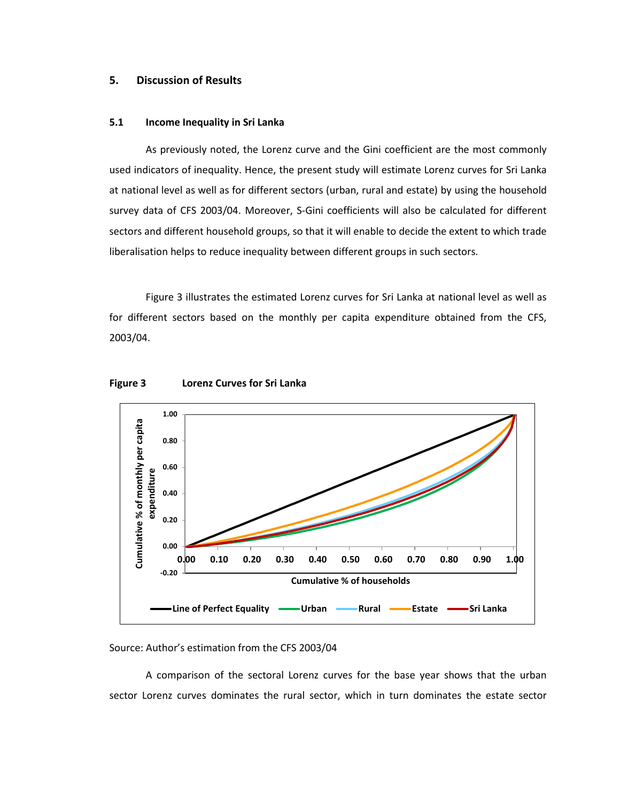### **5. Discussion of Results**

### **5.1 Income Inequality in Sri Lanka**

As previously noted, the Lorenz curve and the Gini coefficient are the most commonly used indicators of inequality. Hence, the present study will estimate Lorenz curves for Sri Lanka at national level as well as for different sectors (urban, rural and estate) by using the household survey data of CFS 2003/04. Moreover, S-Gini coefficients will also be calculated for different sectors and different household groups, so that it will enable to decide the extent to which trade liberalisation helps to reduce inequality between different groups in such sectors.

Figure 3 illustrates the estimated Lorenz curves for Sri Lanka at national level as well as for different sectors based on the monthly per capita expenditure obtained from the CFS, 2003/04.





### Source: Author's estimation from the CFS 2003/04

A comparison of the sectoral Lorenz curves for the base year shows that the urban sector Lorenz curves dominates the rural sector, which in turn dominates the estate sector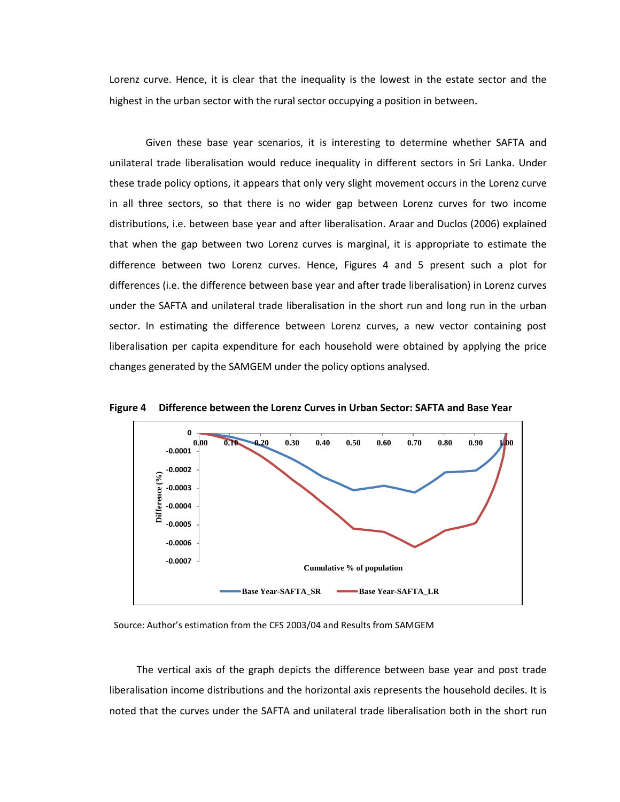Lorenz curve. Hence, it is clear that the inequality is the lowest in the estate sector and the highest in the urban sector with the rural sector occupying a position in between.

Given these base year scenarios, it is interesting to determine whether SAFTA and unilateral trade liberalisation would reduce inequality in different sectors in Sri Lanka. Under these trade policy options, it appears that only very slight movement occurs in the Lorenz curve in all three sectors, so that there is no wider gap between Lorenz curves for two income distributions, i.e. between base year and after liberalisation. Araar and Duclos (2006) explained that when the gap between two Lorenz curves is marginal, it is appropriate to estimate the difference between two Lorenz curves. Hence, Figures 4 and 5 present such a plot for differences (i.e. the difference between base year and after trade liberalisation) in Lorenz curves under the SAFTA and unilateral trade liberalisation in the short run and long run in the urban sector. In estimating the difference between Lorenz curves, a new vector containing post liberalisation per capita expenditure for each household were obtained by applying the price changes generated by the SAMGEM under the policy options analysed.



**Figure 4 Difference between the Lorenz Curves in Urban Sector: SAFTA and Base Year**

Source: Author's estimation from the CFS 2003/04 and Results from SAMGEM

The vertical axis of the graph depicts the difference between base year and post trade liberalisation income distributions and the horizontal axis represents the household deciles. It is noted that the curves under the SAFTA and unilateral trade liberalisation both in the short run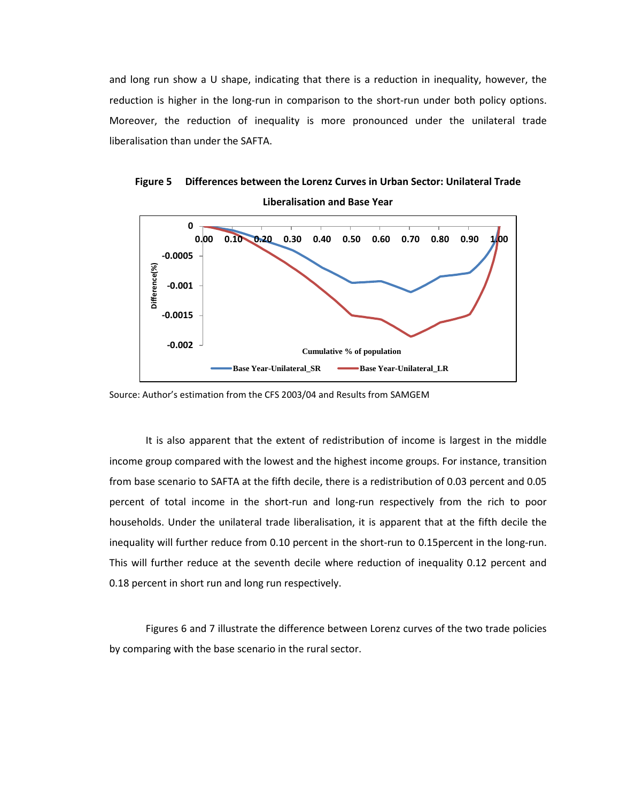and long run show a U shape, indicating that there is a reduction in inequality, however, the reduction is higher in the long-run in comparison to the short-run under both policy options. Moreover, the reduction of inequality is more pronounced under the unilateral trade liberalisation than under the SAFTA.



**Figure 5 Differences between the Lorenz Curves in Urban Sector: Unilateral Trade Liberalisation and Base Year**

It is also apparent that the extent of redistribution of income is largest in the middle income group compared with the lowest and the highest income groups. For instance, transition from base scenario to SAFTA at the fifth decile, there is a redistribution of 0.03 percent and 0.05 percent of total income in the short-run and long-run respectively from the rich to poor households. Under the unilateral trade liberalisation, it is apparent that at the fifth decile the inequality will further reduce from 0.10 percent in the short-run to 0.15percent in the long-run. This will further reduce at the seventh decile where reduction of inequality 0.12 percent and 0.18 percent in short run and long run respectively.

Figures 6 and 7 illustrate the difference between Lorenz curves of the two trade policies by comparing with the base scenario in the rural sector.

Source: Author's estimation from the CFS 2003/04 and Results from SAMGEM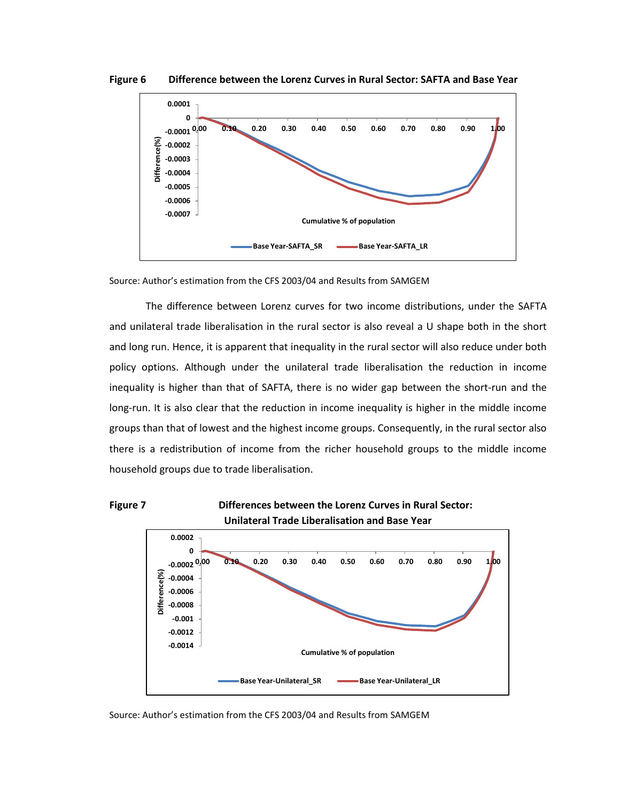

**Figure 6 Difference between the Lorenz Curves in Rural Sector: SAFTA and Base Year**

Source: Author's estimation from the CFS 2003/04 and Results from SAMGEM

The difference between Lorenz curves for two income distributions, under the SAFTA and unilateral trade liberalisation in the rural sector is also reveal a U shape both in the short and long run. Hence, it is apparent that inequality in the rural sector will also reduce under both policy options. Although under the unilateral trade liberalisation the reduction in income inequality is higher than that of SAFTA, there is no wider gap between the short-run and the long-run. It is also clear that the reduction in income inequality is higher in the middle income groups than that of lowest and the highest income groups. Consequently, in the rural sector also there is a redistribution of income from the richer household groups to the middle income household groups due to trade liberalisation.



**Cumulative % of population**

**Base Year-Unilateral\_SR Base Year-Unilateral\_LR** 

Source: Author's estimation from the CFS 2003/04 and Results from SAMGEM

**-0.0014 -0.0012**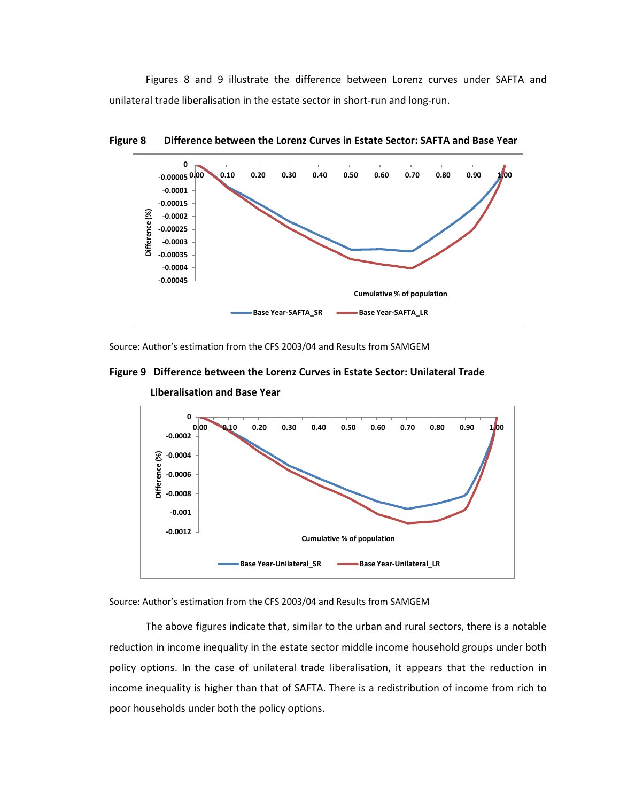Figures 8 and 9 illustrate the difference between Lorenz curves under SAFTA and unilateral trade liberalisation in the estate sector in short-run and long-run.



**Figure 8 Difference between the Lorenz Curves in Estate Sector: SAFTA and Base Year**

Source: Author's estimation from the CFS 2003/04 and Results from SAMGEM

**Figure 9 Difference between the Lorenz Curves in Estate Sector: Unilateral Trade** 



**Liberalisation and Base Year**

Source: Author's estimation from the CFS 2003/04 and Results from SAMGEM

The above figures indicate that, similar to the urban and rural sectors, there is a notable reduction in income inequality in the estate sector middle income household groups under both policy options. In the case of unilateral trade liberalisation, it appears that the reduction in income inequality is higher than that of SAFTA. There is a redistribution of income from rich to poor households under both the policy options.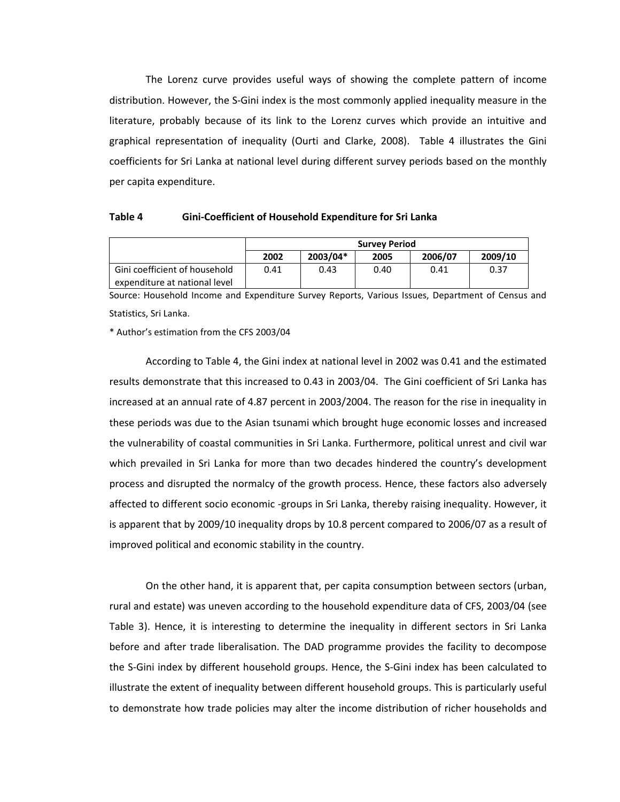The Lorenz curve provides useful ways of showing the complete pattern of income distribution. However, the S-Gini index is the most commonly applied inequality measure in the literature, probably because of its link to the Lorenz curves which provide an intuitive and graphical representation of inequality (Ourti and Clarke, 2008). Table 4 illustrates the Gini coefficients for Sri Lanka at national level during different survey periods based on the monthly per capita expenditure.

#### **Table 4 Gini-Coefficient of Household Expenditure for Sri Lanka**

|                               |      |          | <b>Survey Period</b> |         |         |
|-------------------------------|------|----------|----------------------|---------|---------|
|                               | 2002 | 2003/04* | 2005                 | 2006/07 | 2009/10 |
| Gini coefficient of household | 0.41 | 0.43     | 0.40                 | 0.41    | 0.37    |
| expenditure at national level |      |          |                      |         |         |

Source: Household Income and Expenditure Survey Reports, Various Issues, Department of Census and Statistics, Sri Lanka.

\* Author's estimation from the CFS 2003/04

According to Table 4, the Gini index at national level in 2002 was 0.41 and the estimated results demonstrate that this increased to 0.43 in 2003/04. The Gini coefficient of Sri Lanka has increased at an annual rate of 4.87 percent in 2003/2004. The reason for the rise in inequality in these periods was due to the Asian tsunami which brought huge economic losses and increased the vulnerability of coastal communities in Sri Lanka. Furthermore, political unrest and civil war which prevailed in Sri Lanka for more than two decades hindered the country's development process and disrupted the normalcy of the growth process. Hence, these factors also adversely affected to different socio economic -groups in Sri Lanka, thereby raising inequality. However, it is apparent that by 2009/10 inequality drops by 10.8 percent compared to 2006/07 as a result of improved political and economic stability in the country.

On the other hand, it is apparent that, per capita consumption between sectors (urban, rural and estate) was uneven according to the household expenditure data of CFS, 2003/04 (see Table 3). Hence, it is interesting to determine the inequality in different sectors in Sri Lanka before and after trade liberalisation. The DAD programme provides the facility to decompose the S-Gini index by different household groups. Hence, the S-Gini index has been calculated to illustrate the extent of inequality between different household groups. This is particularly useful to demonstrate how trade policies may alter the income distribution of richer households and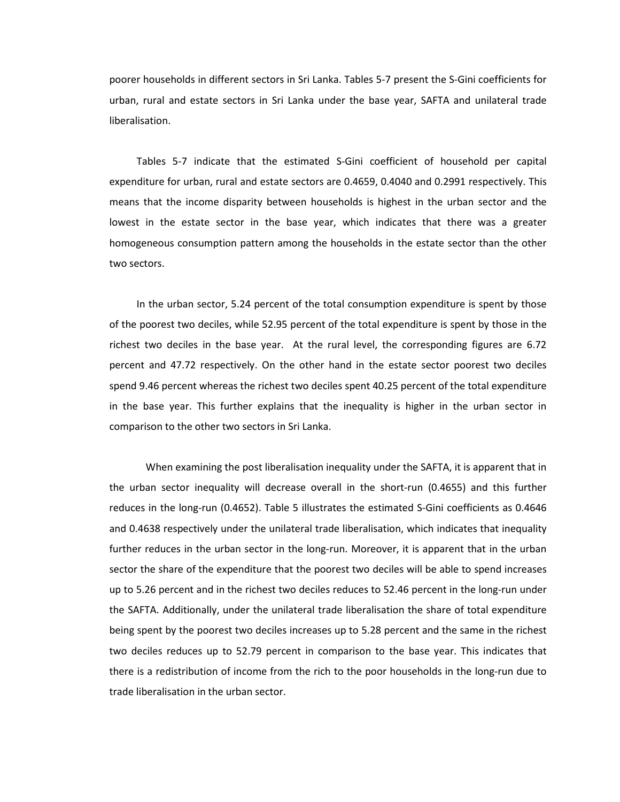poorer households in different sectors in Sri Lanka. Tables 5-7 present the S-Gini coefficients for urban, rural and estate sectors in Sri Lanka under the base year, SAFTA and unilateral trade liberalisation.

Tables 5-7 indicate that the estimated S-Gini coefficient of household per capital expenditure for urban, rural and estate sectors are 0.4659, 0.4040 and 0.2991 respectively. This means that the income disparity between households is highest in the urban sector and the lowest in the estate sector in the base year, which indicates that there was a greater homogeneous consumption pattern among the households in the estate sector than the other two sectors.

In the urban sector, 5.24 percent of the total consumption expenditure is spent by those of the poorest two deciles, while 52.95 percent of the total expenditure is spent by those in the richest two deciles in the base year. At the rural level, the corresponding figures are 6.72 percent and 47.72 respectively. On the other hand in the estate sector poorest two deciles spend 9.46 percent whereas the richest two deciles spent 40.25 percent of the total expenditure in the base year. This further explains that the inequality is higher in the urban sector in comparison to the other two sectors in Sri Lanka.

When examining the post liberalisation inequality under the SAFTA, it is apparent that in the urban sector inequality will decrease overall in the short-run (0.4655) and this further reduces in the long-run (0.4652). Table 5 illustrates the estimated S-Gini coefficients as 0.4646 and 0.4638 respectively under the unilateral trade liberalisation, which indicates that inequality further reduces in the urban sector in the long-run. Moreover, it is apparent that in the urban sector the share of the expenditure that the poorest two deciles will be able to spend increases up to 5.26 percent and in the richest two deciles reduces to 52.46 percent in the long-run under the SAFTA. Additionally, under the unilateral trade liberalisation the share of total expenditure being spent by the poorest two deciles increases up to 5.28 percent and the same in the richest two deciles reduces up to 52.79 percent in comparison to the base year. This indicates that there is a redistribution of income from the rich to the poor households in the long-run due to trade liberalisation in the urban sector.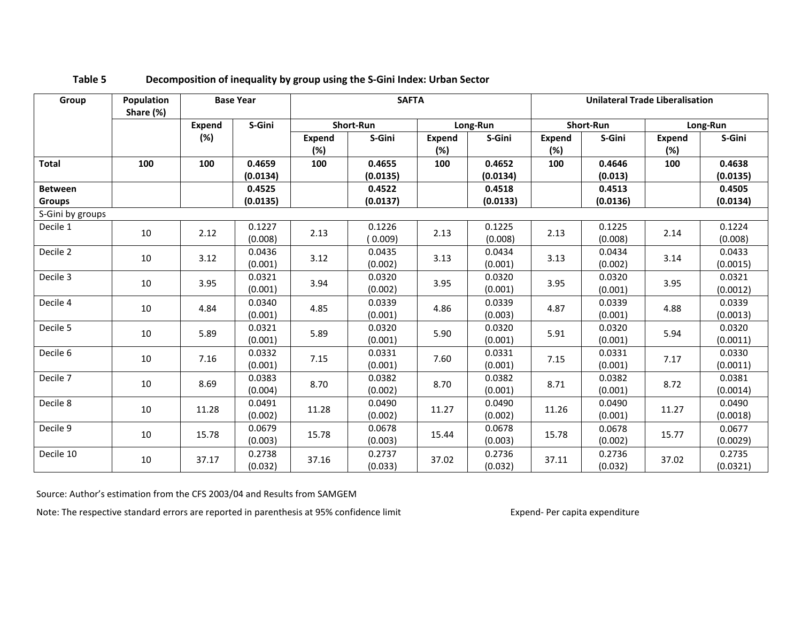| Group            | Population<br>Share (%) |        | <b>Base Year</b>   |                      | <b>SAFTA</b>       |                      |                    |                      |                   | <b>Unilateral Trade Liberalisation</b> |                    |  |
|------------------|-------------------------|--------|--------------------|----------------------|--------------------|----------------------|--------------------|----------------------|-------------------|----------------------------------------|--------------------|--|
|                  |                         | Expend | S-Gini             |                      | Short-Run          |                      | Long-Run           |                      | <b>Short-Run</b>  |                                        | Long-Run           |  |
|                  |                         | (%)    |                    | <b>Expend</b><br>(%) | S-Gini             | <b>Expend</b><br>(%) | S-Gini             | <b>Expend</b><br>(%) | S-Gini            | <b>Expend</b><br>(%)                   | S-Gini             |  |
| <b>Total</b>     | 100                     | 100    | 0.4659<br>(0.0134) | 100                  | 0.4655<br>(0.0135) | 100                  | 0.4652<br>(0.0134) | 100                  | 0.4646<br>(0.013) | 100                                    | 0.4638<br>(0.0135) |  |
| <b>Between</b>   |                         |        | 0.4525             |                      | 0.4522             |                      | 0.4518             |                      | 0.4513            |                                        | 0.4505             |  |
| <b>Groups</b>    |                         |        | (0.0135)           |                      | (0.0137)           |                      | (0.0133)           |                      | (0.0136)          |                                        | (0.0134)           |  |
| S-Gini by groups |                         |        |                    |                      |                    |                      |                    |                      |                   |                                        |                    |  |
| Decile 1         | 10                      | 2.12   | 0.1227<br>(0.008)  | 2.13                 | 0.1226<br>(0.009)  | 2.13                 | 0.1225<br>(0.008)  | 2.13                 | 0.1225<br>(0.008) | 2.14                                   | 0.1224<br>(0.008)  |  |
| Decile 2         | 10                      | 3.12   | 0.0436<br>(0.001)  | 3.12                 | 0.0435<br>(0.002)  | 3.13                 | 0.0434<br>(0.001)  | 3.13                 | 0.0434<br>(0.002) | 3.14                                   | 0.0433<br>(0.0015) |  |
| Decile 3         | 10                      | 3.95   | 0.0321<br>(0.001)  | 3.94                 | 0.0320<br>(0.002)  | 3.95                 | 0.0320<br>(0.001)  | 3.95                 | 0.0320<br>(0.001) | 3.95                                   | 0.0321<br>(0.0012) |  |
| Decile 4         | 10                      | 4.84   | 0.0340<br>(0.001)  | 4.85                 | 0.0339<br>(0.001)  | 4.86                 | 0.0339<br>(0.003)  | 4.87                 | 0.0339<br>(0.001) | 4.88                                   | 0.0339<br>(0.0013) |  |
| Decile 5         | 10                      | 5.89   | 0.0321<br>(0.001)  | 5.89                 | 0.0320<br>(0.001)  | 5.90                 | 0.0320<br>(0.001)  | 5.91                 | 0.0320<br>(0.001) | 5.94                                   | 0.0320<br>(0.0011) |  |
| Decile 6         | 10                      | 7.16   | 0.0332<br>(0.001)  | 7.15                 | 0.0331<br>(0.001)  | 7.60                 | 0.0331<br>(0.001)  | 7.15                 | 0.0331<br>(0.001) | 7.17                                   | 0.0330<br>(0.0011) |  |
| Decile 7         | 10                      | 8.69   | 0.0383<br>(0.004)  | 8.70                 | 0.0382<br>(0.002)  | 8.70                 | 0.0382<br>(0.001)  | 8.71                 | 0.0382<br>(0.001) | 8.72                                   | 0.0381<br>(0.0014) |  |
| Decile 8         | 10                      | 11.28  | 0.0491<br>(0.002)  | 11.28                | 0.0490<br>(0.002)  | 11.27                | 0.0490<br>(0.002)  | 11.26                | 0.0490<br>(0.001) | 11.27                                  | 0.0490<br>(0.0018) |  |
| Decile 9         | 10                      | 15.78  | 0.0679<br>(0.003)  | 15.78                | 0.0678<br>(0.003)  | 15.44                | 0.0678<br>(0.003)  | 15.78                | 0.0678<br>(0.002) | 15.77                                  | 0.0677<br>(0.0029) |  |
| Decile 10        | 10                      | 37.17  | 0.2738<br>(0.032)  | 37.16                | 0.2737<br>(0.033)  | 37.02                | 0.2736<br>(0.032)  | 37.11                | 0.2736<br>(0.032) | 37.02                                  | 0.2735<br>(0.0321) |  |

# **Table 5 Decomposition of inequality by group using the S-Gini Index: Urban Sector**

Source: Author's estimation from the CFS 2003/04 and Results from SAMGEM

Note: The respective standard errors are reported in parenthesis at 95% confidence limit Expend- Per capita expenditure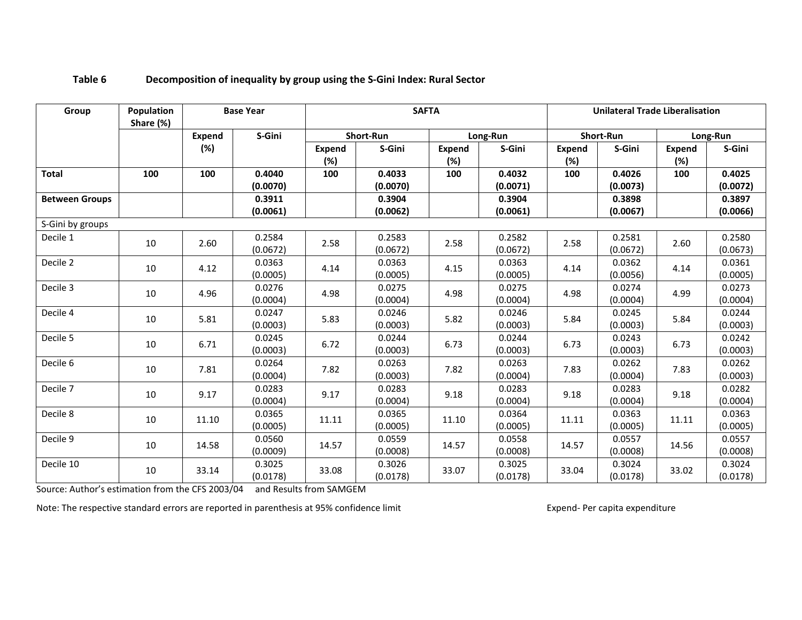| Group                 | Population<br>Share (%) |        | <b>Base Year</b>   |                      | <b>SAFTA</b>       |                      |                    | <b>Unilateral Trade Liberalisation</b> |                    |                      |                    |  |
|-----------------------|-------------------------|--------|--------------------|----------------------|--------------------|----------------------|--------------------|----------------------------------------|--------------------|----------------------|--------------------|--|
|                       |                         | Expend | S-Gini             |                      | <b>Short-Run</b>   |                      | Long-Run           |                                        | <b>Short-Run</b>   |                      | Long-Run           |  |
|                       |                         | (%)    |                    | <b>Expend</b><br>(%) | S-Gini             | <b>Expend</b><br>(%) | S-Gini             | <b>Expend</b><br>(%)                   | S-Gini             | <b>Expend</b><br>(%) | S-Gini             |  |
| <b>Total</b>          | 100                     | 100    | 0.4040<br>(0.0070) | 100                  | 0.4033<br>(0.0070) | 100                  | 0.4032<br>(0.0071) | 100                                    | 0.4026<br>(0.0073) | 100                  | 0.4025<br>(0.0072) |  |
| <b>Between Groups</b> |                         |        | 0.3911<br>(0.0061) |                      | 0.3904<br>(0.0062) |                      | 0.3904<br>(0.0061) |                                        | 0.3898<br>(0.0067) |                      | 0.3897<br>(0.0066) |  |
| S-Gini by groups      |                         |        |                    |                      |                    |                      |                    |                                        |                    |                      |                    |  |
| Decile 1              | 10                      | 2.60   | 0.2584<br>(0.0672) | 2.58                 | 0.2583<br>(0.0672) | 2.58                 | 0.2582<br>(0.0672) | 2.58                                   | 0.2581<br>(0.0672) | 2.60                 | 0.2580<br>(0.0673) |  |
| Decile 2              | 10                      | 4.12   | 0.0363<br>(0.0005) | 4.14                 | 0.0363<br>(0.0005) | 4.15                 | 0.0363<br>(0.0005) | 4.14                                   | 0.0362<br>(0.0056) | 4.14                 | 0.0361<br>(0.0005) |  |
| Decile 3              | 10                      | 4.96   | 0.0276<br>(0.0004) | 4.98                 | 0.0275<br>(0.0004) | 4.98                 | 0.0275<br>(0.0004) | 4.98                                   | 0.0274<br>(0.0004) | 4.99                 | 0.0273<br>(0.0004) |  |
| Decile 4              | 10                      | 5.81   | 0.0247<br>(0.0003) | 5.83                 | 0.0246<br>(0.0003) | 5.82                 | 0.0246<br>(0.0003) | 5.84                                   | 0.0245<br>(0.0003) | 5.84                 | 0.0244<br>(0.0003) |  |
| Decile 5              | 10                      | 6.71   | 0.0245<br>(0.0003) | 6.72                 | 0.0244<br>(0.0003) | 6.73                 | 0.0244<br>(0.0003) | 6.73                                   | 0.0243<br>(0.0003) | 6.73                 | 0.0242<br>(0.0003) |  |
| Decile 6              | 10                      | 7.81   | 0.0264<br>(0.0004) | 7.82                 | 0.0263<br>(0.0003) | 7.82                 | 0.0263<br>(0.0004) | 7.83                                   | 0.0262<br>(0.0004) | 7.83                 | 0.0262<br>(0.0003) |  |
| Decile 7              | 10                      | 9.17   | 0.0283<br>(0.0004) | 9.17                 | 0.0283<br>(0.0004) | 9.18                 | 0.0283<br>(0.0004) | 9.18                                   | 0.0283<br>(0.0004) | 9.18                 | 0.0282<br>(0.0004) |  |
| Decile 8              | 10                      | 11.10  | 0.0365<br>(0.0005) | 11.11                | 0.0365<br>(0.0005) | 11.10                | 0.0364<br>(0.0005) | 11.11                                  | 0.0363<br>(0.0005) | 11.11                | 0.0363<br>(0.0005) |  |
| Decile 9              | 10                      | 14.58  | 0.0560<br>(0.0009) | 14.57                | 0.0559<br>(0.0008) | 14.57                | 0.0558<br>(0.0008) | 14.57                                  | 0.0557<br>(0.0008) | 14.56                | 0.0557<br>(0.0008) |  |
| Decile 10             | 10                      | 33.14  | 0.3025<br>(0.0178) | 33.08                | 0.3026<br>(0.0178) | 33.07                | 0.3025<br>(0.0178) | 33.04                                  | 0.3024<br>(0.0178) | 33.02                | 0.3024<br>(0.0178) |  |

# **Table 6 Decomposition of inequality by group using the S-Gini Index: Rural Sector**

Source: Author's estimation from the CFS 2003/04 and Results from SAMGEM

Note: The respective standard errors are reported in parenthesis at 95% confidence limit Expend- Per capita expenditure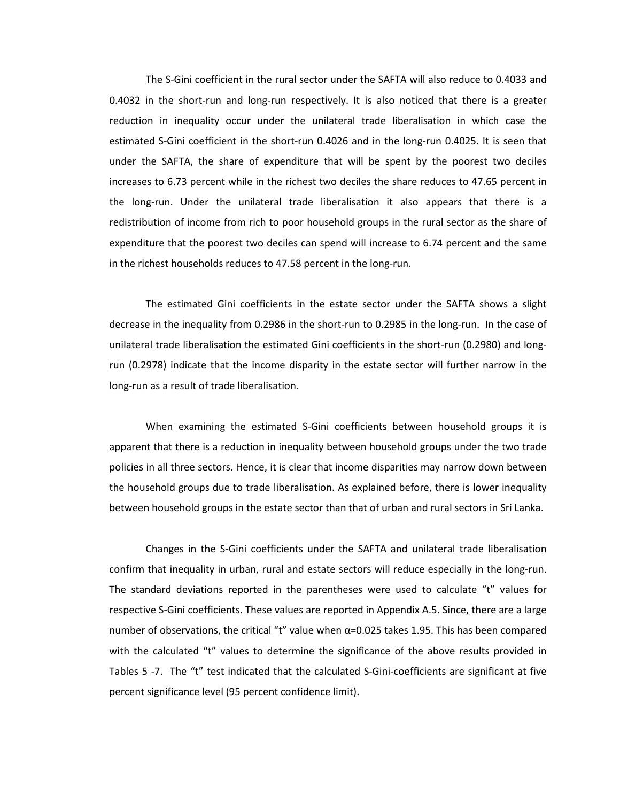The S-Gini coefficient in the rural sector under the SAFTA will also reduce to 0.4033 and 0.4032 in the short-run and long-run respectively. It is also noticed that there is a greater reduction in inequality occur under the unilateral trade liberalisation in which case the estimated S-Gini coefficient in the short-run 0.4026 and in the long-run 0.4025. It is seen that under the SAFTA, the share of expenditure that will be spent by the poorest two deciles increases to 6.73 percent while in the richest two deciles the share reduces to 47.65 percent in the long-run. Under the unilateral trade liberalisation it also appears that there is a redistribution of income from rich to poor household groups in the rural sector as the share of expenditure that the poorest two deciles can spend will increase to 6.74 percent and the same in the richest households reduces to 47.58 percent in the long-run.

The estimated Gini coefficients in the estate sector under the SAFTA shows a slight decrease in the inequality from 0.2986 in the short-run to 0.2985 in the long-run. In the case of unilateral trade liberalisation the estimated Gini coefficients in the short-run (0.2980) and longrun (0.2978) indicate that the income disparity in the estate sector will further narrow in the long-run as a result of trade liberalisation.

When examining the estimated S-Gini coefficients between household groups it is apparent that there is a reduction in inequality between household groups under the two trade policies in all three sectors. Hence, it is clear that income disparities may narrow down between the household groups due to trade liberalisation. As explained before, there is lower inequality between household groups in the estate sector than that of urban and rural sectors in Sri Lanka.

Changes in the S-Gini coefficients under the SAFTA and unilateral trade liberalisation confirm that inequality in urban, rural and estate sectors will reduce especially in the long-run. The standard deviations reported in the parentheses were used to calculate "t" values for respective S-Gini coefficients. These values are reported in Appendix A.5. Since, there are a large number of observations, the critical "t" value when  $\alpha$ =0.025 takes 1.95. This has been compared with the calculated "t" values to determine the significance of the above results provided in Tables 5 -7. The "t" test indicated that the calculated S-Gini-coefficients are significant at five percent significance level (95 percent confidence limit).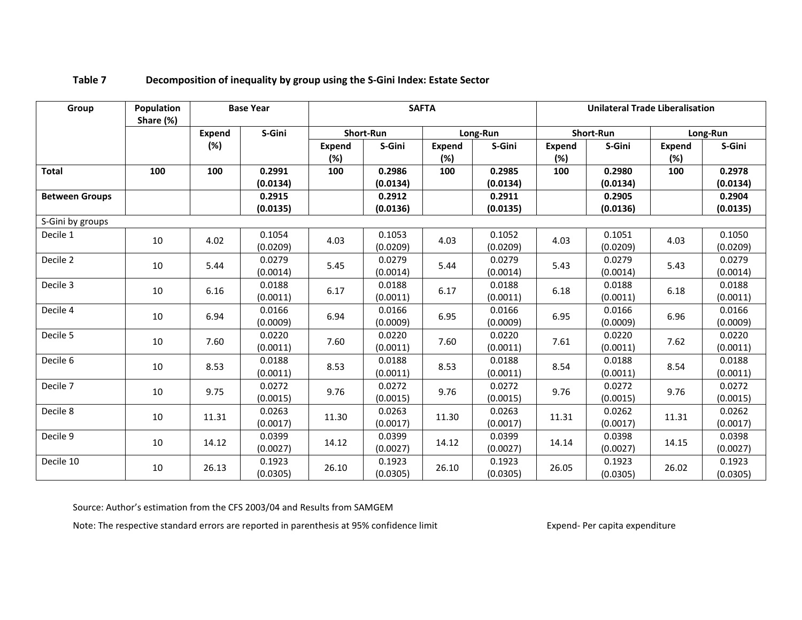| Group                 | Population<br>Share (%) |               | <b>Base Year</b>   |               |                    | <b>SAFTA</b>         |                    |                      | <b>Unilateral Trade Liberalisation</b> |                         |                    |
|-----------------------|-------------------------|---------------|--------------------|---------------|--------------------|----------------------|--------------------|----------------------|----------------------------------------|-------------------------|--------------------|
|                       |                         | <b>Expend</b> | S-Gini             |               | Short-Run          |                      | Long-Run           |                      | Short-Run                              |                         | Long-Run           |
|                       |                         | (%)           |                    | Expend<br>(%) | S-Gini             | <b>Expend</b><br>(%) | S-Gini             | <b>Expend</b><br>(%) | S-Gini                                 | <b>Expend</b><br>$(\%)$ | S-Gini             |
| <b>Total</b>          | 100                     | 100           | 0.2991<br>(0.0134) | 100           | 0.2986<br>(0.0134) | 100                  | 0.2985<br>(0.0134) | 100                  | 0.2980<br>(0.0134)                     | 100                     | 0.2978<br>(0.0134) |
| <b>Between Groups</b> |                         |               | 0.2915             |               | 0.2912             |                      | 0.2911             |                      | 0.2905                                 |                         | 0.2904             |
|                       |                         |               | (0.0135)           |               | (0.0136)           |                      | (0.0135)           |                      | (0.0136)                               |                         | (0.0135)           |
| S-Gini by groups      |                         |               |                    |               |                    |                      |                    |                      |                                        |                         |                    |
| Decile 1              | 10                      | 4.02          | 0.1054<br>(0.0209) | 4.03          | 0.1053<br>(0.0209) | 4.03                 | 0.1052<br>(0.0209) | 4.03                 | 0.1051<br>(0.0209)                     | 4.03                    | 0.1050<br>(0.0209) |
| Decile 2              | 10                      | 5.44          | 0.0279<br>(0.0014) | 5.45          | 0.0279<br>(0.0014) | 5.44                 | 0.0279<br>(0.0014) | 5.43                 | 0.0279<br>(0.0014)                     | 5.43                    | 0.0279<br>(0.0014) |
| Decile 3              | 10                      | 6.16          | 0.0188<br>(0.0011) | 6.17          | 0.0188<br>(0.0011) | 6.17                 | 0.0188<br>(0.0011) | 6.18                 | 0.0188<br>(0.0011)                     | 6.18                    | 0.0188<br>(0.0011) |
| Decile 4              | 10                      | 6.94          | 0.0166<br>(0.0009) | 6.94          | 0.0166<br>(0.0009) | 6.95                 | 0.0166<br>(0.0009) | 6.95                 | 0.0166<br>(0.0009)                     | 6.96                    | 0.0166<br>(0.0009) |
| Decile 5              | 10                      | 7.60          | 0.0220<br>(0.0011) | 7.60          | 0.0220<br>(0.0011) | 7.60                 | 0.0220<br>(0.0011) | 7.61                 | 0.0220<br>(0.0011)                     | 7.62                    | 0.0220<br>(0.0011) |
| Decile 6              | 10                      | 8.53          | 0.0188<br>(0.0011) | 8.53          | 0.0188<br>(0.0011) | 8.53                 | 0.0188<br>(0.0011) | 8.54                 | 0.0188<br>(0.0011)                     | 8.54                    | 0.0188<br>(0.0011) |
| Decile 7              | 10                      | 9.75          | 0.0272<br>(0.0015) | 9.76          | 0.0272<br>(0.0015) | 9.76                 | 0.0272<br>(0.0015) | 9.76                 | 0.0272<br>(0.0015)                     | 9.76                    | 0.0272<br>(0.0015) |
| Decile 8              | 10                      | 11.31         | 0.0263<br>(0.0017) | 11.30         | 0.0263<br>(0.0017) | 11.30                | 0.0263<br>(0.0017) | 11.31                | 0.0262<br>(0.0017)                     | 11.31                   | 0.0262<br>(0.0017) |
| Decile 9              | 10                      | 14.12         | 0.0399<br>(0.0027) | 14.12         | 0.0399<br>(0.0027) | 14.12                | 0.0399<br>(0.0027) | 14.14                | 0.0398<br>(0.0027)                     | 14.15                   | 0.0398<br>(0.0027) |
| Decile 10             | 10                      | 26.13         | 0.1923<br>(0.0305) | 26.10         | 0.1923<br>(0.0305) | 26.10                | 0.1923<br>(0.0305) | 26.05                | 0.1923<br>(0.0305)                     | 26.02                   | 0.1923<br>(0.0305) |

# **Table 7 Decomposition of inequality by group using the S-Gini Index: Estate Sector**

Source: Author's estimation from the CFS 2003/04 and Results from SAMGEM

Note: The respective standard errors are reported in parenthesis at 95% confidence limit Expend- Per capita expenditure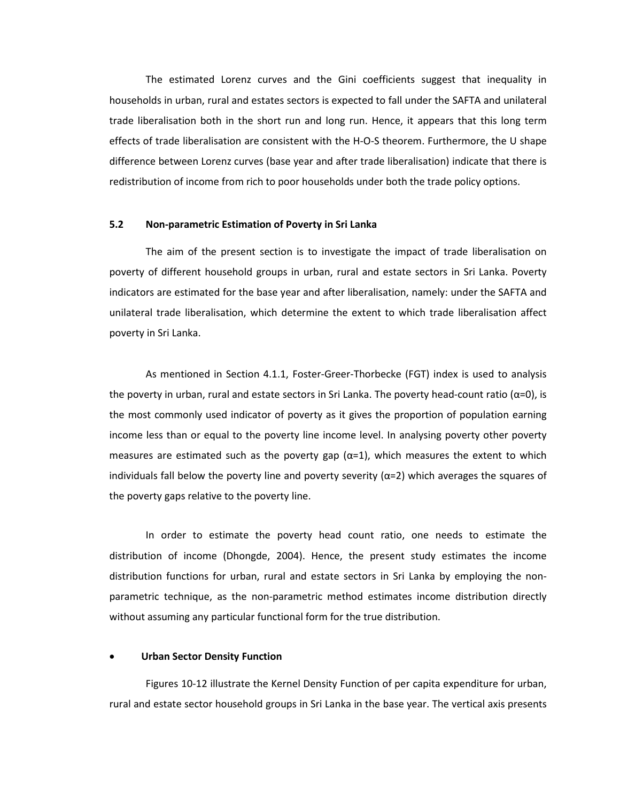The estimated Lorenz curves and the Gini coefficients suggest that inequality in households in urban, rural and estates sectors is expected to fall under the SAFTA and unilateral trade liberalisation both in the short run and long run. Hence, it appears that this long term effects of trade liberalisation are consistent with the H-O-S theorem. Furthermore, the U shape difference between Lorenz curves (base year and after trade liberalisation) indicate that there is redistribution of income from rich to poor households under both the trade policy options.

#### **5.2 Non-parametric Estimation of Poverty in Sri Lanka**

The aim of the present section is to investigate the impact of trade liberalisation on poverty of different household groups in urban, rural and estate sectors in Sri Lanka. Poverty indicators are estimated for the base year and after liberalisation, namely: under the SAFTA and unilateral trade liberalisation, which determine the extent to which trade liberalisation affect poverty in Sri Lanka.

As mentioned in Section 4.1.1, Foster-Greer-Thorbecke (FGT) index is used to analysis the poverty in urban, rural and estate sectors in Sri Lanka. The poverty head-count ratio ( $\alpha$ =0), is the most commonly used indicator of poverty as it gives the proportion of population earning income less than or equal to the poverty line income level. In analysing poverty other poverty measures are estimated such as the poverty gap ( $\alpha$ =1), which measures the extent to which individuals fall below the poverty line and poverty severity ( $\alpha$ =2) which averages the squares of the poverty gaps relative to the poverty line.

In order to estimate the poverty head count ratio, one needs to estimate the distribution of income (Dhongde, 2004). Hence, the present study estimates the income distribution functions for urban, rural and estate sectors in Sri Lanka by employing the nonparametric technique, as the non-parametric method estimates income distribution directly without assuming any particular functional form for the true distribution.

#### • **Urban Sector Density Function**

Figures 10-12 illustrate the Kernel Density Function of per capita expenditure for urban, rural and estate sector household groups in Sri Lanka in the base year. The vertical axis presents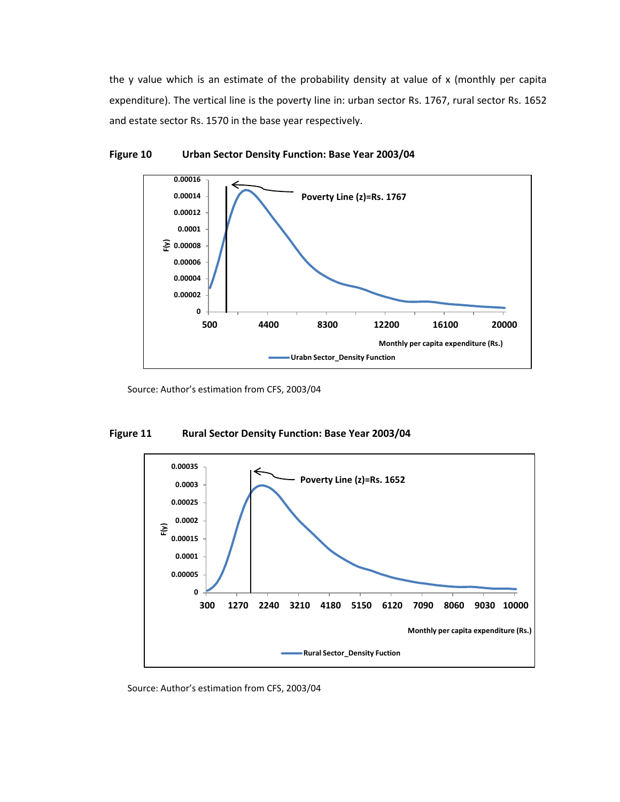the y value which is an estimate of the probability density at value of x (monthly per capita expenditure). The vertical line is the poverty line in: urban sector Rs. 1767, rural sector Rs. 1652 and estate sector Rs. 1570 in the base year respectively.



#### **Figure 10 Urban Sector Density Function: Base Year 2003/04**

Source: Author's estimation from CFS, 2003/04

### **Figure 11 Rural Sector Density Function: Base Year 2003/04**



Source: Author's estimation from CFS, 2003/04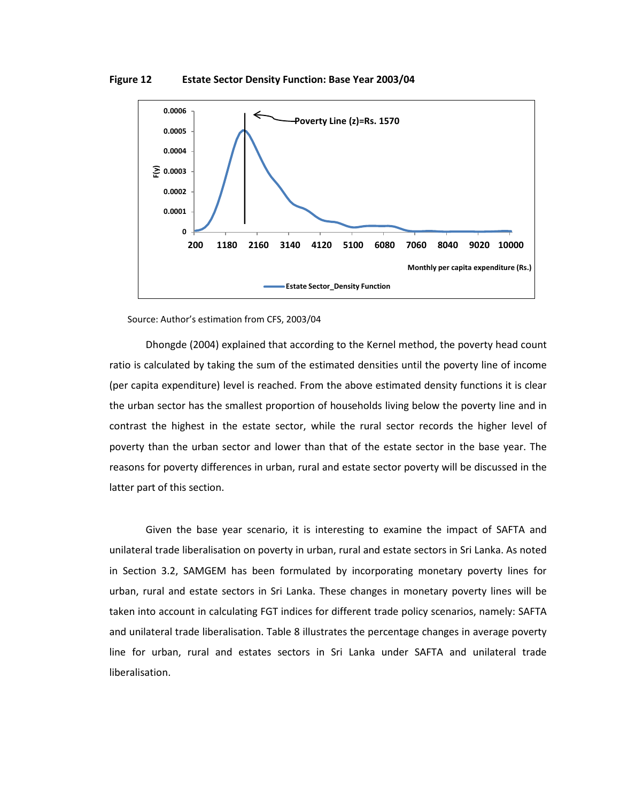**Figure 12 Estate Sector Density Function: Base Year 2003/04**



Source: Author's estimation from CFS, 2003/04

Dhongde (2004) explained that according to the Kernel method, the poverty head count ratio is calculated by taking the sum of the estimated densities until the poverty line of income (per capita expenditure) level is reached. From the above estimated density functions it is clear the urban sector has the smallest proportion of households living below the poverty line and in contrast the highest in the estate sector, while the rural sector records the higher level of poverty than the urban sector and lower than that of the estate sector in the base year. The reasons for poverty differences in urban, rural and estate sector poverty will be discussed in the latter part of this section.

Given the base year scenario, it is interesting to examine the impact of SAFTA and unilateral trade liberalisation on poverty in urban, rural and estate sectors in Sri Lanka. As noted in Section 3.2, SAMGEM has been formulated by incorporating monetary poverty lines for urban, rural and estate sectors in Sri Lanka. These changes in monetary poverty lines will be taken into account in calculating FGT indices for different trade policy scenarios, namely: SAFTA and unilateral trade liberalisation. Table 8 illustrates the percentage changes in average poverty line for urban, rural and estates sectors in Sri Lanka under SAFTA and unilateral trade liberalisation.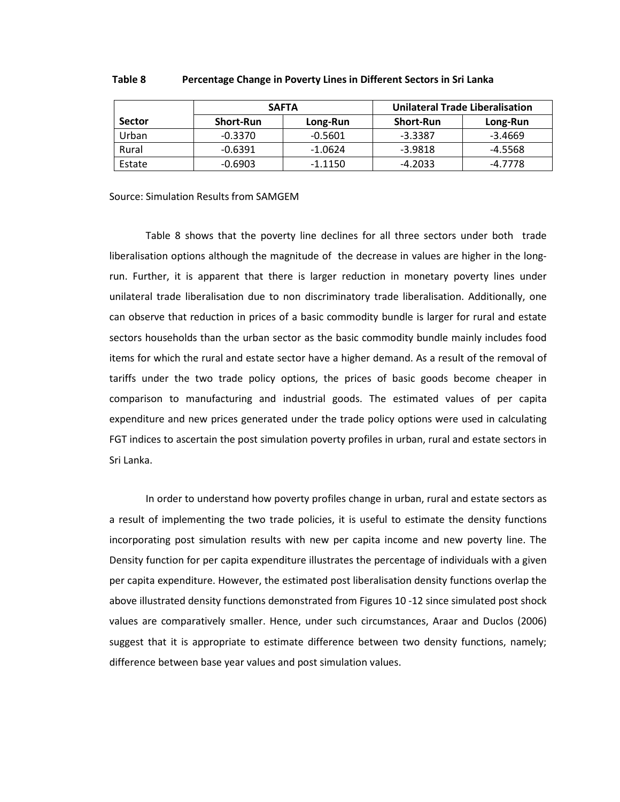|               |                  | <b>SAFTA</b> | Unilateral Trade Liberalisation |           |  |  |  |  |
|---------------|------------------|--------------|---------------------------------|-----------|--|--|--|--|
| <b>Sector</b> | <b>Short-Run</b> | Long-Run     | <b>Short-Run</b>                | Long-Run  |  |  |  |  |
| Urban         | $-0.3370$        | $-0.5601$    | $-3.3387$                       | $-3.4669$ |  |  |  |  |
| Rural         | -0.6391          | $-1.0624$    | -3.9818                         | -4.5568   |  |  |  |  |
| Estate        | $-0.6903$        | $-1.1150$    | $-4.2033$                       | -4.7778   |  |  |  |  |

#### **Table 8 Percentage Change in Poverty Lines in Different Sectors in Sri Lanka**

Source: Simulation Results from SAMGEM

Table 8 shows that the poverty line declines for all three sectors under both trade liberalisation options although the magnitude of the decrease in values are higher in the longrun. Further, it is apparent that there is larger reduction in monetary poverty lines under unilateral trade liberalisation due to non discriminatory trade liberalisation. Additionally, one can observe that reduction in prices of a basic commodity bundle is larger for rural and estate sectors households than the urban sector as the basic commodity bundle mainly includes food items for which the rural and estate sector have a higher demand. As a result of the removal of tariffs under the two trade policy options, the prices of basic goods become cheaper in comparison to manufacturing and industrial goods. The estimated values of per capita expenditure and new prices generated under the trade policy options were used in calculating FGT indices to ascertain the post simulation poverty profiles in urban, rural and estate sectors in Sri Lanka.

In order to understand how poverty profiles change in urban, rural and estate sectors as a result of implementing the two trade policies, it is useful to estimate the density functions incorporating post simulation results with new per capita income and new poverty line. The Density function for per capita expenditure illustrates the percentage of individuals with a given per capita expenditure. However, the estimated post liberalisation density functions overlap the above illustrated density functions demonstrated from Figures 10 -12 since simulated post shock values are comparatively smaller. Hence, under such circumstances, Araar and Duclos (2006) suggest that it is appropriate to estimate difference between two density functions, namely; difference between base year values and post simulation values.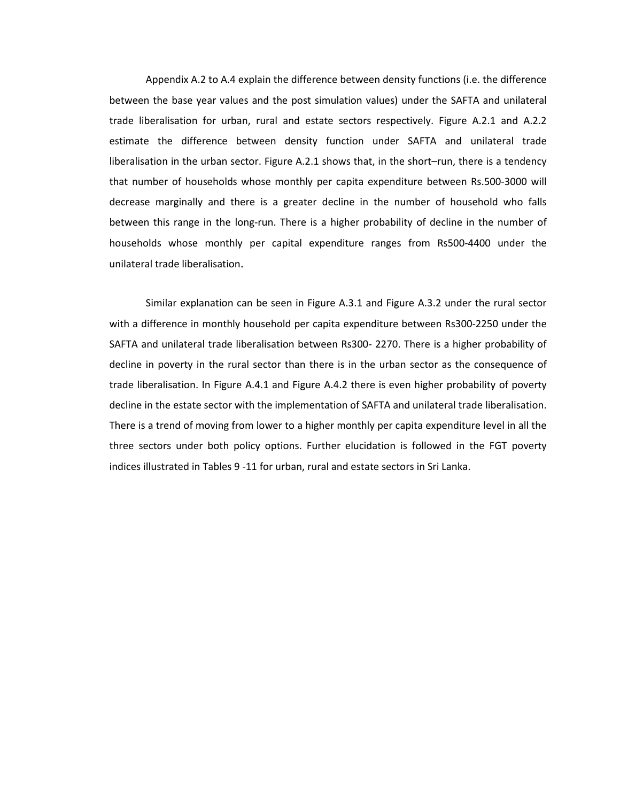Appendix A.2 to A.4 explain the difference between density functions (i.e. the difference between the base year values and the post simulation values) under the SAFTA and unilateral trade liberalisation for urban, rural and estate sectors respectively. Figure A.2.1 and A.2.2 estimate the difference between density function under SAFTA and unilateral trade liberalisation in the urban sector. Figure A.2.1 shows that, in the short–run, there is a tendency that number of households whose monthly per capita expenditure between Rs.500-3000 will decrease marginally and there is a greater decline in the number of household who falls between this range in the long-run. There is a higher probability of decline in the number of households whose monthly per capital expenditure ranges from Rs500-4400 under the unilateral trade liberalisation.

Similar explanation can be seen in Figure A.3.1 and Figure A.3.2 under the rural sector with a difference in monthly household per capita expenditure between Rs300-2250 under the SAFTA and unilateral trade liberalisation between Rs300- 2270. There is a higher probability of decline in poverty in the rural sector than there is in the urban sector as the consequence of trade liberalisation. In Figure A.4.1 and Figure A.4.2 there is even higher probability of poverty decline in the estate sector with the implementation of SAFTA and unilateral trade liberalisation. There is a trend of moving from lower to a higher monthly per capita expenditure level in all the three sectors under both policy options. Further elucidation is followed in the FGT poverty indices illustrated in Tables 9 -11 for urban, rural and estate sectors in Sri Lanka.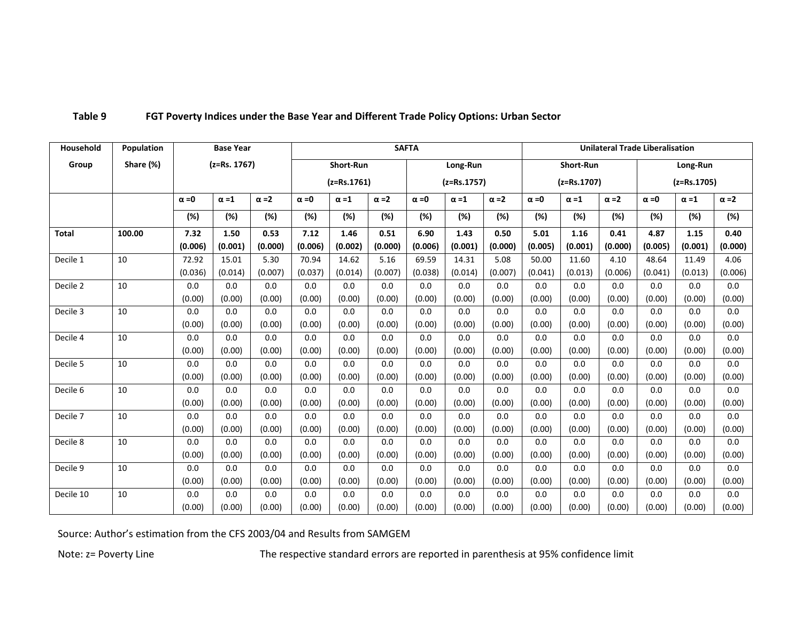| Household    | <b>Population</b> |              | <b>Base Year</b> |              | <b>SAFTA</b> |               |              |              |               |              | <b>Unilateral Trade Liberalisation</b> |               |              |              |               |              |  |
|--------------|-------------------|--------------|------------------|--------------|--------------|---------------|--------------|--------------|---------------|--------------|----------------------------------------|---------------|--------------|--------------|---------------|--------------|--|
| Group        | Share (%)         |              | $(z=Rs. 1767)$   |              |              | Short-Run     |              |              | Long-Run      |              |                                        | Short-Run     |              |              | Long-Run      |              |  |
|              |                   |              |                  |              |              | $(z=Rs.1761)$ |              |              | $(z=Rs.1757)$ |              |                                        | $(z=Rs.1707)$ |              |              | $(z=Rs.1705)$ |              |  |
|              |                   | $\alpha = 0$ | $\alpha = 1$     | $\alpha = 2$ | $\alpha = 0$ | $\alpha = 1$  | $\alpha = 2$ | $\alpha = 0$ | $\alpha = 1$  | $\alpha = 2$ | $\alpha = 0$                           | $\alpha = 1$  | $\alpha = 2$ | $\alpha = 0$ | $\alpha = 1$  | $\alpha = 2$ |  |
|              |                   | (%)          | (%)              | (%)          | (%)          | (%)           | (%)          | (%)          | (%)           | (%)          | $(\%)$                                 | (%)           | (%)          | (%)          | (%)           | (%)          |  |
| <b>Total</b> | 100.00            | 7.32         | 1.50             | 0.53         | 7.12         | 1.46          | 0.51         | 6.90         | 1.43          | 0.50         | 5.01                                   | 1.16          | 0.41         | 4.87         | 1.15          | 0.40         |  |
|              |                   | (0.006)      | (0.001)          | (0.000)      | (0.006)      | (0.002)       | (0.000)      | (0.006)      | (0.001)       | (0.000)      | (0.005)                                | (0.001)       | (0.000)      | (0.005)      | (0.001)       | (0.000)      |  |
| Decile 1     | 10                | 72.92        | 15.01            | 5.30         | 70.94        | 14.62         | 5.16         | 69.59        | 14.31         | 5.08         | 50.00                                  | 11.60         | 4.10         | 48.64        | 11.49         | 4.06         |  |
|              |                   | (0.036)      | (0.014)          | (0.007)      | (0.037)      | (0.014)       | (0.007)      | (0.038)      | (0.014)       | (0.007)      | (0.041)                                | (0.013)       | (0.006)      | (0.041)      | (0.013)       | (0.006)      |  |
| Decile 2     | 10                | 0.0          | 0.0              | 0.0          | 0.0          | 0.0           | 0.0          | 0.0          | 0.0           | 0.0          | 0.0                                    | 0.0           | 0.0          | 0.0          | 0.0           | 0.0          |  |
|              |                   | (0.00)       | (0.00)           | (0.00)       | (0.00)       | (0.00)        | (0.00)       | (0.00)       | (0.00)        | (0.00)       | (0.00)                                 | (0.00)        | (0.00)       | (0.00)       | (0.00)        | (0.00)       |  |
| Decile 3     | 10                | 0.0          | 0.0              | 0.0          | 0.0          | 0.0           | 0.0          | 0.0          | 0.0           | 0.0          | 0.0                                    | 0.0           | 0.0          | 0.0          | 0.0           | 0.0          |  |
|              |                   | (0.00)       | (0.00)           | (0.00)       | (0.00)       | (0.00)        | (0.00)       | (0.00)       | (0.00)        | (0.00)       | (0.00)                                 | (0.00)        | (0.00)       | (0.00)       | (0.00)        | (0.00)       |  |
| Decile 4     | 10                | 0.0          | 0.0              | 0.0          | 0.0          | 0.0           | 0.0          | 0.0          | 0.0           | 0.0          | 0.0                                    | 0.0           | 0.0          | 0.0          | 0.0           | 0.0          |  |
|              |                   | (0.00)       | (0.00)           | (0.00)       | (0.00)       | (0.00)        | (0.00)       | (0.00)       | (0.00)        | (0.00)       | (0.00)                                 | (0.00)        | (0.00)       | (0.00)       | (0.00)        | (0.00)       |  |
| Decile 5     | 10                | 0.0          | 0.0              | 0.0          | 0.0          | 0.0           | 0.0          | 0.0          | 0.0           | 0.0          | 0.0                                    | 0.0           | 0.0          | 0.0          | 0.0           | 0.0          |  |
|              |                   | (0.00)       | (0.00)           | (0.00)       | (0.00)       | (0.00)        | (0.00)       | (0.00)       | (0.00)        | (0.00)       | (0.00)                                 | (0.00)        | (0.00)       | (0.00)       | (0.00)        | (0.00)       |  |
| Decile 6     | 10                | 0.0          | 0.0              | 0.0          | 0.0          | 0.0           | 0.0          | 0.0          | 0.0           | 0.0          | 0.0                                    | 0.0           | 0.0          | 0.0          | 0.0           | 0.0          |  |
|              |                   | (0.00)       | (0.00)           | (0.00)       | (0.00)       | (0.00)        | (0.00)       | (0.00)       | (0.00)        | (0.00)       | (0.00)                                 | (0.00)        | (0.00)       | (0.00)       | (0.00)        | (0.00)       |  |
| Decile 7     | 10                | 0.0          | 0.0              | 0.0          | 0.0          | 0.0           | 0.0          | 0.0          | 0.0           | 0.0          | 0.0                                    | 0.0           | 0.0          | 0.0          | 0.0           | 0.0          |  |
|              |                   | (0.00)       | (0.00)           | (0.00)       | (0.00)       | (0.00)        | (0.00)       | (0.00)       | (0.00)        | (0.00)       | (0.00)                                 | (0.00)        | (0.00)       | (0.00)       | (0.00)        | (0.00)       |  |
| Decile 8     | 10                | 0.0          | 0.0              | 0.0          | 0.0          | 0.0           | 0.0          | 0.0          | 0.0           | 0.0          | 0.0                                    | 0.0           | 0.0          | 0.0          | 0.0           | 0.0          |  |
|              |                   | (0.00)       | (0.00)           | (0.00)       | (0.00)       | (0.00)        | (0.00)       | (0.00)       | (0.00)        | (0.00)       | (0.00)                                 | (0.00)        | (0.00)       | (0.00)       | (0.00)        | (0.00)       |  |
| Decile 9     | 10                | 0.0          | 0.0              | 0.0          | 0.0          | 0.0           | 0.0          | 0.0          | 0.0           | 0.0          | 0.0                                    | 0.0           | 0.0          | 0.0          | 0.0           | 0.0          |  |
|              |                   | (0.00)       | (0.00)           | (0.00)       | (0.00)       | (0.00)        | (0.00)       | (0.00)       | (0.00)        | (0.00)       | (0.00)                                 | (0.00)        | (0.00)       | (0.00)       | (0.00)        | (0.00)       |  |
| Decile 10    | 10                | 0.0          | 0.0              | 0.0          | 0.0          | 0.0           | 0.0          | 0.0          | 0.0           | 0.0          | 0.0                                    | 0.0           | 0.0          | 0.0          | 0.0           | 0.0          |  |
|              |                   | (0.00)       | (0.00)           | (0.00)       | (0.00)       | (0.00)        | (0.00)       | (0.00)       | (0.00)        | (0.00)       | (0.00)                                 | (0.00)        | (0.00)       | (0.00)       | (0.00)        | (0.00)       |  |

## **Table 9 FGT Poverty Indices under the Base Year and Different Trade Policy Options: Urban Sector**

Source: Author's estimation from the CFS 2003/04 and Results from SAMGEM

Note: z= Poverty Line The respective standard errors are reported in parenthesis at 95% confidence limit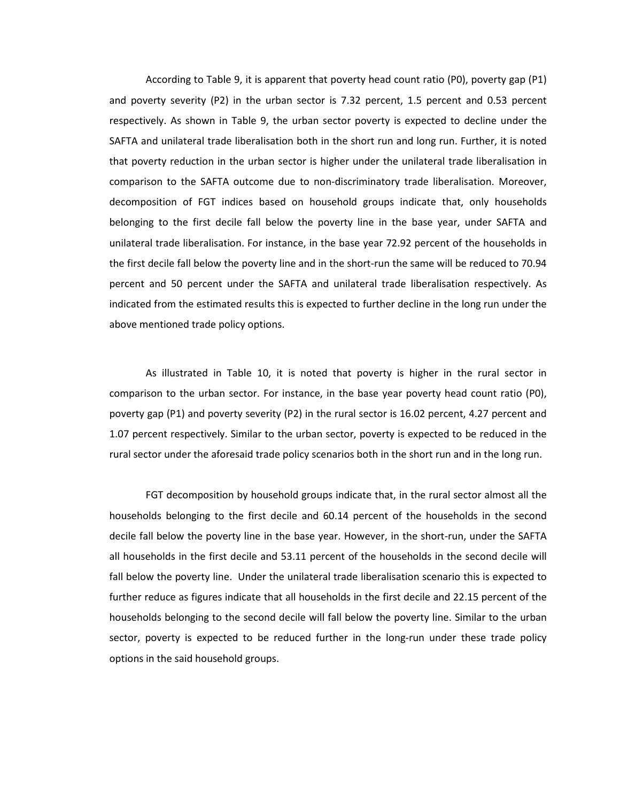According to Table 9, it is apparent that poverty head count ratio (P0), poverty gap (P1) and poverty severity (P2) in the urban sector is 7.32 percent, 1.5 percent and 0.53 percent respectively. As shown in Table 9, the urban sector poverty is expected to decline under the SAFTA and unilateral trade liberalisation both in the short run and long run. Further, it is noted that poverty reduction in the urban sector is higher under the unilateral trade liberalisation in comparison to the SAFTA outcome due to non-discriminatory trade liberalisation. Moreover, decomposition of FGT indices based on household groups indicate that, only households belonging to the first decile fall below the poverty line in the base year, under SAFTA and unilateral trade liberalisation. For instance, in the base year 72.92 percent of the households in the first decile fall below the poverty line and in the short-run the same will be reduced to 70.94 percent and 50 percent under the SAFTA and unilateral trade liberalisation respectively. As indicated from the estimated results this is expected to further decline in the long run under the above mentioned trade policy options.

As illustrated in Table 10, it is noted that poverty is higher in the rural sector in comparison to the urban sector. For instance, in the base year poverty head count ratio (P0), poverty gap (P1) and poverty severity (P2) in the rural sector is 16.02 percent, 4.27 percent and 1.07 percent respectively. Similar to the urban sector, poverty is expected to be reduced in the rural sector under the aforesaid trade policy scenarios both in the short run and in the long run.

FGT decomposition by household groups indicate that, in the rural sector almost all the households belonging to the first decile and 60.14 percent of the households in the second decile fall below the poverty line in the base year. However, in the short-run, under the SAFTA all households in the first decile and 53.11 percent of the households in the second decile will fall below the poverty line. Under the unilateral trade liberalisation scenario this is expected to further reduce as figures indicate that all households in the first decile and 22.15 percent of the households belonging to the second decile will fall below the poverty line. Similar to the urban sector, poverty is expected to be reduced further in the long-run under these trade policy options in the said household groups.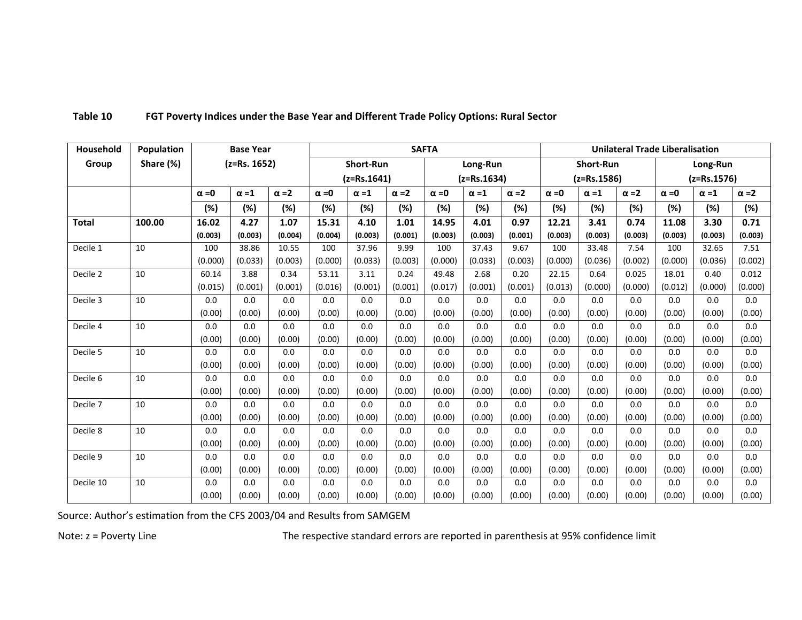| Household           | Population |              | <b>Base Year</b>             |         | <b>SAFTA</b> |                  |              |               |              |              |                              | <b>Unilateral Trade Liberalisation</b> |              |               |              |              |
|---------------------|------------|--------------|------------------------------|---------|--------------|------------------|--------------|---------------|--------------|--------------|------------------------------|----------------------------------------|--------------|---------------|--------------|--------------|
| Group               | Share (%)  |              | $(z=Rs. 1652)$               |         |              | <b>Short-Run</b> |              |               | Long-Run     |              | <b>Short-Run</b><br>Long-Run |                                        |              |               |              |              |
|                     |            |              |                              |         |              | $(z=Rs.1641)$    |              | $(z=Rs.1634)$ |              |              |                              | $(z=Rs.1586)$                          |              | $(z=Rs.1576)$ |              |              |
|                     |            | $\alpha = 0$ | $\alpha = 2$<br>$\alpha = 1$ |         | $\alpha = 0$ | $\alpha = 1$     | $\alpha = 2$ | $\alpha = 0$  | $\alpha = 1$ | $\alpha = 2$ | $\alpha = 0$                 | $\alpha = 1$                           | $\alpha = 2$ | $\alpha = 0$  | $\alpha = 1$ | $\alpha = 2$ |
|                     |            | (%)          | (%)                          | (%)     | (%)          | (%)              | (%)          | (%)           | (%)          | $(\%)$       | (%)                          | (%)                                    | (%)          | (%)           | (%)          | (%)          |
| <b>Total</b>        | 100.00     | 16.02        | 4.27                         | 1.07    | 15.31        | 4.10             | 1.01         | 14.95         | 4.01         | 0.97         | 12.21                        | 3.41                                   | 0.74         | 11.08         | 3.30         | 0.71         |
|                     |            | (0.003)      | (0.003)                      | (0.004) | (0.004)      | (0.003)          | (0.001)      | (0.003)       | (0.003)      | (0.001)      | (0.003)                      | (0.003)                                | (0.003)      | (0.003)       | (0.003)      | (0.003)      |
| Decile 1            | 10         | 100          | 38.86                        | 10.55   | 100          | 37.96            | 9.99         | 100           | 37.43        | 9.67         | 100                          | 33.48                                  | 7.54         | 100           | 32.65        | 7.51         |
|                     |            | (0.000)      | (0.033)                      | (0.003) | (0.000)      | (0.033)          | (0.003)      | (0.000)       | (0.033)      | (0.003)      | (0.000)                      | (0.036)                                | (0.002)      | (0.000)       | (0.036)      | (0.002)      |
| Decile 2            | 10         | 60.14        | 3.88                         | 0.34    | 53.11        | 3.11             | 0.24         | 49.48         | 2.68         | 0.20         | 22.15                        | 0.64                                   | 0.025        | 18.01         | 0.40         | 0.012        |
|                     |            | (0.015)      | (0.001)                      | (0.001) | (0.016)      | (0.001)          | (0.001)      | (0.017)       | (0.001)      | (0.001)      | (0.013)                      | (0.000)                                | (0.000)      | (0.012)       | (0.000)      | (0.000)      |
| Decile 3            | 10         | 0.0          | 0.0                          | 0.0     | 0.0          | 0.0              | 0.0          | 0.0           | 0.0          | 0.0          | 0.0                          | 0.0                                    | 0.0          | 0.0           | 0.0          | 0.0          |
|                     |            | (0.00)       | (0.00)                       | (0.00)  | (0.00)       | (0.00)           | (0.00)       | (0.00)        | (0.00)       | (0.00)       | (0.00)                       | (0.00)                                 | (0.00)       | (0.00)        | (0.00)       | (0.00)       |
| Decile 4            | 10         | 0.0          | 0.0                          | 0.0     | 0.0          | 0.0              | 0.0          | 0.0           | 0.0          | 0.0          | 0.0                          | 0.0                                    | 0.0          | 0.0           | 0.0          | 0.0          |
|                     |            | (0.00)       | (0.00)                       | (0.00)  | (0.00)       | (0.00)           | (0.00)       | (0.00)        | (0.00)       | (0.00)       | (0.00)                       | (0.00)                                 | (0.00)       | (0.00)        | (0.00)       | (0.00)       |
| Decile 5            | 10         | 0.0          | 0.0                          | 0.0     | 0.0          | 0.0              | 0.0          | 0.0           | 0.0          | 0.0          | 0.0                          | 0.0                                    | 0.0          | 0.0           | 0.0          | 0.0          |
|                     |            | (0.00)       | (0.00)                       | (0.00)  | (0.00)       | (0.00)           | (0.00)       | (0.00)        | (0.00)       | (0.00)       | (0.00)                       | (0.00)                                 | (0.00)       | (0.00)        | (0.00)       | (0.00)       |
| Decile 6            | 10         | 0.0          | 0.0                          | 0.0     | 0.0          | 0.0              | 0.0          | 0.0           | 0.0          | 0.0          | 0.0                          | 0.0                                    | 0.0          | 0.0           | 0.0          | 0.0          |
|                     |            | (0.00)       | (0.00)                       | (0.00)  | (0.00)       | (0.00)           | (0.00)       | (0.00)        | (0.00)       | (0.00)       | (0.00)                       | (0.00)                                 | (0.00)       | (0.00)        | (0.00)       | (0.00)       |
| Decile <sub>7</sub> | 10         | 0.0          | 0.0                          | 0.0     | 0.0          | 0.0              | 0.0          | 0.0           | 0.0          | 0.0          | 0.0                          | 0.0                                    | 0.0          | 0.0           | 0.0          | 0.0          |
|                     |            | (0.00)       | (0.00)                       | (0.00)  | (0.00)       | (0.00)           | (0.00)       | (0.00)        | (0.00)       | (0.00)       | (0.00)                       | (0.00)                                 | (0.00)       | (0.00)        | (0.00)       | (0.00)       |
| Decile 8            | 10         | 0.0          | 0.0                          | 0.0     | 0.0          | 0.0              | 0.0          | 0.0           | 0.0          | 0.0          | 0.0                          | 0.0                                    | 0.0          | 0.0           | 0.0          | 0.0          |
|                     |            | (0.00)       | (0.00)                       | (0.00)  | (0.00)       | (0.00)           | (0.00)       | (0.00)        | (0.00)       | (0.00)       | (0.00)                       | (0.00)                                 | (0.00)       | (0.00)        | (0.00)       | (0.00)       |
| Decile 9            | 10         | 0.0          | 0.0                          | 0.0     | 0.0          | 0.0              | 0.0          | 0.0           | 0.0          | 0.0          | 0.0                          | 0.0                                    | 0.0          | 0.0           | 0.0          | 0.0          |
|                     |            | (0.00)       | (0.00)                       | (0.00)  | (0.00)       | (0.00)           | (0.00)       | (0.00)        | (0.00)       | (0.00)       | (0.00)                       | (0.00)                                 | (0.00)       | (0.00)        | (0.00)       | (0.00)       |
| Decile 10           | 10         | 0.0          | 0.0                          | 0.0     | 0.0          | 0.0              | 0.0          | 0.0           | 0.0          | 0.0          | 0.0                          | 0.0                                    | 0.0          | 0.0           | 0.0          | 0.0          |
|                     |            | (0.00)       | (0.00)                       | (0.00)  | (0.00)       | (0.00)           | (0.00)       | (0.00)        | (0.00)       | (0.00)       | (0.00)                       | (0.00)                                 | (0.00)       | (0.00)        | (0.00)       | (0.00)       |

## **Table 10 FGT Poverty Indices under the Base Year and Different Trade Policy Options: Rural Sector**

Source: Author's estimation from the CFS 2003/04 and Results from SAMGEM

Note: z = Poverty Line The The respective standard errors are reported in parenthesis at 95% confidence limit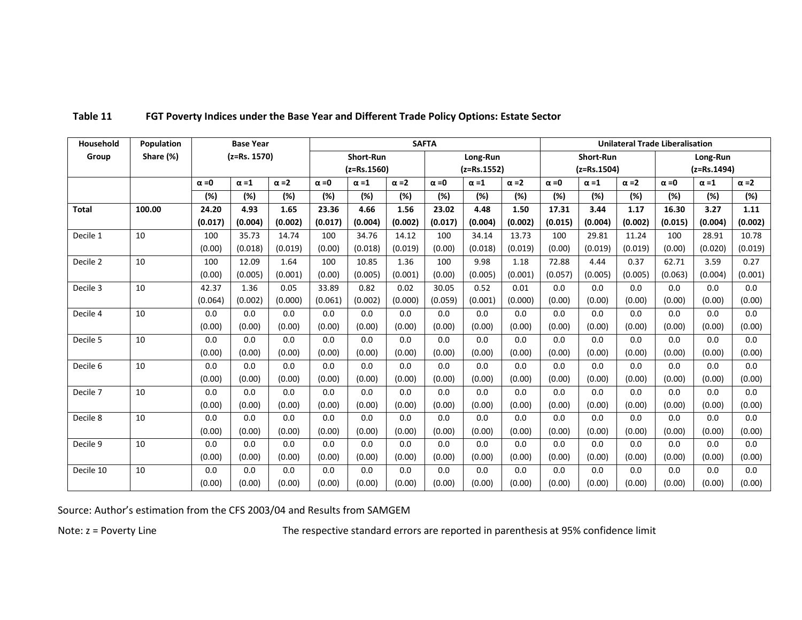| Household    | Population | <b>SAFTA</b><br><b>Base Year</b> |                |              |                                |                  |              |               |              |              | <b>Unilateral Trade Liberalisation</b> |              |              |              |              |              |
|--------------|------------|----------------------------------|----------------|--------------|--------------------------------|------------------|--------------|---------------|--------------|--------------|----------------------------------------|--------------|--------------|--------------|--------------|--------------|
| Group        | Share (%)  |                                  | $(z=Rs. 1570)$ |              |                                | <b>Short-Run</b> |              |               | Long-Run     |              | <b>Short-Run</b>                       |              |              | Long-Run     |              |              |
|              |            |                                  |                |              | $(z=Rs.1560)$<br>$(z=Rs.1552)$ |                  |              | $(z=Rs.1504)$ |              |              | $(z=Rs.1494)$                          |              |              |              |              |              |
|              |            | $\alpha = 0$                     | $\alpha = 1$   | $\alpha = 2$ | $\alpha = 0$                   | $\alpha = 1$     | $\alpha = 2$ | $\alpha = 0$  | $\alpha = 1$ | $\alpha = 2$ | $\alpha = 0$                           | $\alpha = 1$ | $\alpha = 2$ | $\alpha = 0$ | $\alpha = 1$ | $\alpha = 2$ |
|              |            | $(\%)$                           | (%)            | (%)          | (%)                            | $(\%)$           | (%)          | (%)           | (%)          | (%)          | (%)                                    | (%)          | (%)          | (%)          | (%)          | (%)          |
| <b>Total</b> | 100.00     | 24.20                            | 4.93           | 1.65         | 23.36                          | 4.66             | 1.56         | 23.02         | 4.48         | 1.50         | 17.31                                  | 3.44         | 1.17         | 16.30        | 3.27         | 1.11         |
|              |            | (0.017)                          | (0.004)        | (0.002)      | (0.017)                        | (0.004)          | (0.002)      | (0.017)       | (0.004)      | (0.002)      | (0.015)                                | (0.004)      | (0.002)      | (0.015)      | (0.004)      | (0.002)      |
| Decile 1     | 10         | 100                              | 35.73          | 14.74        | 100                            | 34.76            | 14.12        | 100           | 34.14        | 13.73        | 100                                    | 29.81        | 11.24        | 100          | 28.91        | 10.78        |
|              |            | (0.00)                           | (0.018)        | (0.019)      | (0.00)                         | (0.018)          | (0.019)      | (0.00)        | (0.018)      | (0.019)      | (0.00)                                 | (0.019)      | (0.019)      | (0.00)       | (0.020)      | (0.019)      |
| Decile 2     | 10         | 100                              | 12.09          | 1.64         | 100                            | 10.85            | 1.36         | 100           | 9.98         | 1.18         | 72.88                                  | 4.44         | 0.37         | 62.71        | 3.59         | 0.27         |
|              |            | (0.00)                           | (0.005)        | (0.001)      | (0.00)                         | (0.005)          | (0.001)      | (0.00)        | (0.005)      | (0.001)      | (0.057)                                | (0.005)      | (0.005)      | (0.063)      | (0.004)      | (0.001)      |
| Decile 3     | 10         | 42.37                            | 1.36           | 0.05         | 33.89                          | 0.82             | 0.02         | 30.05         | 0.52         | 0.01         | 0.0                                    | 0.0          | 0.0          | 0.0          | 0.0          | 0.0          |
|              |            | (0.064)                          | (0.002)        | (0.000)      | (0.061)                        | (0.002)          | (0.000)      | (0.059)       | (0.001)      | (0.000)      | (0.00)                                 | (0.00)       | (0.00)       | (0.00)       | (0.00)       | (0.00)       |
| Decile 4     | 10         | 0.0                              | 0.0            | 0.0          | 0.0                            | 0.0              | 0.0          | 0.0           | 0.0          | 0.0          | 0.0                                    | 0.0          | 0.0          | 0.0          | 0.0          | 0.0          |
|              |            | (0.00)                           | (0.00)         | (0.00)       | (0.00)                         | (0.00)           | (0.00)       | (0.00)        | (0.00)       | (0.00)       | (0.00)                                 | (0.00)       | (0.00)       | (0.00)       | (0.00)       | (0.00)       |
| Decile 5     | 10         | 0.0                              | 0.0            | 0.0          | 0.0                            | 0.0              | 0.0          | 0.0           | 0.0          | 0.0          | 0.0                                    | 0.0          | 0.0          | 0.0          | 0.0          | 0.0          |
|              |            | (0.00)                           | (0.00)         | (0.00)       | (0.00)                         | (0.00)           | (0.00)       | (0.00)        | (0.00)       | (0.00)       | (0.00)                                 | (0.00)       | (0.00)       | (0.00)       | (0.00)       | (0.00)       |
| Decile 6     | 10         | 0.0                              | 0.0            | 0.0          | 0.0                            | 0.0              | 0.0          | 0.0           | 0.0          | 0.0          | 0.0                                    | 0.0          | 0.0          | 0.0          | 0.0          | 0.0          |
|              |            | (0.00)                           | (0.00)         | (0.00)       | (0.00)                         | (0.00)           | (0.00)       | (0.00)        | (0.00)       | (0.00)       | (0.00)                                 | (0.00)       | (0.00)       | (0.00)       | (0.00)       | (0.00)       |
| Decile 7     | 10         | 0.0                              | 0.0            | 0.0          | 0.0                            | 0.0              | 0.0          | 0.0           | 0.0          | 0.0          | 0.0                                    | 0.0          | 0.0          | 0.0          | 0.0          | 0.0          |
|              |            | (0.00)                           | (0.00)         | (0.00)       | (0.00)                         | (0.00)           | (0.00)       | (0.00)        | (0.00)       | (0.00)       | (0.00)                                 | (0.00)       | (0.00)       | (0.00)       | (0.00)       | (0.00)       |
| Decile 8     | 10         | 0.0                              | 0.0            | 0.0          | 0.0                            | 0.0              | 0.0          | 0.0           | 0.0          | 0.0          | 0.0                                    | 0.0          | 0.0          | 0.0          | 0.0          | 0.0          |
|              |            | (0.00)                           | (0.00)         | (0.00)       | (0.00)                         | (0.00)           | (0.00)       | (0.00)        | (0.00)       | (0.00)       | (0.00)                                 | (0.00)       | (0.00)       | (0.00)       | (0.00)       | (0.00)       |
| Decile 9     | 10         | 0.0                              | 0.0            | 0.0          | 0.0                            | 0.0              | 0.0          | 0.0           | 0.0          | 0.0          | 0.0                                    | 0.0          | 0.0          | 0.0          | 0.0          | 0.0          |
|              |            | (0.00)                           | (0.00)         | (0.00)       | (0.00)                         | (0.00)           | (0.00)       | (0.00)        | (0.00)       | (0.00)       | (0.00)                                 | (0.00)       | (0.00)       | (0.00)       | (0.00)       | (0.00)       |
| Decile 10    | 10         | 0.0                              | 0.0            | 0.0          | 0.0                            | 0.0              | 0.0          | 0.0           | 0.0          | 0.0          | 0.0                                    | 0.0          | 0.0          | 0.0          | 0.0          | 0.0          |
|              |            | (0.00)                           | (0.00)         | (0.00)       | (0.00)                         | (0.00)           | (0.00)       | (0.00)        | (0.00)       | (0.00)       | (0.00)                                 | (0.00)       | (0.00)       | (0.00)       | (0.00)       | (0.00)       |

### **Table 11 FGT Poverty Indices under the Base Year and Different Trade Policy Options: Estate Sector**

Source: Author's estimation from the CFS 2003/04 and Results from SAMGEM

Note: z = Poverty Line The respective standard errors are reported in parenthesis at 95% confidence limit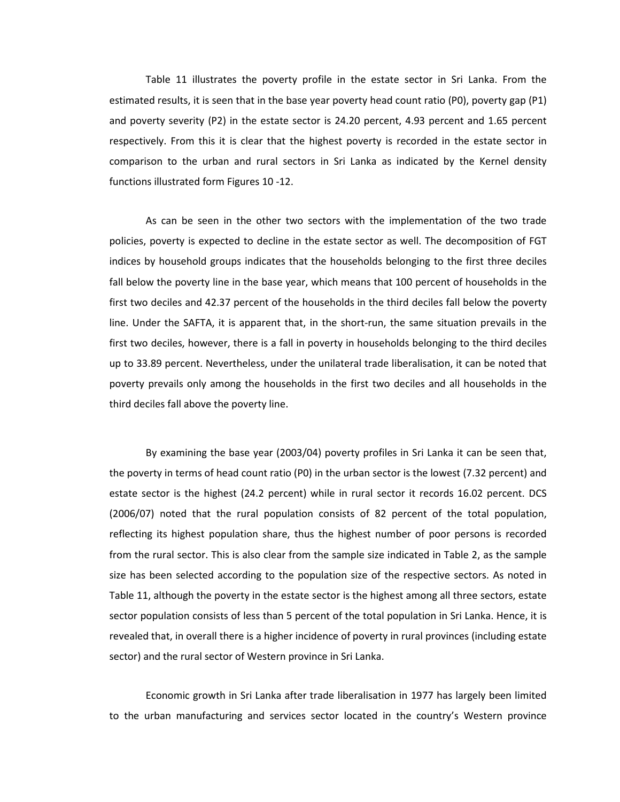Table 11 illustrates the poverty profile in the estate sector in Sri Lanka. From the estimated results, it is seen that in the base year poverty head count ratio (P0), poverty gap (P1) and poverty severity (P2) in the estate sector is 24.20 percent, 4.93 percent and 1.65 percent respectively. From this it is clear that the highest poverty is recorded in the estate sector in comparison to the urban and rural sectors in Sri Lanka as indicated by the Kernel density functions illustrated form Figures 10 -12.

As can be seen in the other two sectors with the implementation of the two trade policies, poverty is expected to decline in the estate sector as well. The decomposition of FGT indices by household groups indicates that the households belonging to the first three deciles fall below the poverty line in the base year, which means that 100 percent of households in the first two deciles and 42.37 percent of the households in the third deciles fall below the poverty line. Under the SAFTA, it is apparent that, in the short-run, the same situation prevails in the first two deciles, however, there is a fall in poverty in households belonging to the third deciles up to 33.89 percent. Nevertheless, under the unilateral trade liberalisation, it can be noted that poverty prevails only among the households in the first two deciles and all households in the third deciles fall above the poverty line.

By examining the base year (2003/04) poverty profiles in Sri Lanka it can be seen that, the poverty in terms of head count ratio (P0) in the urban sector is the lowest (7.32 percent) and estate sector is the highest (24.2 percent) while in rural sector it records 16.02 percent. DCS (2006/07) noted that the rural population consists of 82 percent of the total population, reflecting its highest population share, thus the highest number of poor persons is recorded from the rural sector. This is also clear from the sample size indicated in Table 2, as the sample size has been selected according to the population size of the respective sectors. As noted in Table 11, although the poverty in the estate sector is the highest among all three sectors, estate sector population consists of less than 5 percent of the total population in Sri Lanka. Hence, it is revealed that, in overall there is a higher incidence of poverty in rural provinces (including estate sector) and the rural sector of Western province in Sri Lanka.

Economic growth in Sri Lanka after trade liberalisation in 1977 has largely been limited to the urban manufacturing and services sector located in the country's Western province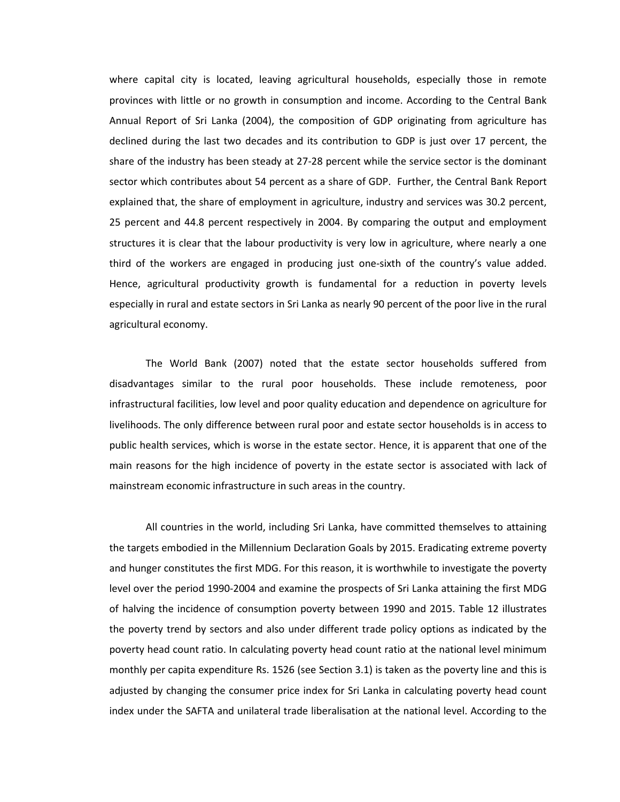where capital city is located, leaving agricultural households, especially those in remote provinces with little or no growth in consumption and income. According to the Central Bank Annual Report of Sri Lanka (2004), the composition of GDP originating from agriculture has declined during the last two decades and its contribution to GDP is just over 17 percent, the share of the industry has been steady at 27-28 percent while the service sector is the dominant sector which contributes about 54 percent as a share of GDP. Further, the Central Bank Report explained that, the share of employment in agriculture, industry and services was 30.2 percent, 25 percent and 44.8 percent respectively in 2004. By comparing the output and employment structures it is clear that the labour productivity is very low in agriculture, where nearly a one third of the workers are engaged in producing just one-sixth of the country's value added. Hence, agricultural productivity growth is fundamental for a reduction in poverty levels especially in rural and estate sectors in Sri Lanka as nearly 90 percent of the poor live in the rural agricultural economy.

The World Bank (2007) noted that the estate sector households suffered from disadvantages similar to the rural poor households. These include remoteness, poor infrastructural facilities, low level and poor quality education and dependence on agriculture for livelihoods. The only difference between rural poor and estate sector households is in access to public health services, which is worse in the estate sector. Hence, it is apparent that one of the main reasons for the high incidence of poverty in the estate sector is associated with lack of mainstream economic infrastructure in such areas in the country.

All countries in the world, including Sri Lanka, have committed themselves to attaining the targets embodied in the Millennium Declaration Goals by 2015. Eradicating extreme poverty and hunger constitutes the first MDG. For this reason, it is worthwhile to investigate the poverty level over the period 1990-2004 and examine the prospects of Sri Lanka attaining the first MDG of halving the incidence of consumption poverty between 1990 and 2015. Table 12 illustrates the poverty trend by sectors and also under different trade policy options as indicated by the poverty head count ratio. In calculating poverty head count ratio at the national level minimum monthly per capita expenditure Rs. 1526 (see Section 3.1) is taken as the poverty line and this is adjusted by changing the consumer price index for Sri Lanka in calculating poverty head count index under the SAFTA and unilateral trade liberalisation at the national level. According to the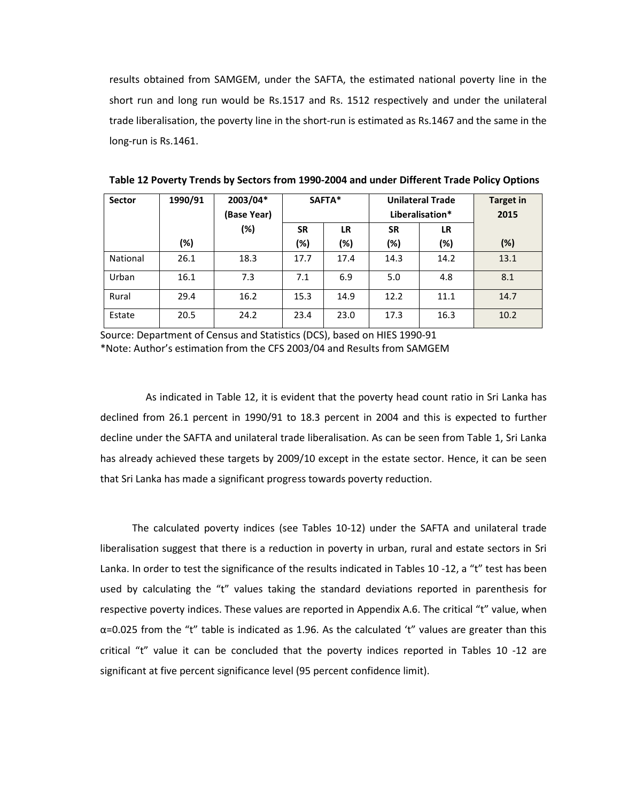results obtained from SAMGEM, under the SAFTA, the estimated national poverty line in the short run and long run would be Rs.1517 and Rs. 1512 respectively and under the unilateral trade liberalisation, the poverty line in the short-run is estimated as Rs.1467 and the same in the long-run is Rs.1461.

| <b>Sector</b> | 1990/91 | 2003/04*<br>(Base Year) |           | SAFTA*    |           | <b>Unilateral Trade</b><br>Liberalisation* | Target in<br>2015 |
|---------------|---------|-------------------------|-----------|-----------|-----------|--------------------------------------------|-------------------|
|               |         | (%)                     | <b>SR</b> | <b>LR</b> | <b>SR</b> | <b>LR</b>                                  |                   |
|               | (%)     |                         | (%)       | (%)       | (%)       | (%)                                        | (%)               |
| National      | 26.1    | 18.3                    | 17.7      | 17.4      | 14.3      | 14.2                                       | 13.1              |
| Urban         | 16.1    | 7.3                     | 7.1       | 6.9       | 5.0       | 4.8                                        | 8.1               |
| Rural         | 29.4    | 16.2                    | 15.3      | 14.9      | 12.2      | 11.1                                       | 14.7              |
| Estate        | 20.5    | 24.2                    | 23.4      | 23.0      | 17.3      | 16.3                                       | 10.2              |

**Table 12 Poverty Trends by Sectors from 1990-2004 and under Different Trade Policy Options**

Source: Department of Census and Statistics (DCS), based on HIES 1990-91 \*Note: Author's estimation from the CFS 2003/04 and Results from SAMGEM

As indicated in Table 12, it is evident that the poverty head count ratio in Sri Lanka has declined from 26.1 percent in 1990/91 to 18.3 percent in 2004 and this is expected to further decline under the SAFTA and unilateral trade liberalisation. As can be seen from Table 1, Sri Lanka has already achieved these targets by 2009/10 except in the estate sector. Hence, it can be seen that Sri Lanka has made a significant progress towards poverty reduction.

The calculated poverty indices (see Tables 10-12) under the SAFTA and unilateral trade liberalisation suggest that there is a reduction in poverty in urban, rural and estate sectors in Sri Lanka. In order to test the significance of the results indicated in Tables 10 -12, a "t" test has been used by calculating the "t" values taking the standard deviations reported in parenthesis for respective poverty indices. These values are reported in Appendix A.6. The critical "t" value, when  $\alpha$ =0.025 from the "t" table is indicated as 1.96. As the calculated 't" values are greater than this critical "t" value it can be concluded that the poverty indices reported in Tables 10 -12 are significant at five percent significance level (95 percent confidence limit).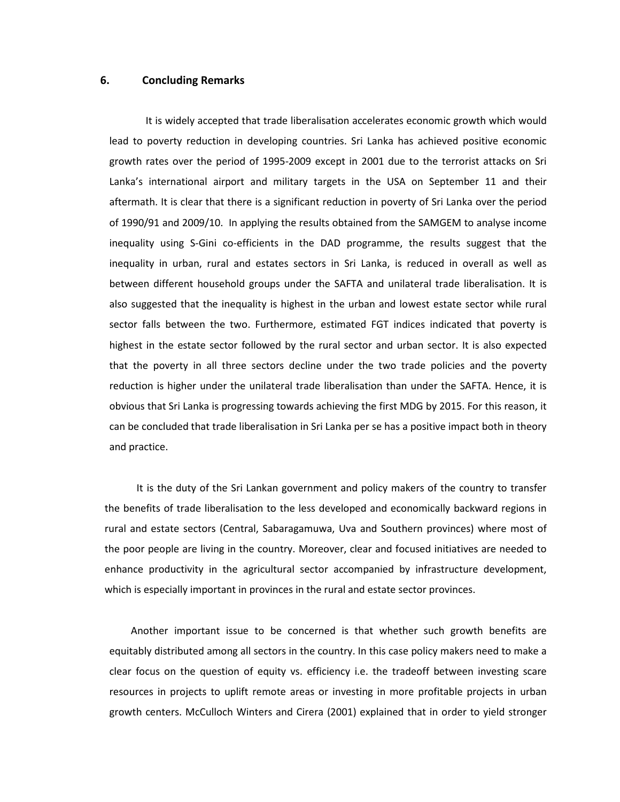### **6. Concluding Remarks**

It is widely accepted that trade liberalisation accelerates economic growth which would lead to poverty reduction in developing countries. Sri Lanka has achieved positive economic growth rates over the period of 1995-2009 except in 2001 due to the terrorist attacks on Sri Lanka's international airport and military targets in the USA on September 11 and their aftermath. It is clear that there is a significant reduction in poverty of Sri Lanka over the period of 1990/91 and 2009/10. In applying the results obtained from the SAMGEM to analyse income inequality using S-Gini co-efficients in the DAD programme, the results suggest that the inequality in urban, rural and estates sectors in Sri Lanka, is reduced in overall as well as between different household groups under the SAFTA and unilateral trade liberalisation. It is also suggested that the inequality is highest in the urban and lowest estate sector while rural sector falls between the two. Furthermore, estimated FGT indices indicated that poverty is highest in the estate sector followed by the rural sector and urban sector. It is also expected that the poverty in all three sectors decline under the two trade policies and the poverty reduction is higher under the unilateral trade liberalisation than under the SAFTA. Hence, it is obvious that Sri Lanka is progressing towards achieving the first MDG by 2015. For this reason, it can be concluded that trade liberalisation in Sri Lanka per se has a positive impact both in theory and practice.

It is the duty of the Sri Lankan government and policy makers of the country to transfer the benefits of trade liberalisation to the less developed and economically backward regions in rural and estate sectors (Central, Sabaragamuwa, Uva and Southern provinces) where most of the poor people are living in the country. Moreover, clear and focused initiatives are needed to enhance productivity in the agricultural sector accompanied by infrastructure development, which is especially important in provinces in the rural and estate sector provinces.

Another important issue to be concerned is that whether such growth benefits are equitably distributed among all sectors in the country. In this case policy makers need to make a clear focus on the question of equity vs. efficiency i.e. the tradeoff between investing scare resources in projects to uplift remote areas or investing in more profitable projects in urban growth centers. McCulloch Winters and Cirera (2001) explained that in order to yield stronger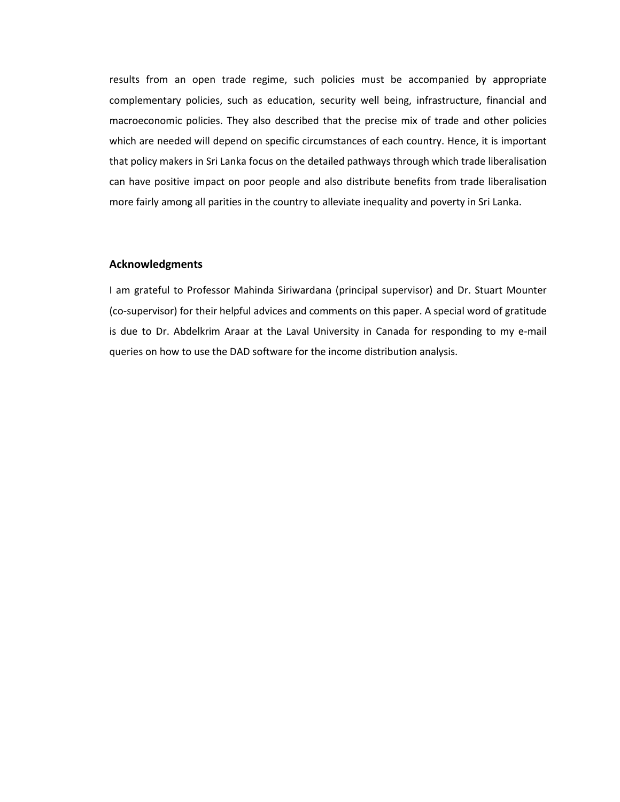results from an open trade regime, such policies must be accompanied by appropriate complementary policies, such as education, security well being, infrastructure, financial and macroeconomic policies. They also described that the precise mix of trade and other policies which are needed will depend on specific circumstances of each country. Hence, it is important that policy makers in Sri Lanka focus on the detailed pathways through which trade liberalisation can have positive impact on poor people and also distribute benefits from trade liberalisation more fairly among all parities in the country to alleviate inequality and poverty in Sri Lanka.

### **Acknowledgments**

I am grateful to Professor Mahinda Siriwardana (principal supervisor) and Dr. Stuart Mounter (co-supervisor) for their helpful advices and comments on this paper. A special word of gratitude is due to Dr. Abdelkrim Araar at the Laval University in Canada for responding to my e-mail queries on how to use the DAD software for the income distribution analysis.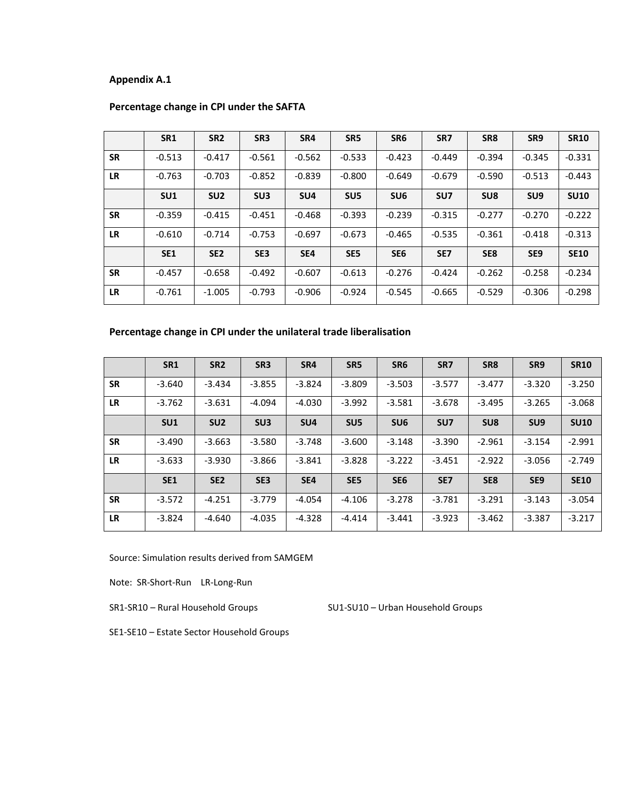|           | SR <sub>1</sub> | SR <sub>2</sub> | SR <sub>3</sub> | SR4             | SR5             | SR <sub>6</sub> | SR7             | SR <sub>8</sub> | SR9             | <b>SR10</b> |
|-----------|-----------------|-----------------|-----------------|-----------------|-----------------|-----------------|-----------------|-----------------|-----------------|-------------|
| <b>SR</b> | $-0.513$        | $-0.417$        | $-0.561$        | $-0.562$        | $-0.533$        | $-0.423$        | $-0.449$        | $-0.394$        | $-0.345$        | $-0.331$    |
| <b>LR</b> | $-0.763$        | $-0.703$        | $-0.852$        | $-0.839$        | $-0.800$        | $-0.649$        | $-0.679$        | $-0.590$        | $-0.513$        | $-0.443$    |
|           | SU <sub>1</sub> | SU <sub>2</sub> | SU <sub>3</sub> | SU <sub>4</sub> | SU <sub>5</sub> | SU <sub>6</sub> | SU <sub>7</sub> | SU <sub>8</sub> | SU <sub>9</sub> | <b>SU10</b> |
| <b>SR</b> | $-0.359$        | $-0.415$        | $-0.451$        | $-0.468$        | $-0.393$        | $-0.239$        | $-0.315$        | $-0.277$        | $-0.270$        | $-0.222$    |
| <b>LR</b> | $-0.610$        | $-0.714$        | $-0.753$        | $-0.697$        | $-0.673$        | $-0.465$        | $-0.535$        | $-0.361$        | $-0.418$        | $-0.313$    |
|           | <b>SE1</b>      | SE <sub>2</sub> | SE3             | SE4             | SE <sub>5</sub> | SE <sub>6</sub> | SE <sub>7</sub> | SE <sub>8</sub> | SE <sub>9</sub> | <b>SE10</b> |
| <b>SR</b> | $-0.457$        | $-0.658$        | $-0.492$        | $-0.607$        | $-0.613$        | $-0.276$        | $-0.424$        | $-0.262$        | $-0.258$        | $-0.234$    |
| <b>LR</b> | $-0.761$        | $-1.005$        | $-0.793$        | $-0.906$        | $-0.924$        | $-0.545$        | $-0.665$        | $-0.529$        | $-0.306$        | $-0.298$    |

## **Percentage change in CPI under the SAFTA**

## **Percentage change in CPI under the unilateral trade liberalisation**

|           | <b>SR1</b>      | SR <sub>2</sub> | SR <sub>3</sub> | SR4             | SR <sub>5</sub> | SR <sub>6</sub> | SR7             | SR <sub>8</sub> | SR9             | <b>SR10</b> |
|-----------|-----------------|-----------------|-----------------|-----------------|-----------------|-----------------|-----------------|-----------------|-----------------|-------------|
| <b>SR</b> | $-3.640$        | $-3.434$        | $-3.855$        | $-3.824$        | $-3.809$        | $-3.503$        | $-3.577$        | $-3.477$        | $-3.320$        | $-3.250$    |
| <b>LR</b> | $-3.762$        | $-3.631$        | $-4.094$        | $-4.030$        | $-3.992$        | $-3.581$        | $-3.678$        | $-3.495$        | $-3.265$        | $-3.068$    |
|           | SU <sub>1</sub> | SU <sub>2</sub> | SU <sub>3</sub> | SU <sub>4</sub> | SU <sub>5</sub> | SU <sub>6</sub> | SU <sub>7</sub> | SU <sub>8</sub> | SU <sub>9</sub> | <b>SU10</b> |
| <b>SR</b> | $-3.490$        | $-3.663$        | $-3.580$        | $-3.748$        | $-3.600$        | $-3.148$        | $-3.390$        | $-2.961$        | $-3.154$        | $-2.991$    |
| <b>LR</b> | $-3.633$        | $-3.930$        | $-3.866$        | $-3.841$        | $-3.828$        | $-3.222$        | $-3.451$        | $-2.922$        | $-3.056$        | $-2.749$    |
|           | <b>SE1</b>      | SE <sub>2</sub> | SE <sub>3</sub> | SE4             | SE <sub>5</sub> | SE <sub>6</sub> | SE <sub>7</sub> | SE <sub>8</sub> | SE <sub>9</sub> | <b>SE10</b> |
| <b>SR</b> | $-3.572$        | $-4.251$        | $-3.779$        | $-4.054$        | $-4.106$        | $-3.278$        | $-3.781$        | $-3.291$        | $-3.143$        | $-3.054$    |
| <b>LR</b> | $-3.824$        | $-4.640$        | $-4.035$        | $-4.328$        | $-4.414$        | $-3.441$        | $-3.923$        | $-3.462$        | $-3.387$        | $-3.217$    |

Source: Simulation results derived from SAMGEM

Note: SR-Short-Run LR-Long-Run

SR1-SR10 – Rural Household Groups SU1-SU10 – Urban Household Groups

SE1-SE10 – Estate Sector Household Groups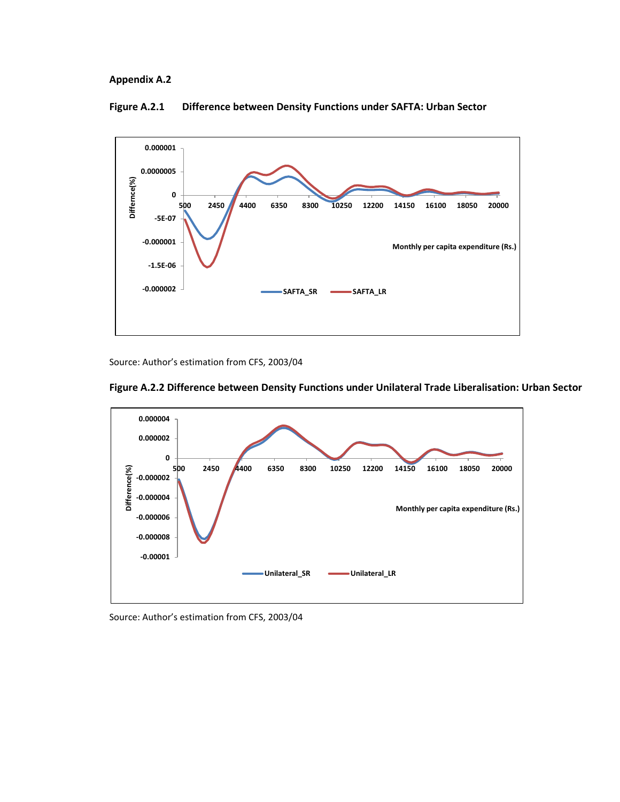

#### **Figure A.2.1 Difference between Density Functions under SAFTA: Urban Sector**

Source: Author's estimation from CFS, 2003/04





Source: Author's estimation from CFS, 2003/04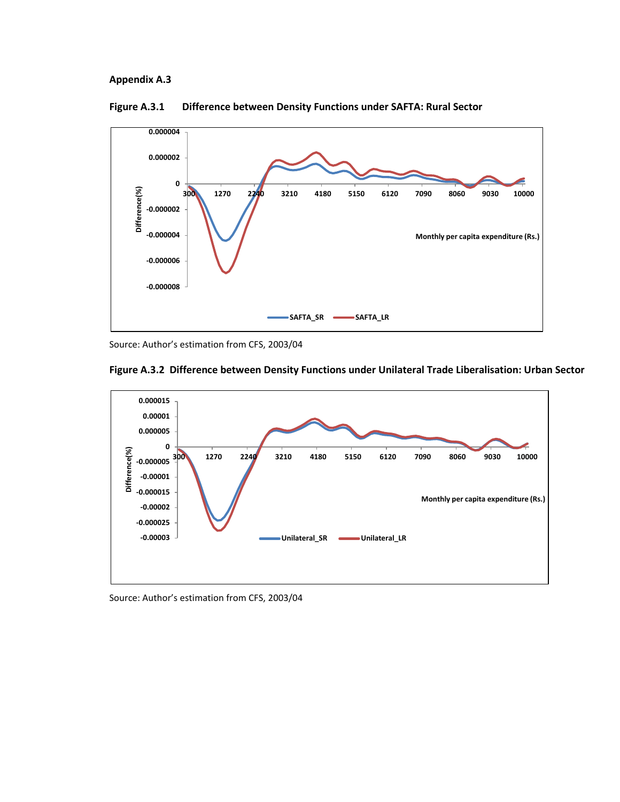

**Figure A.3.1 Difference between Density Functions under SAFTA: Rural Sector** 

Source: Author's estimation from CFS, 2003/04





Source: Author's estimation from CFS, 2003/04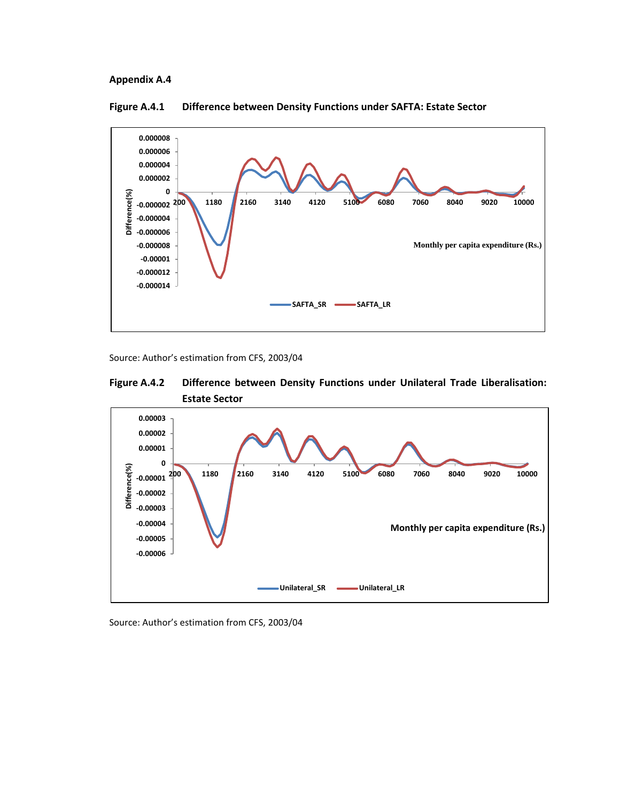

### **Figure A.4.1 Difference between Density Functions under SAFTA: Estate Sector**

Source: Author's estimation from CFS, 2003/04





Source: Author's estimation from CFS, 2003/04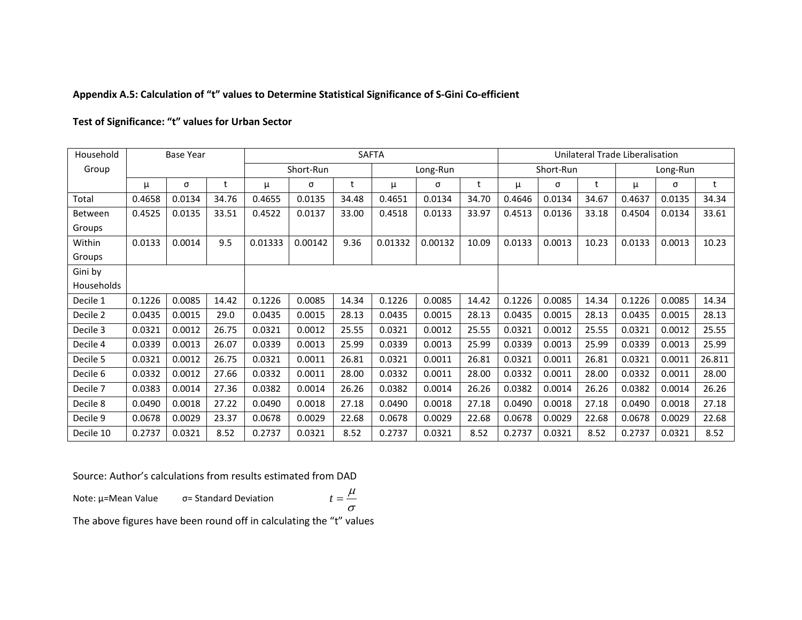## **Appendix A.5: Calculation of "t" values to Determine Statistical Significance of S-Gini Co-efficient**

### **Test of Significance: "t" values for Urban Sector**

| Household  |        | <b>Base Year</b> |       |         | <b>SAFTA</b> |       |          |         |       |        |           | Unilateral Trade Liberalisation |        |          |        |  |  |
|------------|--------|------------------|-------|---------|--------------|-------|----------|---------|-------|--------|-----------|---------------------------------|--------|----------|--------|--|--|
| Group      |        |                  |       |         | Short-Run    |       | Long-Run |         |       |        | Short-Run |                                 |        | Long-Run |        |  |  |
|            | μ      | σ                | t     | μ       | σ            | t     | μ        | σ       | t     | μ      | σ         |                                 | μ      | σ        | t      |  |  |
| Total      | 0.4658 | 0.0134           | 34.76 | 0.4655  | 0.0135       | 34.48 | 0.4651   | 0.0134  | 34.70 | 0.4646 | 0.0134    | 34.67                           | 0.4637 | 0.0135   | 34.34  |  |  |
| Between    | 0.4525 | 0.0135           | 33.51 | 0.4522  | 0.0137       | 33.00 | 0.4518   | 0.0133  | 33.97 | 0.4513 | 0.0136    | 33.18                           | 0.4504 | 0.0134   | 33.61  |  |  |
| Groups     |        |                  |       |         |              |       |          |         |       |        |           |                                 |        |          |        |  |  |
| Within     | 0.0133 | 0.0014           | 9.5   | 0.01333 | 0.00142      | 9.36  | 0.01332  | 0.00132 | 10.09 | 0.0133 | 0.0013    | 10.23                           | 0.0133 | 0.0013   | 10.23  |  |  |
| Groups     |        |                  |       |         |              |       |          |         |       |        |           |                                 |        |          |        |  |  |
| Gini by    |        |                  |       |         |              |       |          |         |       |        |           |                                 |        |          |        |  |  |
| Households |        |                  |       |         |              |       |          |         |       |        |           |                                 |        |          |        |  |  |
| Decile 1   | 0.1226 | 0.0085           | 14.42 | 0.1226  | 0.0085       | 14.34 | 0.1226   | 0.0085  | 14.42 | 0.1226 | 0.0085    | 14.34                           | 0.1226 | 0.0085   | 14.34  |  |  |
| Decile 2   | 0.0435 | 0.0015           | 29.0  | 0.0435  | 0.0015       | 28.13 | 0.0435   | 0.0015  | 28.13 | 0.0435 | 0.0015    | 28.13                           | 0.0435 | 0.0015   | 28.13  |  |  |
| Decile 3   | 0.0321 | 0.0012           | 26.75 | 0.0321  | 0.0012       | 25.55 | 0.0321   | 0.0012  | 25.55 | 0.0321 | 0.0012    | 25.55                           | 0.0321 | 0.0012   | 25.55  |  |  |
| Decile 4   | 0.0339 | 0.0013           | 26.07 | 0.0339  | 0.0013       | 25.99 | 0.0339   | 0.0013  | 25.99 | 0.0339 | 0.0013    | 25.99                           | 0.0339 | 0.0013   | 25.99  |  |  |
| Decile 5   | 0.0321 | 0.0012           | 26.75 | 0.0321  | 0.0011       | 26.81 | 0.0321   | 0.0011  | 26.81 | 0.0321 | 0.0011    | 26.81                           | 0.0321 | 0.0011   | 26.811 |  |  |
| Decile 6   | 0.0332 | 0.0012           | 27.66 | 0.0332  | 0.0011       | 28.00 | 0.0332   | 0.0011  | 28.00 | 0.0332 | 0.0011    | 28.00                           | 0.0332 | 0.0011   | 28.00  |  |  |
| Decile 7   | 0.0383 | 0.0014           | 27.36 | 0.0382  | 0.0014       | 26.26 | 0.0382   | 0.0014  | 26.26 | 0.0382 | 0.0014    | 26.26                           | 0.0382 | 0.0014   | 26.26  |  |  |
| Decile 8   | 0.0490 | 0.0018           | 27.22 | 0.0490  | 0.0018       | 27.18 | 0.0490   | 0.0018  | 27.18 | 0.0490 | 0.0018    | 27.18                           | 0.0490 | 0.0018   | 27.18  |  |  |
| Decile 9   | 0.0678 | 0.0029           | 23.37 | 0.0678  | 0.0029       | 22.68 | 0.0678   | 0.0029  | 22.68 | 0.0678 | 0.0029    | 22.68                           | 0.0678 | 0.0029   | 22.68  |  |  |
| Decile 10  | 0.2737 | 0.0321           | 8.52  | 0.2737  | 0.0321       | 8.52  | 0.2737   | 0.0321  | 8.52  | 0.2737 | 0.0321    | 8.52                            | 0.2737 | 0.0321   | 8.52   |  |  |

Source: Author's calculations from results estimated from DAD

Note: µ=Mean Value σ= Standard Deviation

σ  $t = \frac{\mu}{\sqrt{2}}$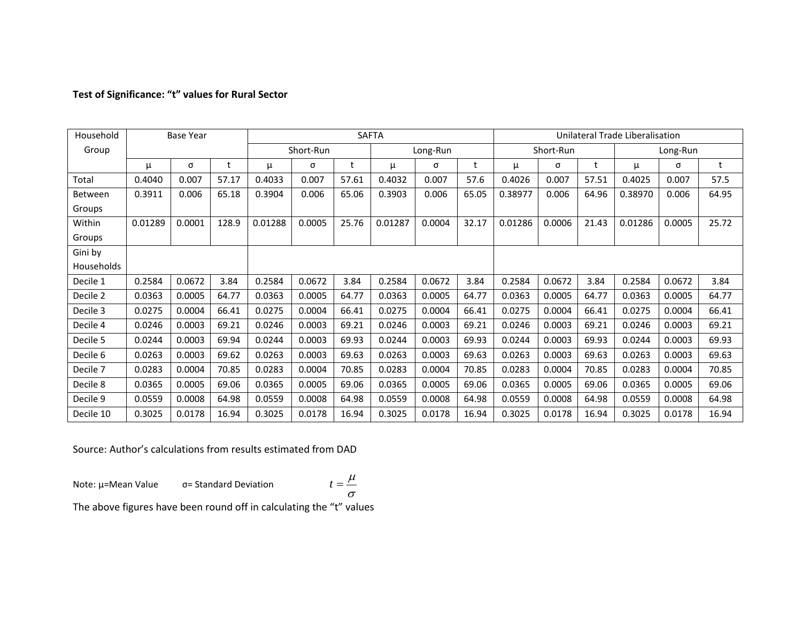## **Test of Significance: "t" values for Rural Sector**

| Household           |         | <b>Base Year</b> |       |         |           |       | <b>SAFTA</b> |        | Unilateral Trade Liberalisation |         |           |       |         |          |       |
|---------------------|---------|------------------|-------|---------|-----------|-------|--------------|--------|---------------------------------|---------|-----------|-------|---------|----------|-------|
| Group               |         |                  |       |         | Short-Run |       | Long-Run     |        |                                 |         | Short-Run |       |         | Long-Run |       |
|                     | μ       | σ                | t     | μ       | σ         | t     | μ            | σ      |                                 | μ       | σ         | t     | μ       | σ        | t     |
| Total               | 0.4040  | 0.007            | 57.17 | 0.4033  | 0.007     | 57.61 | 0.4032       | 0.007  | 57.6                            | 0.4026  | 0.007     | 57.51 | 0.4025  | 0.007    | 57.5  |
| Between             | 0.3911  | 0.006            | 65.18 | 0.3904  | 0.006     | 65.06 | 0.3903       | 0.006  | 65.05                           | 0.38977 | 0.006     | 64.96 | 0.38970 | 0.006    | 64.95 |
| Groups              |         |                  |       |         |           |       |              |        |                                 |         |           |       |         |          |       |
| Within              | 0.01289 | 0.0001           | 128.9 | 0.01288 | 0.0005    | 25.76 | 0.01287      | 0.0004 | 32.17                           | 0.01286 | 0.0006    | 21.43 | 0.01286 | 0.0005   | 25.72 |
| Groups              |         |                  |       |         |           |       |              |        |                                 |         |           |       |         |          |       |
| Gini by             |         |                  |       |         |           |       |              |        |                                 |         |           |       |         |          |       |
| Households          |         |                  |       |         |           |       |              |        |                                 |         |           |       |         |          |       |
| Decile 1            | 0.2584  | 0.0672           | 3.84  | 0.2584  | 0.0672    | 3.84  | 0.2584       | 0.0672 | 3.84                            | 0.2584  | 0.0672    | 3.84  | 0.2584  | 0.0672   | 3.84  |
| Decile 2            | 0.0363  | 0.0005           | 64.77 | 0.0363  | 0.0005    | 64.77 | 0.0363       | 0.0005 | 64.77                           | 0.0363  | 0.0005    | 64.77 | 0.0363  | 0.0005   | 64.77 |
| Decile 3            | 0.0275  | 0.0004           | 66.41 | 0.0275  | 0.0004    | 66.41 | 0.0275       | 0.0004 | 66.41                           | 0.0275  | 0.0004    | 66.41 | 0.0275  | 0.0004   | 66.41 |
| Decile 4            | 0.0246  | 0.0003           | 69.21 | 0.0246  | 0.0003    | 69.21 | 0.0246       | 0.0003 | 69.21                           | 0.0246  | 0.0003    | 69.21 | 0.0246  | 0.0003   | 69.21 |
| Decile 5            | 0.0244  | 0.0003           | 69.94 | 0.0244  | 0.0003    | 69.93 | 0.0244       | 0.0003 | 69.93                           | 0.0244  | 0.0003    | 69.93 | 0.0244  | 0.0003   | 69.93 |
| Decile 6            | 0.0263  | 0.0003           | 69.62 | 0.0263  | 0.0003    | 69.63 | 0.0263       | 0.0003 | 69.63                           | 0.0263  | 0.0003    | 69.63 | 0.0263  | 0.0003   | 69.63 |
| Decile <sub>7</sub> | 0.0283  | 0.0004           | 70.85 | 0.0283  | 0.0004    | 70.85 | 0.0283       | 0.0004 | 70.85                           | 0.0283  | 0.0004    | 70.85 | 0.0283  | 0.0004   | 70.85 |
| Decile 8            | 0.0365  | 0.0005           | 69.06 | 0.0365  | 0.0005    | 69.06 | 0.0365       | 0.0005 | 69.06                           | 0.0365  | 0.0005    | 69.06 | 0.0365  | 0.0005   | 69.06 |
| Decile 9            | 0.0559  | 0.0008           | 64.98 | 0.0559  | 0.0008    | 64.98 | 0.0559       | 0.0008 | 64.98                           | 0.0559  | 0.0008    | 64.98 | 0.0559  | 0.0008   | 64.98 |
| Decile 10           | 0.3025  | 0.0178           | 16.94 | 0.3025  | 0.0178    | 16.94 | 0.3025       | 0.0178 | 16.94                           | 0.3025  | 0.0178    | 16.94 | 0.3025  | 0.0178   | 16.94 |

Source: Author's calculations from results estimated from DAD

Note: µ=Mean Value σ= Standard Deviation

$$
t=\frac{\mu}{\sigma}
$$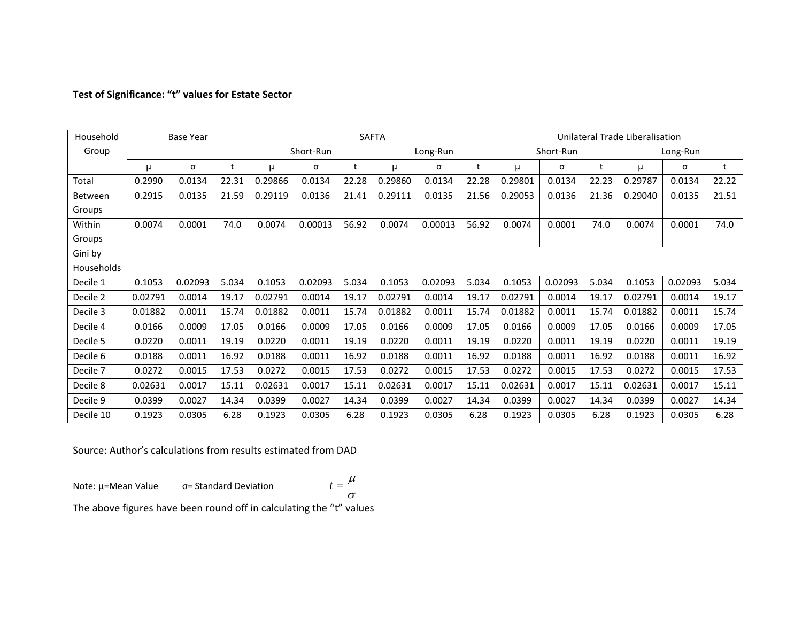## **Test of Significance: "t" values for Estate Sector**

| Household  |         | <b>Base Year</b> |       |         |           |       | <b>SAFTA</b> |         |       | Unilateral Trade Liberalisation |           |       |         |          |       |
|------------|---------|------------------|-------|---------|-----------|-------|--------------|---------|-------|---------------------------------|-----------|-------|---------|----------|-------|
| Group      |         |                  |       |         | Short-Run |       | Long-Run     |         |       |                                 | Short-Run |       |         | Long-Run |       |
|            | μ       | σ                | t     | μ       | σ         | t     | μ            | σ       | t     | μ                               | σ         |       | μ       | σ        | t     |
| Total      | 0.2990  | 0.0134           | 22.31 | 0.29866 | 0.0134    | 22.28 | 0.29860      | 0.0134  | 22.28 | 0.29801                         | 0.0134    | 22.23 | 0.29787 | 0.0134   | 22.22 |
| Between    | 0.2915  | 0.0135           | 21.59 | 0.29119 | 0.0136    | 21.41 | 0.29111      | 0.0135  | 21.56 | 0.29053                         | 0.0136    | 21.36 | 0.29040 | 0.0135   | 21.51 |
| Groups     |         |                  |       |         |           |       |              |         |       |                                 |           |       |         |          |       |
| Within     | 0.0074  | 0.0001           | 74.0  | 0.0074  | 0.00013   | 56.92 | 0.0074       | 0.00013 | 56.92 | 0.0074                          | 0.0001    | 74.0  | 0.0074  | 0.0001   | 74.0  |
| Groups     |         |                  |       |         |           |       |              |         |       |                                 |           |       |         |          |       |
| Gini by    |         |                  |       |         |           |       |              |         |       |                                 |           |       |         |          |       |
| Households |         |                  |       |         |           |       |              |         |       |                                 |           |       |         |          |       |
| Decile 1   | 0.1053  | 0.02093          | 5.034 | 0.1053  | 0.02093   | 5.034 | 0.1053       | 0.02093 | 5.034 | 0.1053                          | 0.02093   | 5.034 | 0.1053  | 0.02093  | 5.034 |
| Decile 2   | 0.02791 | 0.0014           | 19.17 | 0.02791 | 0.0014    | 19.17 | 0.02791      | 0.0014  | 19.17 | 0.02791                         | 0.0014    | 19.17 | 0.02791 | 0.0014   | 19.17 |
| Decile 3   | 0.01882 | 0.0011           | 15.74 | 0.01882 | 0.0011    | 15.74 | 0.01882      | 0.0011  | 15.74 | 0.01882                         | 0.0011    | 15.74 | 0.01882 | 0.0011   | 15.74 |
| Decile 4   | 0.0166  | 0.0009           | 17.05 | 0.0166  | 0.0009    | 17.05 | 0.0166       | 0.0009  | 17.05 | 0.0166                          | 0.0009    | 17.05 | 0.0166  | 0.0009   | 17.05 |
| Decile 5   | 0.0220  | 0.0011           | 19.19 | 0.0220  | 0.0011    | 19.19 | 0.0220       | 0.0011  | 19.19 | 0.0220                          | 0.0011    | 19.19 | 0.0220  | 0.0011   | 19.19 |
| Decile 6   | 0.0188  | 0.0011           | 16.92 | 0.0188  | 0.0011    | 16.92 | 0.0188       | 0.0011  | 16.92 | 0.0188                          | 0.0011    | 16.92 | 0.0188  | 0.0011   | 16.92 |
| Decile 7   | 0.0272  | 0.0015           | 17.53 | 0.0272  | 0.0015    | 17.53 | 0.0272       | 0.0015  | 17.53 | 0.0272                          | 0.0015    | 17.53 | 0.0272  | 0.0015   | 17.53 |
| Decile 8   | 0.02631 | 0.0017           | 15.11 | 0.02631 | 0.0017    | 15.11 | 0.02631      | 0.0017  | 15.11 | 0.02631                         | 0.0017    | 15.11 | 0.02631 | 0.0017   | 15.11 |
| Decile 9   | 0.0399  | 0.0027           | 14.34 | 0.0399  | 0.0027    | 14.34 | 0.0399       | 0.0027  | 14.34 | 0.0399                          | 0.0027    | 14.34 | 0.0399  | 0.0027   | 14.34 |
| Decile 10  | 0.1923  | 0.0305           | 6.28  | 0.1923  | 0.0305    | 6.28  | 0.1923       | 0.0305  | 6.28  | 0.1923                          | 0.0305    | 6.28  | 0.1923  | 0.0305   | 6.28  |

Source: Author's calculations from results estimated from DAD

Note: µ=Mean Value σ= Standard Deviation

$$
t=\frac{\mu}{\sigma}
$$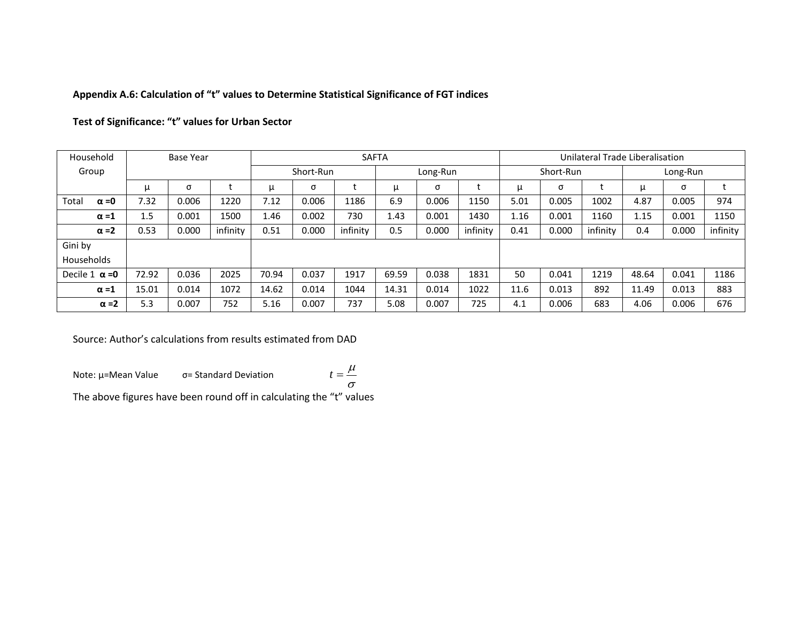# **Appendix A.6: Calculation of "t" values to Determine Statistical Significance of FGT indices**

|  | Test of Significance: "t" values for Urban Sector |  |  |  |  |  |
|--|---------------------------------------------------|--|--|--|--|--|
|--|---------------------------------------------------|--|--|--|--|--|

| Household             |       | <b>Base Year</b> |          |       |           | <b>SAFTA</b> |          |       | Unilateral Trade Liberalisation |      |           |          |          |       |          |
|-----------------------|-------|------------------|----------|-------|-----------|--------------|----------|-------|---------------------------------|------|-----------|----------|----------|-------|----------|
| Group                 |       |                  |          |       | Short-Run |              | Long-Run |       |                                 |      | Short-Run |          | Long-Run |       |          |
|                       | $\mu$ | σ                |          | μ     | σ         |              | $\mu$    | σ     |                                 | μ    | σ         |          | μ        | σ     |          |
| Total<br>$\alpha = 0$ | 7.32  | 0.006            | 1220     | 7.12  | 0.006     | 1186         | 6.9      | 0.006 | 1150                            | 5.01 | 0.005     | 1002     | 4.87     | 0.005 | 974      |
| $\alpha = 1$          | 1.5   | 0.001            | 1500     | 1.46  | 0.002     | 730          | 1.43     | 0.001 | 1430                            | 1.16 | 0.001     | 1160     | 1.15     | 0.001 | 1150     |
| $\alpha = 2$          | 0.53  | 0.000            | infinity | 0.51  | 0.000     | infinity     | 0.5      | 0.000 | infinity                        | 0.41 | 0.000     | infinity | 0.4      | 0.000 | infinity |
| Gini by               |       |                  |          |       |           |              |          |       |                                 |      |           |          |          |       |          |
| Households            |       |                  |          |       |           |              |          |       |                                 |      |           |          |          |       |          |
| Decile 1 $\alpha$ =0  | 72.92 | 0.036            | 2025     | 70.94 | 0.037     | 1917         | 69.59    | 0.038 | 1831                            | 50   | 0.041     | 1219     | 48.64    | 0.041 | 1186     |
| $\alpha = 1$          | 15.01 | 0.014            | 1072     | 14.62 | 0.014     | 1044         | 14.31    | 0.014 | 1022                            | 11.6 | 0.013     | 892      | 11.49    | 0.013 | 883      |
| $\alpha = 2$          | 5.3   | 0.007            | 752      | 5.16  | 0.007     | 737          | 5.08     | 0.007 | 725                             | 4.1  | 0.006     | 683      | 4.06     | 0.006 | 676      |

Source: Author's calculations from results estimated from DAD

Note: µ=Mean Value σ= Standard Deviation

$$
t=\frac{\mu}{\sigma}
$$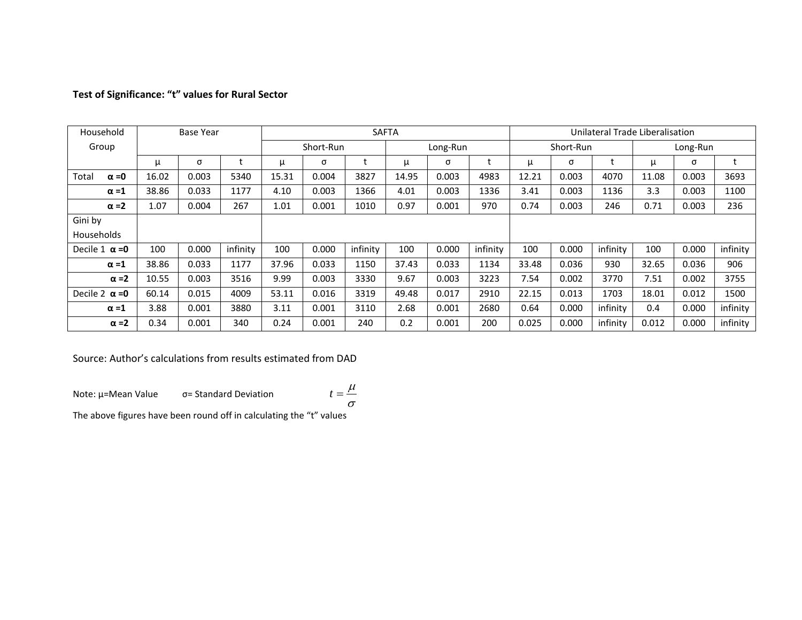| Household            |              |       | <b>Base Year</b> |          |       |           |          | <b>SAFTA</b> |          | Unilateral Trade Liberalisation |       |           |          |          |       |          |
|----------------------|--------------|-------|------------------|----------|-------|-----------|----------|--------------|----------|---------------------------------|-------|-----------|----------|----------|-------|----------|
| Group                |              |       |                  |          |       | Short-Run |          |              | Long-Run |                                 |       | Short-Run |          | Long-Run |       |          |
|                      |              | μ     | σ                |          | μ     | σ         |          | μ            | σ        |                                 | μ     | σ         |          | μ        | σ     |          |
| Total                | $\alpha = 0$ | 16.02 | 0.003            | 5340     | 15.31 | 0.004     | 3827     | 14.95        | 0.003    | 4983                            | 12.21 | 0.003     | 4070     | 11.08    | 0.003 | 3693     |
|                      | $\alpha = 1$ | 38.86 | 0.033            | 1177     | 4.10  | 0.003     | 1366     | 4.01         | 0.003    | 1336                            | 3.41  | 0.003     | 1136     | 3.3      | 0.003 | 1100     |
|                      | $\alpha = 2$ | 1.07  | 0.004            | 267      | 1.01  | 0.001     | 1010     | 0.97         | 0.001    | 970                             | 0.74  | 0.003     | 246      | 0.71     | 0.003 | 236      |
| Gini by              |              |       |                  |          |       |           |          |              |          |                                 |       |           |          |          |       |          |
| Households           |              |       |                  |          |       |           |          |              |          |                                 |       |           |          |          |       |          |
| Decile 1 $\alpha$ =0 |              | 100   | 0.000            | infinity | 100   | 0.000     | infinity | 100          | 0.000    | infinity                        | 100   | 0.000     | infinity | 100      | 0.000 | infinity |
|                      | $\alpha = 1$ | 38.86 | 0.033            | 1177     | 37.96 | 0.033     | 1150     | 37.43        | 0.033    | 1134                            | 33.48 | 0.036     | 930      | 32.65    | 0.036 | 906      |
|                      | $\alpha = 2$ | 10.55 | 0.003            | 3516     | 9.99  | 0.003     | 3330     | 9.67         | 0.003    | 3223                            | 7.54  | 0.002     | 3770     | 7.51     | 0.002 | 3755     |
| Decile 2 $\alpha$ =0 |              | 60.14 | 0.015            | 4009     | 53.11 | 0.016     | 3319     | 49.48        | 0.017    | 2910                            | 22.15 | 0.013     | 1703     | 18.01    | 0.012 | 1500     |
|                      | $\alpha = 1$ | 3.88  | 0.001            | 3880     | 3.11  | 0.001     | 3110     | 2.68         | 0.001    | 2680                            | 0.64  | 0.000     | infinity | 0.4      | 0.000 | infinity |
|                      | $\alpha = 2$ | 0.34  | 0.001            | 340      | 0.24  | 0.001     | 240      | 0.2          | 0.001    | 200                             | 0.025 | 0.000     | infinity | 0.012    | 0.000 | infinity |

# **Test of Significance: "t" values for Rural Sector**

Source: Author's calculations from results estimated from DAD

Note: µ=Mean Value σ= Standard Deviation σ  $t = \frac{\mu}{\sqrt{2\pi}}$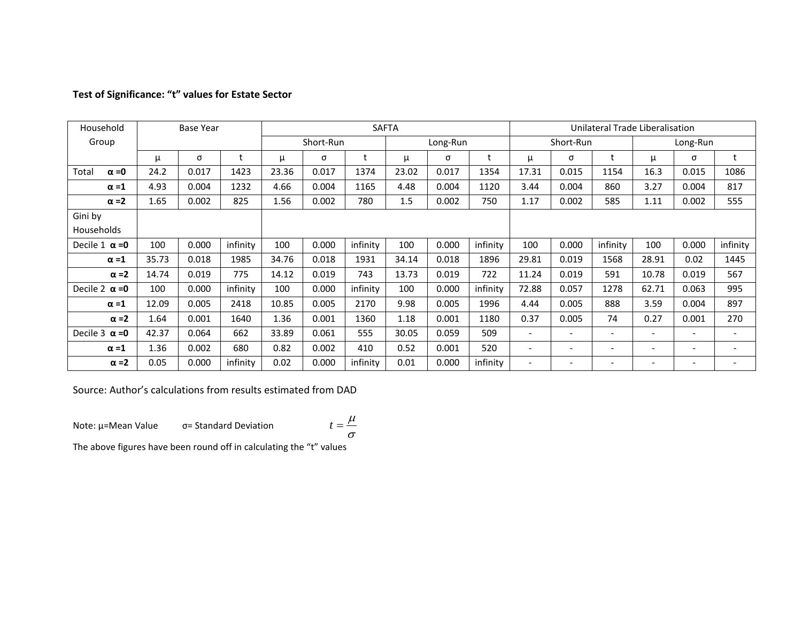| Household             |       | <b>Base Year</b> |          |       |           |          | <b>SAFTA</b> |          |          | Unilateral Trade Liberalisation |                          |                          |                          |                          |                          |
|-----------------------|-------|------------------|----------|-------|-----------|----------|--------------|----------|----------|---------------------------------|--------------------------|--------------------------|--------------------------|--------------------------|--------------------------|
| Group                 |       |                  |          |       | Short-Run |          |              | Long-Run |          |                                 | Short-Run                |                          |                          | Long-Run                 |                          |
|                       | μ     | σ                |          | μ     | σ         |          | μ            | σ        |          | μ                               | σ                        | t                        | μ                        | σ                        | t                        |
| $\alpha = 0$<br>Total | 24.2  | 0.017            | 1423     | 23.36 | 0.017     | 1374     | 23.02        | 0.017    | 1354     | 17.31                           | 0.015                    | 1154                     | 16.3                     | 0.015                    | 1086                     |
| $\alpha = 1$          | 4.93  | 0.004            | 1232     | 4.66  | 0.004     | 1165     | 4.48         | 0.004    | 1120     | 3.44                            | 0.004                    | 860                      | 3.27                     | 0.004                    | 817                      |
| $\alpha = 2$          | 1.65  | 0.002            | 825      | 1.56  | 0.002     | 780      | 1.5          | 0.002    | 750      | 1.17                            | 0.002                    | 585                      | 1.11                     | 0.002                    | 555                      |
| Gini by               |       |                  |          |       |           |          |              |          |          |                                 |                          |                          |                          |                          |                          |
| Households            |       |                  |          |       |           |          |              |          |          |                                 |                          |                          |                          |                          |                          |
| Decile 1 $\alpha$ =0  | 100   | 0.000            | infinity | 100   | 0.000     | infinity | 100          | 0.000    | infinity | 100                             | 0.000                    | infinity                 | 100                      | 0.000                    | infinity                 |
| $\alpha = 1$          | 35.73 | 0.018            | 1985     | 34.76 | 0.018     | 1931     | 34.14        | 0.018    | 1896     | 29.81                           | 0.019                    | 1568                     | 28.91                    | 0.02                     | 1445                     |
| $\alpha = 2$          | 14.74 | 0.019            | 775      | 14.12 | 0.019     | 743      | 13.73        | 0.019    | 722      | 11.24                           | 0.019                    | 591                      | 10.78                    | 0.019                    | 567                      |
| Decile 2 $\alpha$ =0  | 100   | 0.000            | infinity | 100   | 0.000     | infinity | 100          | 0.000    | infinity | 72.88                           | 0.057                    | 1278                     | 62.71                    | 0.063                    | 995                      |
| $\alpha = 1$          | 12.09 | 0.005            | 2418     | 10.85 | 0.005     | 2170     | 9.98         | 0.005    | 1996     | 4.44                            | 0.005                    | 888                      | 3.59                     | 0.004                    | 897                      |
| $\alpha = 2$          | 1.64  | 0.001            | 1640     | 1.36  | 0.001     | 1360     | 1.18         | 0.001    | 1180     | 0.37                            | 0.005                    | 74                       | 0.27                     | 0.001                    | 270                      |
| Decile $3 \alpha = 0$ | 42.37 | 0.064            | 662      | 33.89 | 0.061     | 555      | 30.05        | 0.059    | 509      | $\overline{\phantom{a}}$        | $\overline{\phantom{a}}$ | ٠                        | $\overline{\phantom{a}}$ | $\overline{\phantom{a}}$ | $\overline{\phantom{a}}$ |
| $\alpha = 1$          | 1.36  | 0.002            | 680      | 0.82  | 0.002     | 410      | 0.52         | 0.001    | 520      | $\overline{\phantom{a}}$        | $\overline{\phantom{a}}$ | $\overline{\phantom{a}}$ | $\overline{\phantom{0}}$ | $\overline{\phantom{a}}$ | $\overline{\phantom{a}}$ |
| $\alpha = 2$          | 0.05  | 0.000            | infinity | 0.02  | 0.000     | infinity | 0.01         | 0.000    | infinity | $\overline{\phantom{a}}$        |                          |                          | $\overline{\phantom{0}}$ |                          | $\overline{\phantom{a}}$ |

# **Test of Significance: "t" values for Estate Sector**

Source: Author's calculations from results estimated from DAD

Note: µ=Mean Value σ= Standard Deviation

$$
t = \frac{\mu}{\sigma}
$$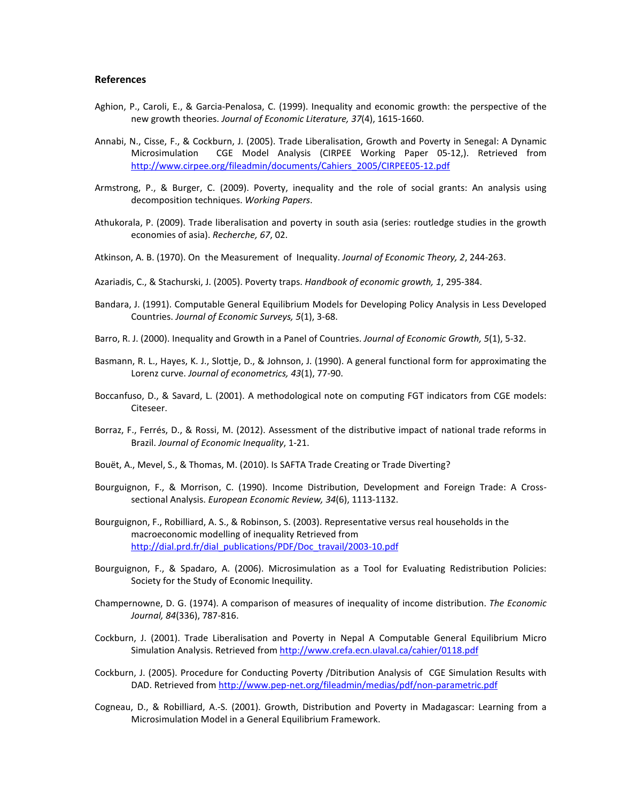#### **References**

- Aghion, P., Caroli, E., & Garcia-Penalosa, C. (1999). Inequality and economic growth: the perspective of the new growth theories. *Journal of Economic Literature, 37*(4), 1615-1660.
- Annabi, N., Cisse, F., & Cockburn, J. (2005). Trade Liberalisation, Growth and Poverty in Senegal: A Dynamic Microsimulation CGE Model Analysis (CIRPEE Working Paper 05-12,). Retrieved from [http://www.cirpee.org/fileadmin/documents/Cahiers\\_2005/CIRPEE05-12.pdf](http://www.cirpee.org/fileadmin/documents/Cahiers_2005/CIRPEE05-12.pdf)
- Armstrong, P., & Burger, C. (2009). Poverty, inequality and the role of social grants: An analysis using decomposition techniques. *Working Papers*.
- Athukorala, P. (2009). Trade liberalisation and poverty in south asia (series: routledge studies in the growth economies of asia). *Recherche, 67*, 02.
- Atkinson, A. B. (1970). On the Measurement of Inequality. *Journal of Economic Theory, 2*, 244-263.
- Azariadis, C., & Stachurski, J. (2005). Poverty traps. *Handbook of economic growth, 1*, 295-384.
- Bandara, J. (1991). Computable General Equilibrium Models for Developing Policy Analysis in Less Developed Countries. *Journal of Economic Surveys, 5*(1), 3-68.
- Barro, R. J. (2000). Inequality and Growth in a Panel of Countries. *Journal of Economic Growth, 5*(1), 5-32.
- Basmann, R. L., Hayes, K. J., Slottje, D., & Johnson, J. (1990). A general functional form for approximating the Lorenz curve. *Journal of econometrics, 43*(1), 77-90.
- Boccanfuso, D., & Savard, L. (2001). A methodological note on computing FGT indicators from CGE models: Citeseer.
- Borraz, F., Ferrés, D., & Rossi, M. (2012). Assessment of the distributive impact of national trade reforms in Brazil. *Journal of Economic Inequality*, 1-21.
- Bouët, A., Mevel, S., & Thomas, M. (2010). Is SAFTA Trade Creating or Trade Diverting?
- Bourguignon, F., & Morrison, C. (1990). Income Distribution, Development and Foreign Trade: A Crosssectional Analysis. *European Economic Review, 34*(6), 1113-1132.
- Bourguignon, F., Robilliard, A. S., & Robinson, S. (2003). Representative versus real households in the macroeconomic modelling of inequality Retrieved from [http://dial.prd.fr/dial\\_publications/PDF/Doc\\_travail/2003-10.pdf](http://dial.prd.fr/dial_publications/PDF/Doc_travail/2003-10.pdf)
- Bourguignon, F., & Spadaro, A. (2006). Microsimulation as a Tool for Evaluating Redistribution Policies: Society for the Study of Economic Inequility.
- Champernowne, D. G. (1974). A comparison of measures of inequality of income distribution. *The Economic Journal, 84*(336), 787-816.
- Cockburn, J. (2001). Trade Liberalisation and Poverty in Nepal A Computable General Equilibrium Micro Simulation Analysis. Retrieved fro[m http://www.crefa.ecn.ulaval.ca/cahier/0118.pdf](http://www.crefa.ecn.ulaval.ca/cahier/0118.pdf)
- Cockburn, J. (2005). Procedure for Conducting Poverty /Ditribution Analysis of CGE Simulation Results with DAD. Retrieved from<http://www.pep-net.org/fileadmin/medias/pdf/non-parametric.pdf>
- Cogneau, D., & Robilliard, A.-S. (2001). Growth, Distribution and Poverty in Madagascar: Learning from a Microsimulation Model in a General Equilibrium Framework.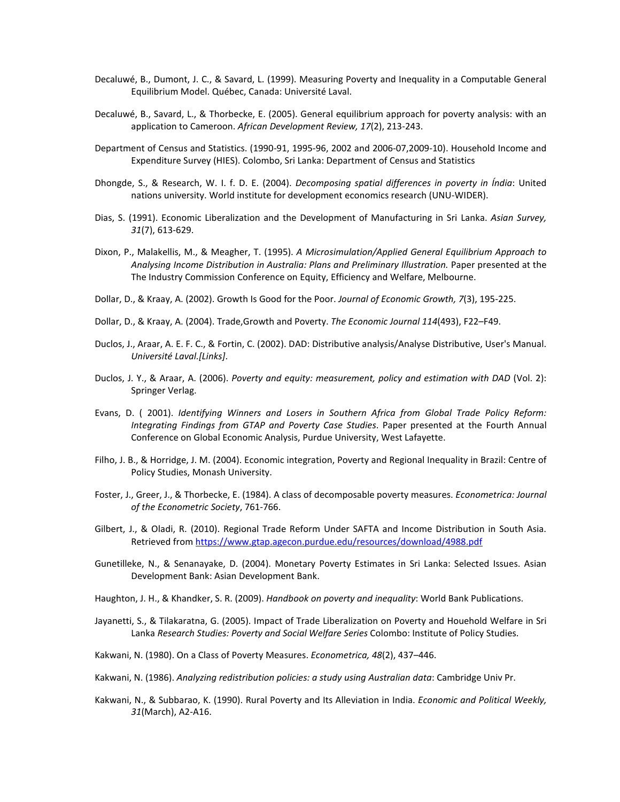- Decaluwé, B., Dumont, J. C., & Savard, L. (1999). Measuring Poverty and Inequality in a Computable General Equilibrium Model. Québec, Canada: Université Laval.
- Decaluwé, B., Savard, L., & Thorbecke, E. (2005). General equilibrium approach for poverty analysis: with an application to Cameroon. *African Development Review, 17*(2), 213-243.
- Department of Census and Statistics. (1990-91, 1995-96, 2002 and 2006-07,2009-10). Household Income and Expenditure Survey (HIES). Colombo, Sri Lanka: Department of Census and Statistics
- Dhongde, S., & Research, W. I. f. D. E. (2004). *Decomposing spatial differences in poverty in Índia*: United nations university. World institute for development economics research (UNU-WIDER).
- Dias, S. (1991). Economic Liberalization and the Development of Manufacturing in Sri Lanka. *Asian Survey, 31*(7), 613-629.
- Dixon, P., Malakellis, M., & Meagher, T. (1995). *A Microsimulation/Applied General Equilibrium Approach to Analysing Income Distribution in Australia: Plans and Preliminary Illustration.* Paper presented at the The Industry Commission Conference on Equity, Efficiency and Welfare, Melbourne.
- Dollar, D., & Kraay, A. (2002). Growth Is Good for the Poor. *Journal of Economic Growth, 7*(3), 195-225.
- Dollar, D., & Kraay, A. (2004). Trade,Growth and Poverty. *The Economic Journal 114*(493), F22–F49.
- Duclos, J., Araar, A. E. F. C., & Fortin, C. (2002). DAD: Distributive analysis/Analyse Distributive, User's Manual. *Université Laval.[Links]*.
- Duclos, J. Y., & Araar, A. (2006). *Poverty and equity: measurement, policy and estimation with DAD* (Vol. 2): Springer Verlag.
- Evans, D. ( 2001). *Identifying Winners and Losers in Southern Africa from Global Trade Policy Reform: Integrating Findings from GTAP and Poverty Case Studies*. Paper presented at the Fourth Annual Conference on Global Economic Analysis, Purdue University, West Lafayette.
- Filho, J. B., & Horridge, J. M. (2004). Economic integration, Poverty and Regional Inequality in Brazil: Centre of Policy Studies, Monash University.
- Foster, J., Greer, J., & Thorbecke, E. (1984). A class of decomposable poverty measures. *Econometrica: Journal of the Econometric Society*, 761-766.
- Gilbert, J., & Oladi, R. (2010). Regional Trade Reform Under SAFTA and Income Distribution in South Asia. Retrieved from<https://www.gtap.agecon.purdue.edu/resources/download/4988.pdf>
- Gunetilleke, N., & Senanayake, D. (2004). Monetary Poverty Estimates in Sri Lanka: Selected Issues. Asian Development Bank: Asian Development Bank.
- Haughton, J. H., & Khandker, S. R. (2009). *Handbook on poverty and inequality*: World Bank Publications.
- Jayanetti, S., & Tilakaratna, G. (2005). Impact of Trade Liberalization on Poverty and Houehold Welfare in Sri Lanka *Research Studies: Poverty and Social Welfare Series* Colombo: Institute of Policy Studies.
- Kakwani, N. (1980). On a Class of Poverty Measures. *Econometrica, 48*(2), 437–446.
- Kakwani, N. (1986). *Analyzing redistribution policies: a study using Australian data*: Cambridge Univ Pr.
- Kakwani, N., & Subbarao, K. (1990). Rural Poverty and Its Alleviation in India. *Economic and Political Weekly, 31*(March), A2-A16.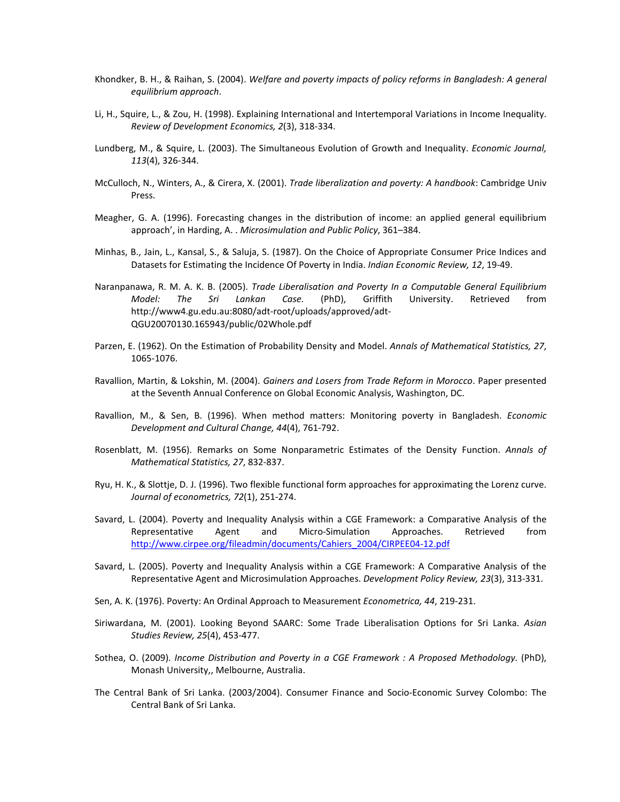- Khondker, B. H., & Raihan, S. (2004). *Welfare and poverty impacts of policy reforms in Bangladesh: A general equilibrium approach*.
- Li, H., Squire, L., & Zou, H. (1998). Explaining International and Intertemporal Variations in Income Inequality. *Review of Development Economics, 2*(3), 318-334.
- Lundberg, M., & Squire, L. (2003). The Simultaneous Evolution of Growth and Inequality. *Economic Journal, 113*(4), 326-344.
- McCulloch, N., Winters, A., & Cirera, X. (2001). *Trade liberalization and poverty: A handbook*: Cambridge Univ Press.
- Meagher, G. A. (1996). Forecasting changes in the distribution of income: an applied general equilibrium approach', in Harding, A. . *Microsimulation and Public Policy*, 361–384.
- Minhas, B., Jain, L., Kansal, S., & Saluja, S. (1987). On the Choice of Appropriate Consumer Price Indices and Datasets for Estimating the Incidence Of Poverty in India. *Indian Economic Review, 12*, 19-49.
- Naranpanawa, R. M. A. K. B. (2005). *Trade Liberalisation and Poverty In a Computable General Equilibrium Model: The Sri Lankan Case.* (PhD), Griffith University. Retrieved from http://www4.gu.edu.au:8080/adt-root/uploads/approved/adt-QGU20070130.165943/public/02Whole.pdf
- Parzen, E. (1962). On the Estimation of Probability Density and Model. *Annals of Mathematical Statistics, 27*, 1065-1076.
- Ravallion, Martin, & Lokshin, M. (2004). *Gainers and Losers from Trade Reform in Morocco*. Paper presented at the Seventh Annual Conference on Global Economic Analysis, Washington, DC.
- Ravallion, M., & Sen, B. (1996). When method matters: Monitoring poverty in Bangladesh. *Economic Development and Cultural Change, 44*(4), 761-792.
- Rosenblatt, M. (1956). Remarks on Some Nonparametric Estimates of the Density Function. *Annals of Mathematical Statistics, 27*, 832-837.
- Ryu, H. K., & Slottje, D. J. (1996). Two flexible functional form approaches for approximating the Lorenz curve. *Journal of econometrics, 72*(1), 251-274.
- Savard, L. (2004). Poverty and Inequality Analysis within a CGE Framework: a Comparative Analysis of the Representative Agent and Micro-Simulation Approaches. Retrieved from [http://www.cirpee.org/fileadmin/documents/Cahiers\\_2004/CIRPEE04-12.pdf](http://www.cirpee.org/fileadmin/documents/Cahiers_2004/CIRPEE04-12.pdf)
- Savard, L. (2005). Poverty and Inequality Analysis within a CGE Framework: A Comparative Analysis of the Representative Agent and Microsimulation Approaches. *Development Policy Review, 23*(3), 313-331.
- Sen, A. K. (1976). Poverty: An Ordinal Approach to Measurement *Econometrica, 44*, 219-231.
- Siriwardana, M. (2001). Looking Beyond SAARC: Some Trade Liberalisation Options for Sri Lanka. *Asian Studies Review, 25*(4), 453-477.
- Sothea, O. (2009). *Income Distribution and Poverty in a CGE Framework : A Proposed Methodology.* (PhD), Monash University,, Melbourne, Australia.
- The Central Bank of Sri Lanka. (2003/2004). Consumer Finance and Socio-Economic Survey Colombo: The Central Bank of Sri Lanka.